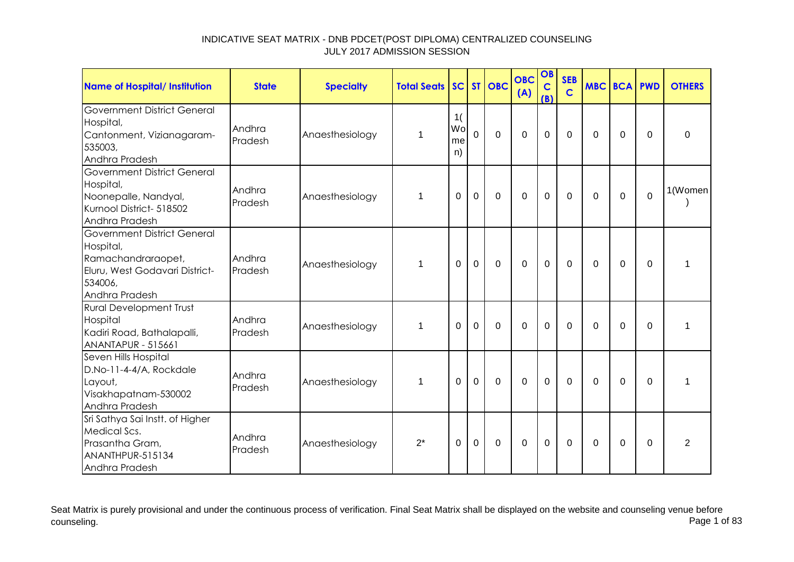| Name of Hospital/ Institution                                                                                                        | <b>State</b>      | <b>Specialty</b> | <b>Total Seats</b> |                      |                | SC ST OBC      | <b>OBC</b><br>(A) | OB<br>$\mathbf C$<br>(B) | <b>SEB</b><br>$\mathbf C$ | <b>MBC BCA PWD</b> |             |             | <b>OTHERS</b>  |
|--------------------------------------------------------------------------------------------------------------------------------------|-------------------|------------------|--------------------|----------------------|----------------|----------------|-------------------|--------------------------|---------------------------|--------------------|-------------|-------------|----------------|
| <b>Government District General</b><br>Hospital,<br>Cantonment, Vizianagaram-<br>535003,<br>Andhra Pradesh                            | Andhra<br>Pradesh | Anaesthesiology  | 1                  | 1(<br>Wo<br>me<br>n) | $\overline{0}$ | $\overline{0}$ | $\overline{0}$    | $\mathbf 0$              | $\mathbf 0$               | $\mathbf 0$        | $\mathbf 0$ | $\Omega$    | $\mathbf 0$    |
| <b>Government District General</b><br>Hospital,<br>Noonepalle, Nandyal,<br>Kurnool District- 518502<br>Andhra Pradesh                | Andhra<br>Pradesh | Anaesthesiology  | 1                  | $\Omega$             | $\mathbf 0$    | $\mathbf 0$    | $\overline{0}$    | $\mathbf 0$              | $\mathbf 0$               | 0                  | $\Omega$    | $\mathbf 0$ | 1(Women        |
| <b>Government District General</b><br>Hospital,<br>Ramachandraraopet,<br>Eluru, West Godavari District-<br>534006,<br>Andhra Pradesh | Andhra<br>Pradesh | Anaesthesiology  | $\mathbf{1}$       | 0                    | $\mathbf 0$    | $\mathbf 0$    | $\Omega$          | $\mathbf 0$              | $\Omega$                  | $\mathbf 0$        | $\mathbf 0$ | $\Omega$    | 1              |
| <b>Rural Development Trust</b><br>Hospital<br>Kadiri Road, Bathalapalli,<br><b>ANANTAPUR - 515661</b>                                | Andhra<br>Pradesh | Anaesthesiology  | $\mathbf 1$        | $\Omega$             | $\mathbf 0$    | $\mathbf 0$    | $\overline{0}$    | $\mathbf 0$              | $\mathbf 0$               | $\mathbf 0$        | $\mathbf 0$ | $\Omega$    | 1              |
| Seven Hills Hospital<br>D.No-11-4-4/A, Rockdale<br>Layout,<br>Visakhapatnam-530002<br>Andhra Pradesh                                 | Andhra<br>Pradesh | Anaesthesiology  | $\mathbf{1}$       | 0                    | $\mathbf 0$    | $\mathbf 0$    | $\mathbf 0$       | $\mathbf 0$              | $\mathbf 0$               | $\mathbf 0$        | $\mathbf 0$ | $\mathbf 0$ | $\mathbf 1$    |
| Sri Sathya Sai Instt. of Higher<br>Medical Scs.<br>Prasantha Gram,<br>ANANTHPUR-515134<br>Andhra Pradesh                             | Andhra<br>Pradesh | Anaesthesiology  | $2^*$              | $\mathbf 0$          | $\mathbf 0$    | $\mathbf 0$    | $\overline{0}$    | $\mathbf 0$              | 0                         | $\Omega$           | 0           | $\Omega$    | $\overline{2}$ |

Seat Matrix is purely provisional and under the continuous process of verification. Final Seat Matrix shall be displayed on the website and counseling venue before<br>Page 1 of 83 counseling. Page 1 of 83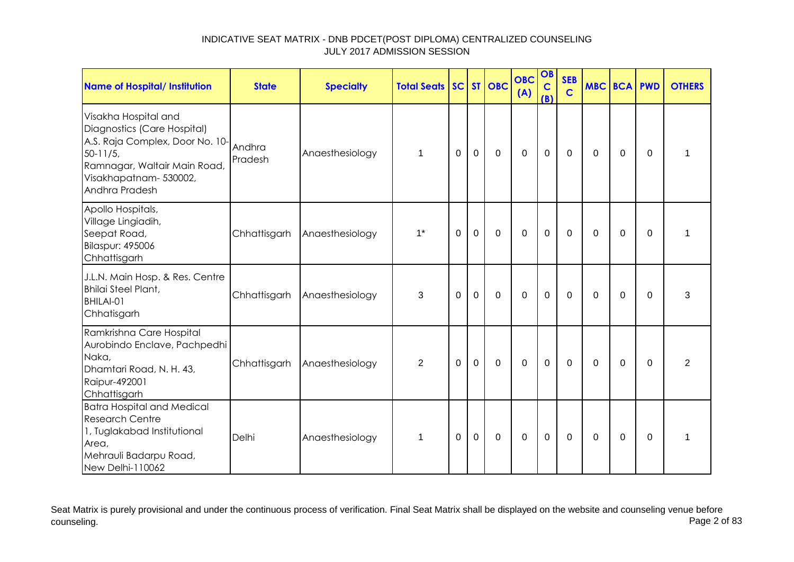| Name of Hospital/ Institution                                                                                                                                                      | <b>State</b>      | <b>Specialty</b> | <b>Total Seats</b> |             |             | SC ST OBC   | <b>OBC</b><br>(A) | OB<br>$\mathbf C$<br>(B) | <b>SEB</b><br>$\mathbf C$ | MBC BCA PWD |             |             | <b>OTHERS</b> |
|------------------------------------------------------------------------------------------------------------------------------------------------------------------------------------|-------------------|------------------|--------------------|-------------|-------------|-------------|-------------------|--------------------------|---------------------------|-------------|-------------|-------------|---------------|
| Visakha Hospital and<br>Diagnostics (Care Hospital)<br>A.S. Raja Complex, Door No. 10-<br>$50 - 11/5$ ,<br>Ramnagar, Waltair Main Road,<br>Visakhapatnam-530002,<br>Andhra Pradesh | Andhra<br>Pradesh | Anaesthesiology  | $\mathbf{1}$       | $\mathbf 0$ | $\mathbf 0$ | $\mathbf 0$ | $\mathbf 0$       | $\mathbf 0$              | $\overline{0}$            | $\Omega$    | $\mathbf 0$ | $\mathbf 0$ | 1             |
| Apollo Hospitals,<br>Village Lingiadih,<br>Seepat Road,<br><b>Bilaspur: 495006</b><br>Chhattisgarh                                                                                 | Chhattisgarh      | Anaesthesiology  | $1^*$              | 0           | $\mathbf 0$ | $\mathbf 0$ | $\mathbf 0$       | $\mathbf 0$              | $\mathbf 0$               | 0           | 0           | $\Omega$    | 1             |
| J.L.N. Main Hosp. & Res. Centre<br><b>Bhilai Steel Plant,</b><br>BHILAI-01<br>Chhatisgarh                                                                                          | Chhattisgarh      | Anaesthesiology  | 3                  | $\Omega$    | $\mathbf 0$ | $\mathbf 0$ | $\mathbf 0$       | $\mathbf 0$              | $\mathbf 0$               | $\Omega$    | 0           | $\Omega$    | 3             |
| Ramkrishna Care Hospital<br>Aurobindo Enclave, Pachpedhi<br>Naka,<br>Dhamtari Road, N. H. 43,<br>Raipur-492001<br>Chhattisgarh                                                     | Chhattisgarh      | Anaesthesiology  | $\overline{2}$     | 0           | $\mathbf 0$ | $\mathbf 0$ | $\mathbf 0$       | $\mathbf 0$              | 0                         | 0           | 0           | 0           | 2             |
| <b>Batra Hospital and Medical</b><br><b>Research Centre</b><br>1, Tuglakabad Institutional<br>Area,<br>Mehrauli Badarpu Road,<br>New Delhi-110062                                  | Delhi             | Anaesthesiology  | 1                  | 0           | $\mathbf 0$ | $\mathbf 0$ | $\mathbf 0$       | $\mathbf 0$              | $\mathbf 0$               | $\Omega$    | 0           | $\Omega$    | 1             |

Seat Matrix is purely provisional and under the continuous process of verification. Final Seat Matrix shall be displayed on the website and counseling venue before<br>Page 2 of 83 counseling. Page 2 of 83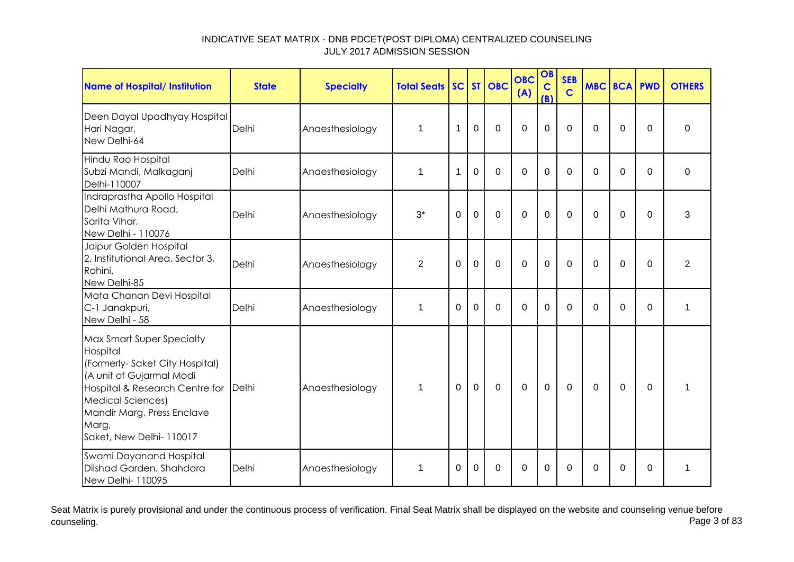| <b>Name of Hospital/ Institution</b>                                                                                                                                                                                                      | <b>State</b> | <b>Specialty</b> | <b>Total Seats</b> | SC           |          | ST OBC      | <b>OBC</b><br>(A) | OB<br>$\mathbf C$<br>(B) | <b>SEB</b><br>$\overline{c}$ | <b>MBC</b> | <b>BCA PWD</b> |          | <b>OTHERS</b>  |
|-------------------------------------------------------------------------------------------------------------------------------------------------------------------------------------------------------------------------------------------|--------------|------------------|--------------------|--------------|----------|-------------|-------------------|--------------------------|------------------------------|------------|----------------|----------|----------------|
| Deen Dayal Upadhyay Hospital<br>Hari Nagar,<br>New Delhi-64                                                                                                                                                                               | Delhi        | Anaesthesiology  | 1                  | 1            | 0        | $\mathbf 0$ | 0                 | $\overline{0}$           | $\mathbf 0$                  | $\Omega$   | 0              | $\Omega$ | $\mathbf 0$    |
| Hindu Rao Hospital<br>Subzi Mandi, Malkaganj<br>Delhi-110007                                                                                                                                                                              | Delhi        | Anaesthesiology  | 1                  | 1            | $\Omega$ | $\Omega$    | 0                 | $\Omega$                 | $\Omega$                     | $\Omega$   | 0              | $\Omega$ | 0              |
| Indraprastha Apollo Hospital<br>Delhi Mathura Road,<br>Sarita Vihar,<br>New Delhi - 110076                                                                                                                                                | Delhi        | Anaesthesiology  | $3^*$              | $\Omega$     | 0        | $\mathbf 0$ | 0                 | $\mathbf 0$              | $\mathbf 0$                  | $\Omega$   | 0              | $\Omega$ | 3              |
| Jaipur Golden Hospital<br>2, Institutional Area, Sector 3,<br>Rohini,<br>New Delhi-85                                                                                                                                                     | Delhi        | Anaesthesiology  | $\overline{2}$     | $\Omega$     | $\Omega$ | $\mathbf 0$ | 0                 | $\mathbf 0$              | $\Omega$                     | $\Omega$   | $\overline{0}$ | $\Omega$ | $\overline{2}$ |
| Mata Chanan Devi Hospital<br>C-1 Janakpuri,<br>New Delhi - 58                                                                                                                                                                             | Delhi        | Anaesthesiology  | 1                  | $\Omega$     | $\Omega$ | $\mathbf 0$ | 0                 | $\Omega$                 | $\Omega$                     | $\Omega$   | $\Omega$       | 0        | 1              |
| Max Smart Super Specialty<br>Hospital<br>(Formerly-Saket City Hospital)<br>(A unit of Gujarmal Modi<br>Hospital & Research Centre for Delhi<br><b>Medical Sciences)</b><br>Mandir Marg, Press Enclave<br>Marg,<br>Saket, New Delhi-110017 |              | Anaesthesiology  | $\mathbf 1$        | $\mathbf{0}$ | 0        | $\mathbf 0$ | 0                 | $\mathbf 0$              | $\mathbf 0$                  | $\Omega$   | 0              | $\Omega$ | 1              |
| Swami Dayanand Hospital<br>Dilshad Garden, Shahdara<br>New Delhi- 110095                                                                                                                                                                  | Delhi        | Anaesthesiology  | $\mathbf 1$        | 0            | 0        | 0           | 0                 | $\Omega$                 | 0                            | $\Omega$   | 0              | 0        | 1              |

Seat Matrix is purely provisional and under the continuous process of verification. Final Seat Matrix shall be displayed on the website and counseling venue before<br>Page 3 of 83 counseling. Page 3 of 83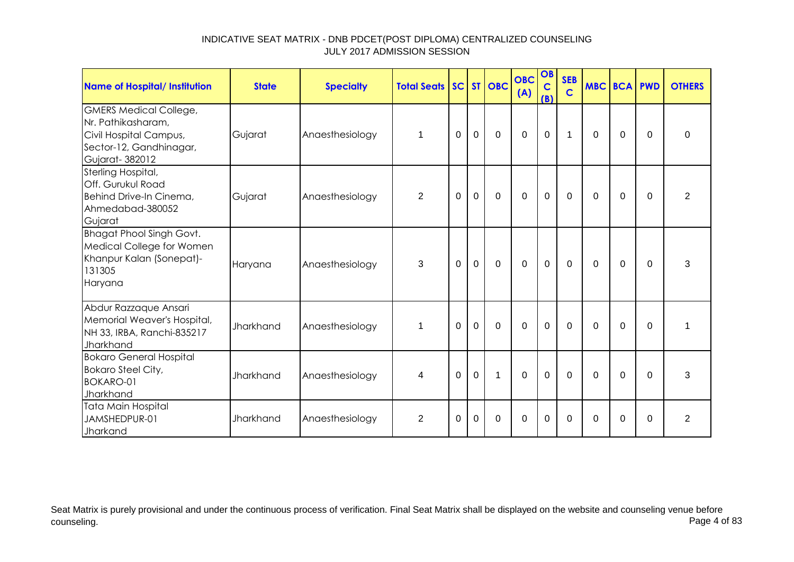| <b>Name of Hospital/ Institution</b>                                                                                       | <b>State</b>     | <b>Specialty</b> | <b>Total Seats SC ST OBC</b> |             |              |             | <b>OBC</b><br>(A) | OB<br>$\mathbf C$<br>(B) | <b>SEB</b><br>$\mathbf C$ | <b>MBC BCA PWD</b> |             |          | <b>OTHERS</b>  |
|----------------------------------------------------------------------------------------------------------------------------|------------------|------------------|------------------------------|-------------|--------------|-------------|-------------------|--------------------------|---------------------------|--------------------|-------------|----------|----------------|
| <b>GMERS Medical College,</b><br>Nr. Pathikasharam,<br>Civil Hospital Campus,<br>Sector-12, Gandhinagar,<br>Gujarat-382012 | Gujarat          | Anaesthesiology  | 1                            | $\Omega$    | $\mathbf 0$  | $\mathbf 0$ | $\overline{0}$    | $\mathbf 0$              | $\mathbf 1$               | $\Omega$           | $\mathbf 0$ | $\Omega$ | $\Omega$       |
| Sterling Hospital,<br><b>Off. Gurukul Road</b><br>Behind Drive-In Cinema,<br>Ahmedabad-380052<br>Gujarat                   | Gujarat          | Anaesthesiology  | $\overline{2}$               | $\mathbf 0$ | $\mathbf 0$  | $\mathbf 0$ | $\mathbf 0$       | $\mathbf 0$              | $\mathbf 0$               | 0                  | $\mathbf 0$ | $\Omega$ | $\overline{2}$ |
| <b>Bhagat Phool Singh Govt.</b><br>Medical College for Women<br>Khanpur Kalan (Sonepat)-<br>131305<br>Haryana              | Haryana          | Anaesthesiology  | 3                            | $\Omega$    | $\mathbf 0$  | $\mathbf 0$ | $\mathbf 0$       | $\mathbf 0$              | 0                         | $\Omega$           | $\Omega$    | $\Omega$ | 3              |
| Abdur Razzaque Ansari<br>Memorial Weaver's Hospital,<br>NH 33, IRBA, Ranchi-835217<br>Jharkhand                            | <b>Jharkhand</b> | Anaesthesiology  | $\mathbf 1$                  | $\Omega$    | $\mathbf{0}$ | $\mathbf 0$ | $\mathbf 0$       | $\mathbf{0}$             | $\Omega$                  | $\Omega$           | $\mathbf 0$ | $\Omega$ | 1              |
| <b>Bokaro General Hospital</b><br><b>Bokaro Steel City,</b><br><b>BOKARO-01</b><br>Jharkhand                               | <b>Jharkhand</b> | Anaesthesiology  | 4                            | $\mathbf 0$ | $\mathbf 0$  | $\mathbf 1$ | $\mathbf 0$       | $\mathbf 0$              | $\mathbf 0$               | $\Omega$           | $\mathbf 0$ | $\Omega$ | 3              |
| Tata Main Hospital<br>JAMSHEDPUR-01<br>Jharkand                                                                            | <b>Jharkhand</b> | Anaesthesiology  | 2                            | 0           | $\Omega$     | $\Omega$    | $\Omega$          | $\Omega$                 | $\Omega$                  | 0                  | $\Omega$    | $\Omega$ | $\overline{2}$ |

Seat Matrix is purely provisional and under the continuous process of verification. Final Seat Matrix shall be displayed on the website and counseling venue before<br>Page 4 of 83 counseling. Page 4 of 83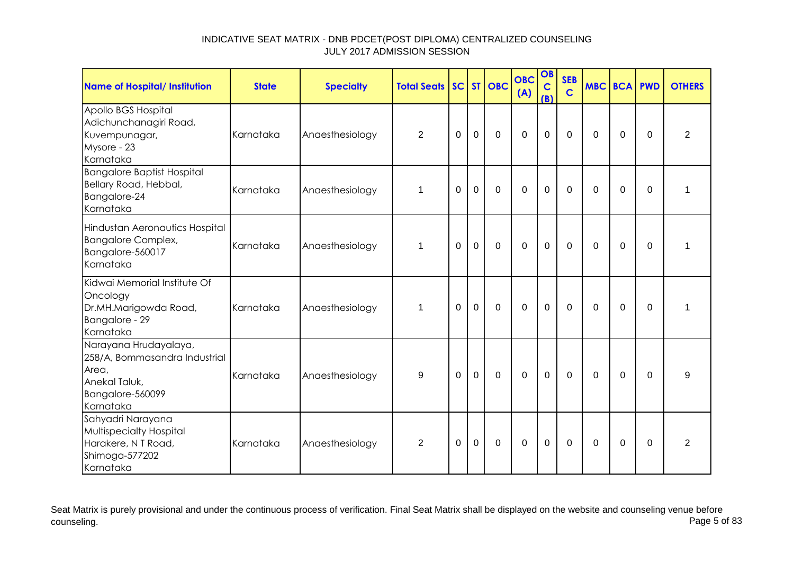| Name of Hospital/ Institution                                                                                     | <b>State</b> | <b>Specialty</b> | <b>Total Seats</b> |             |             | SC ST OBC   | <b>OBC</b><br>(A) | OB<br>$\mathbf C$<br>(B) | <b>SEB</b><br>$\mathbf C$ | <b>MBC BCA PWD</b> |             |          | <b>OTHERS</b>  |
|-------------------------------------------------------------------------------------------------------------------|--------------|------------------|--------------------|-------------|-------------|-------------|-------------------|--------------------------|---------------------------|--------------------|-------------|----------|----------------|
| Apollo BGS Hospital<br>Adichunchanagiri Road,<br>Kuvempunagar,<br>Mysore - 23<br>Karnataka                        | Karnataka    | Anaesthesiology  | $\overline{2}$     | $\mathbf 0$ | $\mathbf 0$ | $\mathbf 0$ | $\mathbf 0$       | $\mathbf 0$              | $\overline{0}$            | $\Omega$           | $\mathbf 0$ | 0        | $\overline{2}$ |
| <b>Bangalore Baptist Hospital</b><br>Bellary Road, Hebbal,<br>Bangalore-24<br>Karnataka                           | Karnataka    | Anaesthesiology  | $\mathbf 1$        | 0           | $\mathbf 0$ | $\mathbf 0$ | $\mathbf 0$       | $\mathbf 0$              | $\Omega$                  | $\Omega$           | 0           | 0        | 1              |
| Hindustan Aeronautics Hospital<br><b>Bangalore Complex,</b><br>Bangalore-560017<br>Karnataka                      | Karnataka    | Anaesthesiology  | 1                  | $\Omega$    | $\mathbf 0$ | $\mathbf 0$ | $\mathbf 0$       | $\mathbf 0$              | $\mathbf 0$               | $\Omega$           | 0           | $\Omega$ | 1              |
| Kidwai Memorial Institute Of<br>Oncology<br>Dr.MH.Marigowda Road,<br>Bangalore - 29<br>Karnataka                  | Karnataka    | Anaesthesiology  | $\mathbf 1$        | $\Omega$    | $\mathbf 0$ | $\mathbf 0$ | $\mathbf 0$       | $\mathbf 0$              | $\mathbf 0$               | $\Omega$           | $\Omega$    | $\Omega$ | 1              |
| Narayana Hrudayalaya,<br>258/A, Bommasandra Industrial<br>Area,<br>Anekal Taluk,<br>Bangalore-560099<br>Karnataka | Karnataka    | Anaesthesiology  | 9                  | $\Omega$    | $\Omega$    | $\mathbf 0$ | $\mathbf 0$       | $\overline{0}$           | $\mathbf 0$               | $\Omega$           | $\mathbf 0$ | $\Omega$ | 9              |
| Sahyadri Narayana<br>Multispecialty Hospital<br>Harakere, N T Road,<br>Shimoga-577202<br>Karnataka                | Karnataka    | Anaesthesiology  | $\overline{2}$     | 0           | $\mathbf 0$ | $\mathbf 0$ | $\mathbf 0$       | $\mathbf 0$              | $\mathbf 0$               | $\Omega$           | 0           | 0        | $\overline{2}$ |

Seat Matrix is purely provisional and under the continuous process of verification. Final Seat Matrix shall be displayed on the website and counseling venue before<br>Page 5 of 83 counseling. Page 5 of 83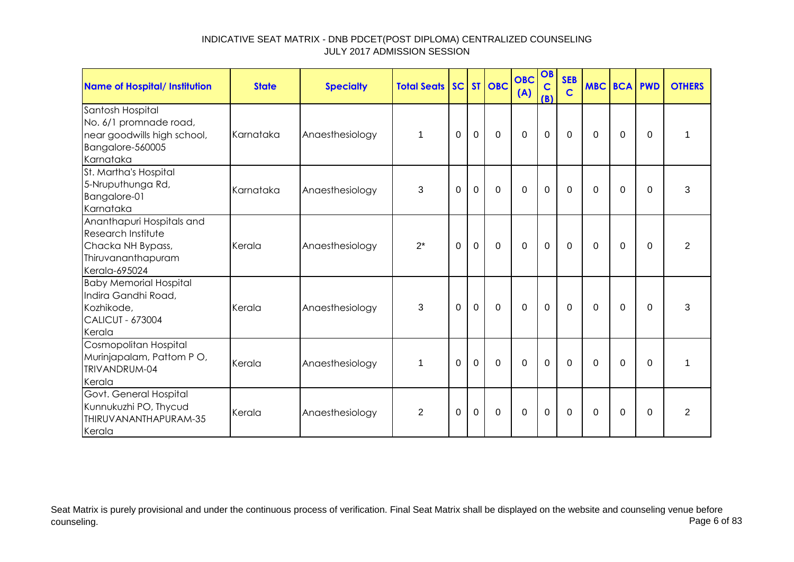| <b>Name of Hospital/ Institution</b>                                                                               | <b>State</b> | <b>Specialty</b> | <b>Total Seats SC ST OBC</b> |             |                |             | <b>OBC</b><br>(A) | OB<br>$\mathbf C$<br>(B) | <b>SEB</b><br>$\mathbf C$ | <b>MBC BCA PWD</b> |             |          | <b>OTHERS</b>  |
|--------------------------------------------------------------------------------------------------------------------|--------------|------------------|------------------------------|-------------|----------------|-------------|-------------------|--------------------------|---------------------------|--------------------|-------------|----------|----------------|
| Santosh Hospital<br>No. 6/1 promnade road,<br>near goodwills high school,<br>Bangalore-560005<br>Karnataka         | Karnataka    | Anaesthesiology  | 1                            | $\Omega$    | $\mathbf 0$    | $\mathbf 0$ | $\mathbf 0$       | $\mathbf 0$              | $\mathbf 0$               | 0                  | 0           | $\Omega$ | 1              |
| St. Martha's Hospital<br>5-Nruputhunga Rd,<br>Bangalore-01<br>Karnataka                                            | Karnataka    | Anaesthesiology  | 3                            | 0           | $\mathbf 0$    | $\Omega$    | $\mathbf 0$       | $\mathbf 0$              | $\mathbf{0}$              | $\Omega$           | $\Omega$    | $\Omega$ | 3              |
| Ananthapuri Hospitals and<br><b>Research Institute</b><br>Chacka NH Bypass,<br>Thiruvananthapuram<br>Kerala-695024 | Kerala       | Anaesthesiology  | $2^*$                        | $\mathbf 0$ | $\mathbf{0}$   | $\mathbf 0$ | $\overline{0}$    | $\mathbf 0$              | $\mathbf 0$               | $\mathbf 0$        | $\mathbf 0$ | $\Omega$ | $\overline{2}$ |
| <b>Baby Memorial Hospital</b><br>Indira Gandhi Road,<br>Kozhikode,<br><b>CALICUT - 673004</b><br>Kerala            | Kerala       | Anaesthesiology  | 3                            | $\Omega$    | $\overline{0}$ | $\mathbf 0$ | $\mathbf 0$       | $\mathbf 0$              | $\mathbf 0$               | $\Omega$           | $\Omega$    | $\Omega$ | 3              |
| Cosmopolitan Hospital<br>Murinjapalam, Pattom PO,<br>TRIVANDRUM-04<br>Kerala                                       | Kerala       | Anaesthesiology  | $\mathbf 1$                  | $\Omega$    | $\mathbf 0$    | $\mathbf 0$ | $\mathbf 0$       | $\mathbf 0$              | $\mathbf 0$               | 0                  | 0           | 0        | 1              |
| Govt. General Hospital<br>Kunnukuzhi PO, Thycud<br>THIRUVANANTHAPURAM-35<br>Kerala                                 | Kerala       | Anaesthesiology  | $\overline{2}$               | 0           | 0              | 0           | $\mathbf 0$       | $\mathbf 0$              | 0                         | 0                  | 0           | 0        | $\overline{2}$ |

Seat Matrix is purely provisional and under the continuous process of verification. Final Seat Matrix shall be displayed on the website and counseling venue before<br>Page 6 of 83 counseling. Page 6 of 83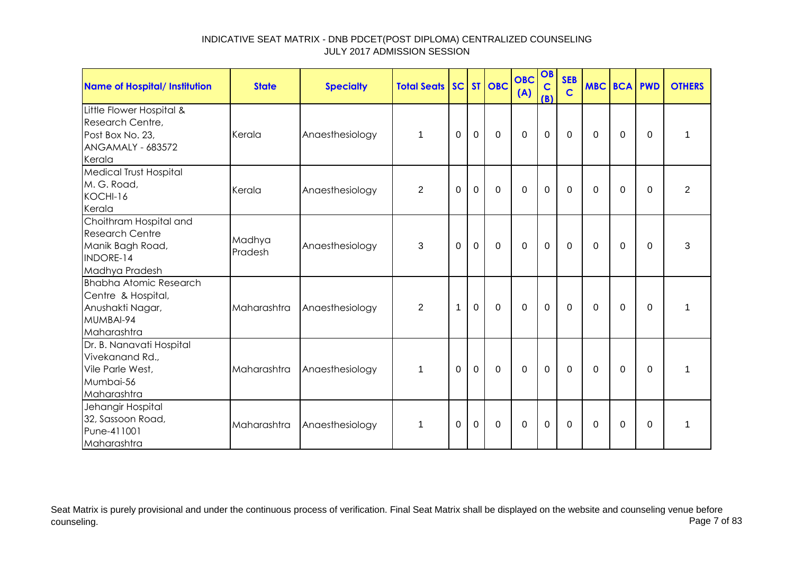| <b>Name of Hospital/ Institution</b>                                                                   | <b>State</b>      | <b>Specialty</b> | <b>Total Seats</b> |             |                | SC ST OBC   | <b>OBC</b><br>(A) | OB<br>$\mathbf c$<br>(B) | <b>SEB</b><br>$\mathbf C$ |             | <b>MBC BCA PWD</b> |             | <b>OTHERS</b>  |
|--------------------------------------------------------------------------------------------------------|-------------------|------------------|--------------------|-------------|----------------|-------------|-------------------|--------------------------|---------------------------|-------------|--------------------|-------------|----------------|
| Little Flower Hospital &<br>Research Centre,<br>Post Box No. 23,<br><b>ANGAMALY - 683572</b><br>Kerala | Kerala            | Anaesthesiology  | $\mathbf 1$        | $\Omega$    | $\overline{0}$ | $\Omega$    | $\Omega$          | $\mathbf 0$              | $\Omega$                  | $\Omega$    | $\Omega$           | $\Omega$    | 1              |
| <b>Medical Trust Hospital</b><br>M. G. Road,<br>KOCHI-16<br>Kerala                                     | Kerala            | Anaesthesiology  | $\overline{2}$     | $\mathbf 0$ | $\mathbf 0$    | $\mathbf 0$ | $\overline{0}$    | $\mathbf 0$              | $\mathbf 0$               | $\mathbf 0$ | $\mathbf 0$        | $\Omega$    | $\overline{2}$ |
| Choithram Hospital and<br><b>Research Centre</b><br>Manik Bagh Road,<br>INDORE-14<br>Madhya Pradesh    | Madhya<br>Pradesh | Anaesthesiology  | 3                  | $\Omega$    | $\mathbf{0}$   | $\mathbf 0$ | $\mathbf 0$       | $\overline{0}$           | $\mathbf 0$               | $\Omega$    | $\mathbf 0$        | $\Omega$    | 3              |
| <b>Bhabha Atomic Research</b><br>Centre & Hospital,<br>Anushakti Nagar,<br>MUMBAI-94<br>Maharashtra    | Maharashtra       | Anaesthesiology  | $\overline{2}$     | $\mathbf 1$ | $\Omega$       | $\mathbf 0$ | $\overline{0}$    | $\mathbf 0$              | $\Omega$                  | $\mathbf 0$ | $\overline{0}$     | $\Omega$    | 1              |
| Dr. B. Nanavati Hospital<br>Vivekanand Rd.,<br>Vile Parle West,<br>Mumbai-56<br>Maharashtra            | Maharashtra       | Anaesthesiology  | $\mathbf 1$        | $\Omega$    | $\overline{0}$ | $\mathbf 0$ | $\mathbf 0$       | $\mathbf 0$              | $\mathbf 0$               | $\Omega$    | $\Omega$           | $\Omega$    | 1              |
| Jehangir Hospital<br>32, Sassoon Road,<br>Pune-411001<br>Maharashtra                                   | Maharashtra       | Anaesthesiology  | $\mathbf{1}$       | $\Omega$    | $\mathbf 0$    | $\mathbf 0$ | $\mathbf 0$       | $\mathbf 0$              | $\mathbf 0$               | 0           | $\mathbf 0$        | $\mathbf 0$ | $\mathbf{1}$   |

Seat Matrix is purely provisional and under the continuous process of verification. Final Seat Matrix shall be displayed on the website and counseling venue before<br>Page 7 of 83 counseling. Page 7 of 83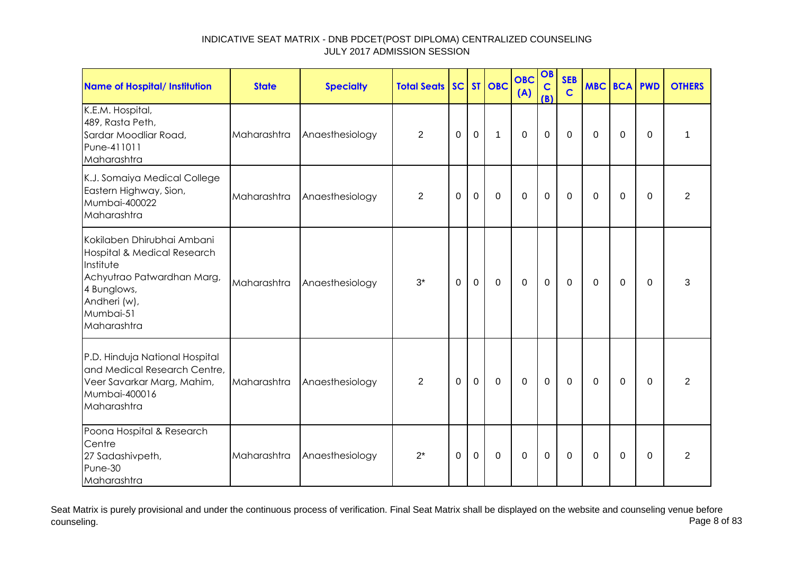| <b>Name of Hospital/ Institution</b>                                                                                                                            | <b>State</b> | <b>Specialty</b> | <b>Total Seats</b> |          |                | SC ST OBC    | <b>OBC</b><br>(A) | OB<br>$\mathbf C$<br>(B) | <b>SEB</b><br>$\mathbf C$ | MBC BCA PWD |             |          | <b>OTHERS</b>  |
|-----------------------------------------------------------------------------------------------------------------------------------------------------------------|--------------|------------------|--------------------|----------|----------------|--------------|-------------------|--------------------------|---------------------------|-------------|-------------|----------|----------------|
| K.E.M. Hospital,<br>489, Rasta Peth,<br>Sardar Moodliar Road,<br>Pune-411011<br>Maharashtra                                                                     | Maharashtra  | Anaesthesiology  | $\overline{2}$     | $\Omega$ | $\mathbf 0$    | $\mathbf 1$  | $\mathbf 0$       | $\mathbf 0$              | $\Omega$                  | $\Omega$    | $\Omega$    | $\Omega$ | 1              |
| K.J. Somaiya Medical College<br>Eastern Highway, Sion,<br>Mumbai-400022<br>Maharashtra                                                                          | Maharashtra  | Anaesthesiology  | $\overline{2}$     | $\Omega$ | $\overline{0}$ | $\mathbf 0$  | $\mathbf 0$       | $\mathbf 0$              | $\Omega$                  | $\Omega$    | $\mathbf 0$ | $\Omega$ | $\overline{2}$ |
| Kokilaben Dhirubhai Ambani<br>Hospital & Medical Research<br>Institute<br>Achyutrao Patwardhan Marg,<br>4 Bunglows,<br>Andheri (w),<br>Mumbai-51<br>Maharashtra | Maharashtra  | Anaesthesiology  | $3^*$              | 0        | $\mathbf 0$    | $\mathbf 0$  | $\overline{0}$    | $\mathbf 0$              | $\Omega$                  | $\Omega$    | 0           | $\Omega$ | 3              |
| P.D. Hinduja National Hospital<br>and Medical Research Centre,<br>Veer Savarkar Marg, Mahim,<br>Mumbai-400016<br>Maharashtra                                    | Maharashtra  | Anaesthesiology  | $\overline{2}$     | $\Omega$ | $\mathbf 0$    | $\mathbf 0$  | $\mathbf 0$       | $\mathbf 0$              | $\Omega$                  | $\Omega$    | 0           | $\Omega$ | $\overline{2}$ |
| Poona Hospital & Research<br>Centre<br>27 Sadashivpeth,<br>Pune-30<br>Maharashtra                                                                               | Maharashtra  | Anaesthesiology  | $2^*$              | $\Omega$ | $\overline{0}$ | $\mathbf{0}$ | 0                 | $\mathbf 0$              | $\Omega$                  | $\Omega$    | $\Omega$    | $\Omega$ | $\overline{2}$ |

Seat Matrix is purely provisional and under the continuous process of verification. Final Seat Matrix shall be displayed on the website and counseling venue before<br>Page 8 of 83 counseling. Page 8 of 83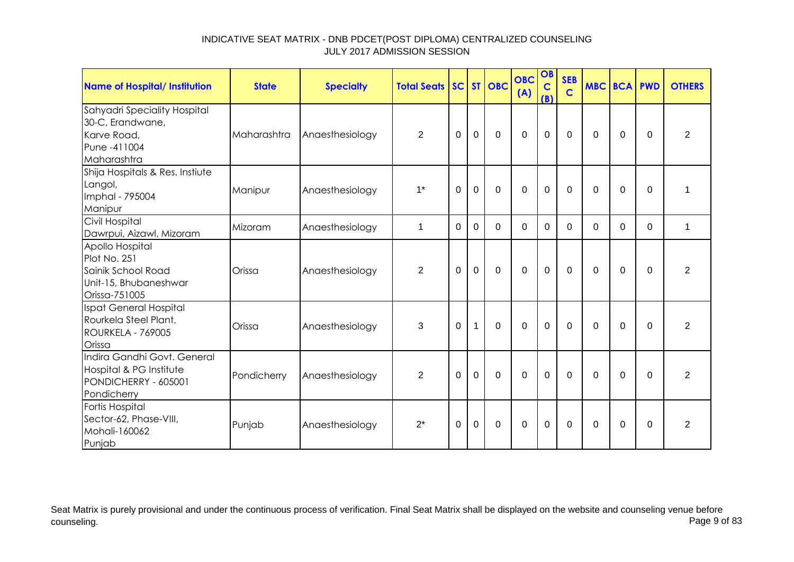| <b>Name of Hospital/ Institution</b>                                                            | <b>State</b> | <b>Specialty</b> | <b>Total Seats SC ST OBC</b> |                |                |             | <b>OBC</b><br>(A) | OB<br>$\mathbf C$<br>(B) | <b>SEB</b><br>$\mathbf C$ | <b>MBC BCA PWD</b> |                |          | <b>OTHERS</b>  |
|-------------------------------------------------------------------------------------------------|--------------|------------------|------------------------------|----------------|----------------|-------------|-------------------|--------------------------|---------------------------|--------------------|----------------|----------|----------------|
| Sahyadri Speciality Hospital<br>30-C, Erandwane,<br>Karve Road,<br>Pune -411004<br>Maharashtra  | Maharashtra  | Anaesthesiology  | $\overline{2}$               | $\Omega$       | $\overline{0}$ | $\mathbf 0$ | $\mathbf 0$       | $\mathbf 0$              | $\mathbf 0$               | $\Omega$           | $\Omega$       | $\Omega$ | $\overline{2}$ |
| Shija Hospitals & Res. Instiute<br>Langol,<br>Imphal - 795004<br>Manipur                        | Manipur      | Anaesthesiology  | $1*$                         | $\mathbf 0$    | $\mathbf 0$    | $\mathbf 0$ | $\overline{0}$    | $\mathbf 0$              | $\mathbf 0$               | $\Omega$           | $\mathbf 0$    | $\Omega$ | 1              |
| Civil Hospital<br>Dawrpui, Aizawl, Mizoram                                                      | Mizoram      | Anaesthesiology  | $\mathbf 1$                  | 0              | $\Omega$       | $\Omega$    | $\Omega$          | $\Omega$                 | $\Omega$                  | $\Omega$           | $\Omega$       | $\Omega$ | 1              |
| Apollo Hospital<br>Plot No. 251<br>Sainik School Road<br>Unit-15, Bhubaneshwar<br>Orissa-751005 | Orissa       | Anaesthesiology  | $\overline{2}$               | $\overline{0}$ | $\mathbf 0$    | $\mathbf 0$ | $\mathbf 0$       | $\mathbf 0$              | $\mathbf 0$               | $\Omega$           | $\mathbf 0$    | $\Omega$ | $\overline{2}$ |
| Ispat General Hospital<br>Rourkela Steel Plant,<br>ROURKELA - 769005<br>Orissa                  | Orissa       | Anaesthesiology  | 3                            | $\Omega$       | $\mathbf{1}$   | $\Omega$    | $\Omega$          | $\mathbf 0$              | $\Omega$                  | $\Omega$           | $\Omega$       | $\Omega$ | $\overline{2}$ |
| Indira Gandhi Govt. General<br>Hospital & PG Institute<br>PONDICHERRY - 605001<br>Pondicherry   | Pondicherry  | Anaesthesiology  | $\overline{2}$               | $\Omega$       | $\overline{0}$ | $\Omega$    | $\Omega$          | 0                        | $\Omega$                  | $\Omega$           | $\Omega$       | $\Omega$ | 2              |
| Fortis Hospital<br>Sector-62, Phase-VIII,<br>Mohali-160062<br>Punjab                            | Punjab       | Anaesthesiology  | $2^*$                        | $\Omega$       | $\mathbf 0$    | $\mathbf 0$ | $\mathbf 0$       | $\mathbf 0$              | $\mathbf 0$               | $\Omega$           | $\overline{0}$ | $\Omega$ | $\overline{2}$ |

Seat Matrix is purely provisional and under the continuous process of verification. Final Seat Matrix shall be displayed on the website and counseling venue before<br>Page 9 of 83 counseling. Page 9 of 83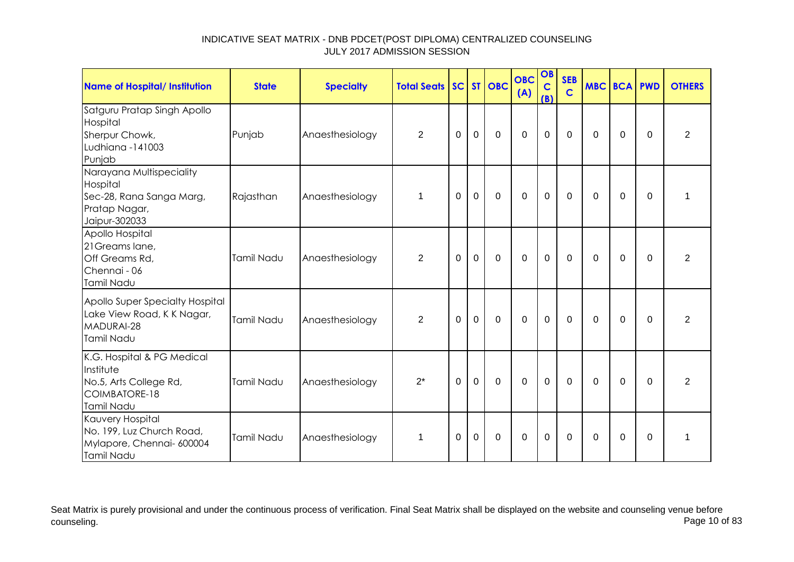| Name of Hospital/ Institution                                                                      | <b>State</b> | <b>Specialty</b> | <b>Total Seats SC ST OBC</b> |             |             |             | <b>OBC</b><br>(A) | OB<br>$\mathbf C$<br>(B) | <b>SEB</b><br>$\mathbf C$ | <b>MBC BCA PWD</b> |             |          | <b>OTHERS</b>  |
|----------------------------------------------------------------------------------------------------|--------------|------------------|------------------------------|-------------|-------------|-------------|-------------------|--------------------------|---------------------------|--------------------|-------------|----------|----------------|
| Satguru Pratap Singh Apollo<br>Hospital<br>Sherpur Chowk,<br>Ludhiana -141003<br>Punjab            | Punjab       | Anaesthesiology  | $\overline{2}$               | $\Omega$    | $\mathbf 0$ | $\mathbf 0$ | $\overline{0}$    | $\mathbf 0$              | $\mathbf 0$               | $\Omega$           | $\Omega$    | $\Omega$ | $\overline{2}$ |
| Narayana Multispeciality<br>Hospital<br>Sec-28, Rana Sanga Marg,<br>Pratap Nagar,<br>Jaipur-302033 | Rajasthan    | Anaesthesiology  | $\mathbf{1}$                 | 0           | $\mathbf 0$ | $\mathbf 0$ | $\mathbf 0$       | $\mathbf 0$              | $\mathbf 0$               | 0                  | 0           | $\Omega$ | 1              |
| Apollo Hospital<br>21 Greams lane,<br>Off Greams Rd,<br>Chennai - 06<br>Tamil Nadu                 | Tamil Nadu   | Anaesthesiology  | $\overline{2}$               | $\mathbf 0$ | $\mathbf 0$ | $\mathbf 0$ | $\mathbf 0$       | $\mathbf 0$              | $\mathbf 0$               | 0                  | $\mathbf 0$ | $\Omega$ | $\overline{2}$ |
| Apollo Super Specialty Hospital<br>Lake View Road, K K Nagar,<br>MADURAI-28<br>Tamil Nadu          | Tamil Nadu   | Anaesthesiology  | $\overline{2}$               | 0           | $\mathbf 0$ | $\mathbf 0$ | $\mathbf 0$       | $\mathbf 0$              | 0                         | 0                  | 0           | $\Omega$ | 2              |
| K.G. Hospital & PG Medical<br>Institute<br>No.5, Arts College Rd,<br>COIMBATORE-18<br>Tamil Nadu   | Tamil Nadu   | Anaesthesiology  | $2^*$                        | $\Omega$    | $\mathbf 0$ | $\mathbf 0$ | $\overline{0}$    | $\mathbf 0$              | $\mathbf 0$               | $\Omega$           | $\Omega$    | $\Omega$ | $\overline{2}$ |
| Kauvery Hospital<br>No. 199, Luz Church Road,<br>Mylapore, Chennai- 600004<br>Tamil Nadu           | Tamil Nadu   | Anaesthesiology  | $\mathbf 1$                  | 0           | 0           | 0           | 0                 | $\mathbf 0$              | 0                         | 0                  | 0           | $\Omega$ | 1              |

Seat Matrix is purely provisional and under the continuous process of verification. Final Seat Matrix shall be displayed on the website and counseling venue before<br>Page 10 of 83 counseling. Page 10 of 83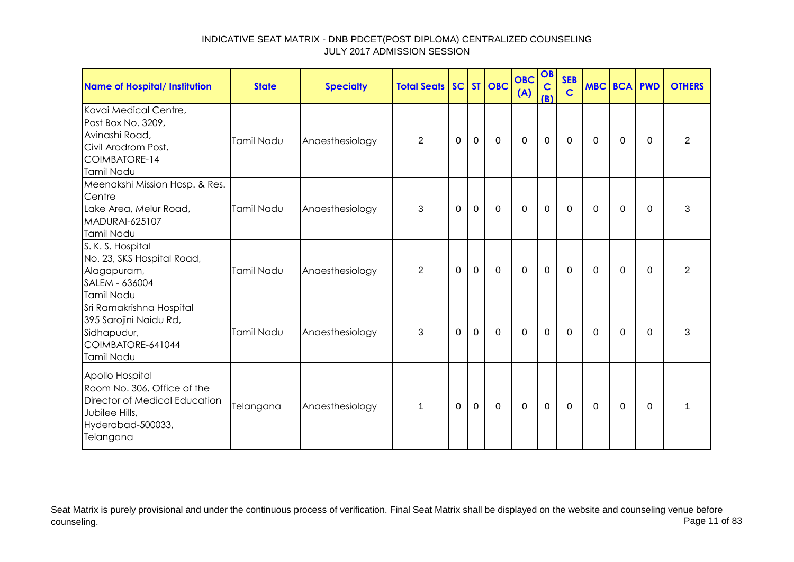| <b>Name of Hospital/ Institution</b>                                                                                                | <b>State</b> | <b>Specialty</b> | <b>Total Seats   SC   ST   OBC</b> |             |                |             | <b>OBC</b><br>(A) | OB<br>$\mathbf C$<br>(B) | <b>SEB</b><br>$\mathbf C$ | <b>MBC BCA PWD</b> |                |             | <b>OTHERS</b>  |
|-------------------------------------------------------------------------------------------------------------------------------------|--------------|------------------|------------------------------------|-------------|----------------|-------------|-------------------|--------------------------|---------------------------|--------------------|----------------|-------------|----------------|
| Kovai Medical Centre,<br>Post Box No. 3209,<br>Avinashi Road,<br>Civil Arodrom Post,<br>COIMBATORE-14<br>Tamil Nadu                 | Tamil Nadu   | Anaesthesiology  | $\overline{2}$                     | $\mathbf 0$ | $\overline{0}$ | $\mathbf 0$ | $\overline{0}$    | $\mathbf 0$              | $\mathbf 0$               | $\Omega$           | $\mathbf 0$    | $\Omega$    | 2              |
| Meenakshi Mission Hosp. & Res.<br>Centre<br>Lake Area, Melur Road,<br><b>MADURAI-625107</b><br>Tamil Nadu                           | Tamil Nadu   | Anaesthesiology  | 3                                  | 0           | $\mathbf 0$    | $\mathbf 0$ | $\mathbf 0$       | $\mathbf 0$              | $\mathbf 0$               | $\mathbf 0$        | 0              | $\Omega$    | 3              |
| S. K. S. Hospital<br>No. 23, SKS Hospital Road,<br>Alagapuram,<br>SALEM - 636004<br>Tamil Nadu                                      | Tamil Nadu   | Anaesthesiology  | $\overline{2}$                     | $\mathbf 0$ | $\mathbf 0$    | $\mathbf 0$ | $\mathbf 0$       | $\mathbf 0$              | $\overline{0}$            | $\mathbf{0}$       | $\overline{0}$ | $\mathbf 0$ | $\overline{2}$ |
| Sri Ramakrishna Hospital<br>395 Sarojini Naidu Rd,<br>Sidhapudur,<br>COIMBATORE-641044<br>Tamil Nadu                                | Tamil Nadu   | Anaesthesiology  | 3                                  | $\Omega$    | $\mathbf{0}$   | $\mathbf 0$ | $\mathbf 0$       | $\mathbf{0}$             | $\Omega$                  | $\Omega$           | $\overline{0}$ | $\Omega$    | 3              |
| Apollo Hospital<br>Room No. 306, Office of the<br>Director of Medical Education<br>Jubilee Hills,<br>Hyderabad-500033,<br>Telangana | Telangana    | Anaesthesiology  | 1                                  | $\Omega$    | $\mathbf 0$    | $\mathbf 0$ | $\mathbf 0$       | $\mathbf 0$              | $\mathbf 0$               | $\mathbf{0}$       | $\Omega$       | $\mathbf 0$ | 1              |

Seat Matrix is purely provisional and under the continuous process of verification. Final Seat Matrix shall be displayed on the website and counseling venue before<br>Page 11 of 83 counseling. Page 11 of 83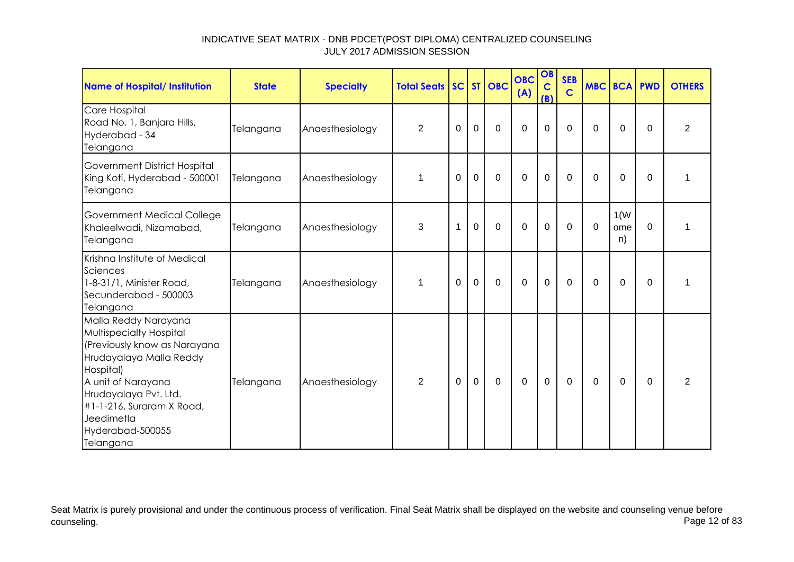| Name of Hospital/ Institution                                                                                                                                                                                                                             | <b>State</b> | <b>Specialty</b> | <b>Total Seats</b> |             |             | SC ST OBC   | <b>OBC</b><br>(A) | OB<br>$\mathbf C$<br>(B) | <b>SEB</b><br>$\mathbf C$ | <b>MBC BCA PWD</b> |                   |          | <b>OTHERS</b>  |
|-----------------------------------------------------------------------------------------------------------------------------------------------------------------------------------------------------------------------------------------------------------|--------------|------------------|--------------------|-------------|-------------|-------------|-------------------|--------------------------|---------------------------|--------------------|-------------------|----------|----------------|
| Care Hospital<br>Road No. 1, Banjara Hills,<br>Hyderabad - 34<br>Telangana                                                                                                                                                                                | Telangana    | Anaesthesiology  | $\overline{2}$     | $\mathbf 0$ | $\mathbf 0$ | $\mathbf 0$ | $\mathbf 0$       | 0                        | $\mathbf 0$               | $\Omega$           | $\mathbf 0$       | $\Omega$ | $\overline{2}$ |
| Government District Hospital<br>King Koti, Hyderabad - 500001<br>Telangana                                                                                                                                                                                | Telangana    | Anaesthesiology  | 1                  | $\Omega$    | $\mathbf 0$ | $\mathbf 0$ | $\mathbf 0$       | 0                        | $\mathbf 0$               | $\Omega$           | $\Omega$          | $\Omega$ | 1              |
| Government Medical College<br>Khaleelwadi, Nizamabad,<br>Telangana                                                                                                                                                                                        | Telangana    | Anaesthesiology  | 3                  | 1           | $\mathbf 0$ | $\Omega$    | $\mathbf 0$       | 0                        | 0                         | 0                  | 1(W)<br>ome<br>n) | $\Omega$ | 1              |
| Krishna Institute of Medical<br>Sciences<br>1-8-31/1, Minister Road,<br>Secunderabad - 500003<br>Telangana                                                                                                                                                | Telangana    | Anaesthesiology  | $\mathbf 1$        | $\Omega$    | $\mathbf 0$ | $\Omega$    | $\Omega$          | $\mathbf 0$              | $\Omega$                  | $\Omega$           | $\Omega$          | $\Omega$ | 1              |
| Malla Reddy Narayana<br><b>Multispecialty Hospital</b><br>(Previously know as Narayana<br>Hrudayalaya Malla Reddy<br>Hospital)<br>A unit of Narayana<br>Hrudayalaya Pvt. Ltd.<br>#1-1-216, Suraram X Road,<br>Jeedimetla<br>Hyderabad-500055<br>Telangana | Telangana    | Anaesthesiology  | $\overline{2}$     | 0           | $\mathbf 0$ | $\mathbf 0$ | $\mathbf 0$       | $\mathbf 0$              | 0                         | 0                  | 0                 | $\Omega$ | $\overline{2}$ |

Seat Matrix is purely provisional and under the continuous process of verification. Final Seat Matrix shall be displayed on the website and counseling venue before<br>Page 12 of 83 counseling. Page 12 of 83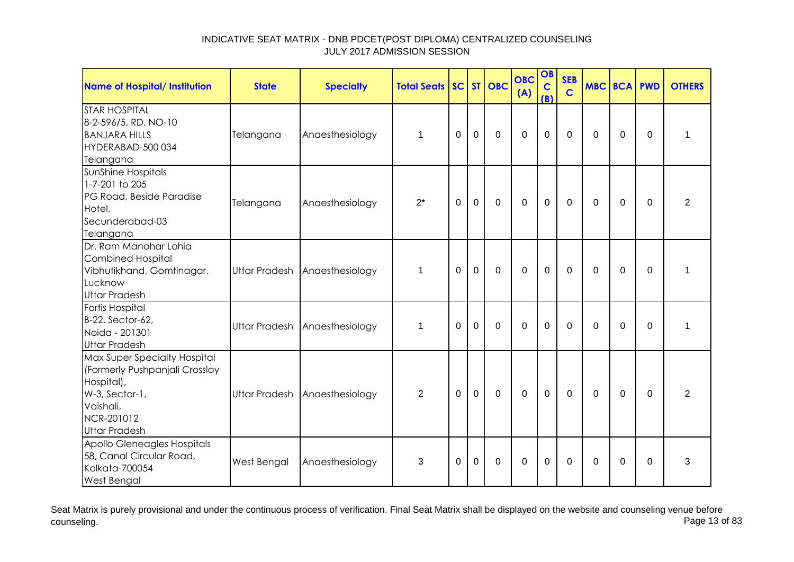| Name of Hospital/ Institution                                                                                                                     | <b>State</b> | <b>Specialty</b>              | <b>Total Seats</b> |             |             | SC ST OBC    | <b>OBC</b><br>(A) | OB<br>$\mathbf C$<br>(B) | <b>SEB</b><br>$\mathbf C$ | <b>MBC BCA PWD</b> |                |             | <b>OTHERS</b>  |
|---------------------------------------------------------------------------------------------------------------------------------------------------|--------------|-------------------------------|--------------------|-------------|-------------|--------------|-------------------|--------------------------|---------------------------|--------------------|----------------|-------------|----------------|
| <b>STAR HOSPITAL</b><br>8-2-596/5, RD. NO-10<br><b>BANJARA HILLS</b><br>HYDERABAD-500 034<br>Telangana                                            | Telangana    | Anaesthesiology               | $\mathbf 1$        | $\Omega$    | $\mathbf 0$ | $\mathbf 0$  | $\mathbf 0$       | $\mathbf 0$              | $\Omega$                  | $\Omega$           | $\mathbf 0$    | $\Omega$    | 1              |
| SunShine Hospitals<br>1-7-201 to 205<br>PG Road, Beside Paradise<br>Hotel,<br>Secunderabad-03<br>Telangana                                        | Telangana    | Anaesthesiology               | $2^*$              | $\mathbf 0$ | $\mathbf 0$ | $\mathbf{0}$ | $\mathbf 0$       | $\mathbf 0$              | $\mathbf 0$               | $\Omega$           | $\overline{0}$ | $\Omega$    | $\overline{2}$ |
| Dr. Ram Manohar Lohia<br><b>Combined Hospital</b><br>Vibhutikhand, Gomtinagar,<br>Lucknow<br><b>Uttar Pradesh</b>                                 |              | Uttar Pradesh Anaesthesiology | 1                  | $\Omega$    | $\mathbf 0$ | $\mathbf 0$  | $\mathbf 0$       | $\mathbf 0$              | $\Omega$                  | $\Omega$           | 0              | $\Omega$    | 1              |
| Fortis Hospital<br>B-22, Sector-62,<br>Noida - 201301<br><b>Uttar Pradesh</b>                                                                     |              | Uttar Pradesh Anaesthesiology | $\mathbf{1}$       | $\mathbf 0$ | $\mathbf 0$ | $\mathbf 0$  | $\mathbf 0$       | $\overline{0}$           | $\mathbf 0$               | $\Omega$           | $\overline{0}$ | $\mathbf 0$ | $\mathbf{1}$   |
| Max Super Specialty Hospital<br>(Formerly Pushpanjali Crosslay<br>Hospital),<br>W-3, Sector-1,<br>Vaishali,<br>NCR-201012<br><b>Uttar Pradesh</b> |              | Uttar Pradesh Anaesthesiology | $\overline{2}$     | $\mathbf 0$ | $\mathbf 0$ | $\mathbf 0$  | $\mathbf 0$       | $\mathbf{0}$             | $\mathbf 0$               | $\mathbf 0$        | $\overline{0}$ | $\mathbf 0$ | $\overline{2}$ |
| Apollo Gleneagles Hospitals<br>58, Canal Circular Road,<br>Kolkata-700054<br><b>West Bengal</b>                                                   | West Bengal  | Anaesthesiology               | 3                  | 0           | 0           | $\mathbf 0$  | $\mathbf 0$       | $\mathbf 0$              | $\Omega$                  | $\Omega$           | 0              | $\Omega$    | 3              |

Seat Matrix is purely provisional and under the continuous process of verification. Final Seat Matrix shall be displayed on the website and counseling venue before<br>Page 13 of 83 counseling. Page 13 of 83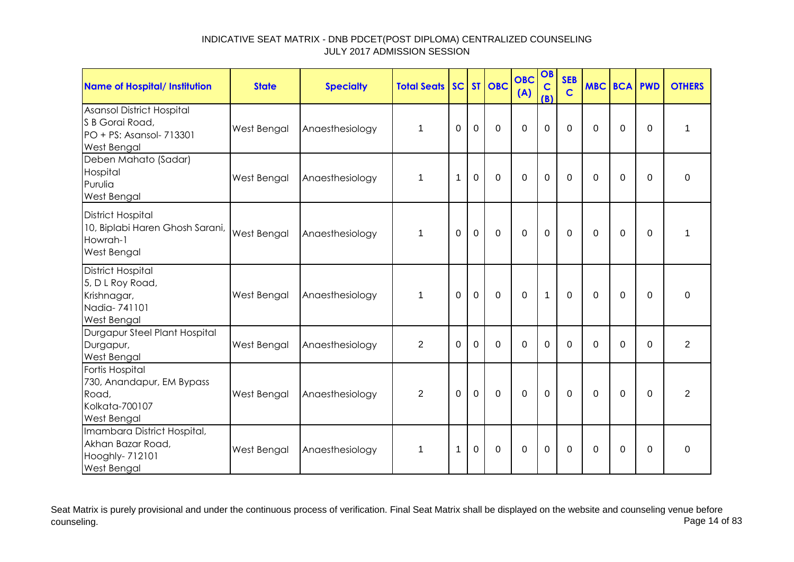| Name of Hospital/ Institution                                                                 | <b>State</b> | <b>Specialty</b> | <b>Total Seats</b> |          |                | SC ST OBC   | <b>OBC</b><br>(A) | OB<br>$\mathbf C$<br>(B) | <b>SEB</b><br>$\mathbf C$ |              | <b>MBC BCA PWD</b> |                | <b>OTHERS</b>  |
|-----------------------------------------------------------------------------------------------|--------------|------------------|--------------------|----------|----------------|-------------|-------------------|--------------------------|---------------------------|--------------|--------------------|----------------|----------------|
| Asansol District Hospital<br>S B Gorai Road,<br>PO + PS: Asansol- 713301<br>West Bengal       | West Bengal  | Anaesthesiology  | $\mathbf 1$        | 0        | $\overline{0}$ | $\mathbf 0$ | $\mathbf 0$       | 0                        | $\overline{0}$            | $\Omega$     | $\mathbf 0$        | $\overline{0}$ | 1              |
| Deben Mahato (Sadar)<br>Hospital<br>Purulia<br>West Bengal                                    | West Bengal  | Anaesthesiology  | $\mathbf 1$        | 1        | $\overline{0}$ | $\Omega$    | $\Omega$          | $\overline{0}$           | $\Omega$                  | $\Omega$     | $\mathbf 0$        | $\Omega$       | $\mathbf 0$    |
| <b>District Hospital</b><br>10, Biplabi Haren Ghosh Sarani,<br>Howrah-1<br>West Bengal        | West Bengal  | Anaesthesiology  | $\mathbf 1$        | $\Omega$ | $\mathbf 0$    | $\mathbf 0$ | $\mathbf 0$       | $\mathbf 0$              | $\mathbf 0$               | $\Omega$     | $\mathbf 0$        | $\overline{0}$ | 1              |
| <b>District Hospital</b><br>5, D L Roy Road,<br>Krishnagar,<br>Nadia-741101<br>West Bengal    | West Bengal  | Anaesthesiology  | $\mathbf 1$        | $\Omega$ | $\mathbf 0$    | $\mathbf 0$ | $\mathbf 0$       | $\mathbf{1}$             | $\Omega$                  | $\mathbf{0}$ | $\overline{0}$     | $\Omega$       | 0              |
| Durgapur Steel Plant Hospital<br>Durgapur,<br>West Bengal                                     | West Bengal  | Anaesthesiology  | $\overline{2}$     | $\Omega$ | $\Omega$       | $\Omega$    | $\Omega$          | $\Omega$                 | $\Omega$                  | $\Omega$     | $\Omega$           | $\Omega$       | $\overline{2}$ |
| Fortis Hospital<br>730, Anandapur, EM Bypass<br>Road,<br>Kolkata-700107<br><b>West Bengal</b> | West Bengal  | Anaesthesiology  | 2                  | $\Omega$ | $\overline{0}$ | $\mathbf 0$ | $\mathbf 0$       | $\mathbf 0$              | $\Omega$                  | $\Omega$     | $\Omega$           | $\Omega$       | 2              |
| Imambara District Hospital,<br>Akhan Bazar Road,<br>Hooghly- 712101<br><b>West Bengal</b>     | West Bengal  | Anaesthesiology  | $\mathbf 1$        | 1        | $\mathbf 0$    | $\Omega$    | $\mathbf 0$       | $\mathbf 0$              | $\Omega$                  | $\Omega$     | $\mathbf 0$        | $\Omega$       | $\Omega$       |

Seat Matrix is purely provisional and under the continuous process of verification. Final Seat Matrix shall be displayed on the website and counseling venue before<br>Page 14 of 83 counseling. Page 14 of 83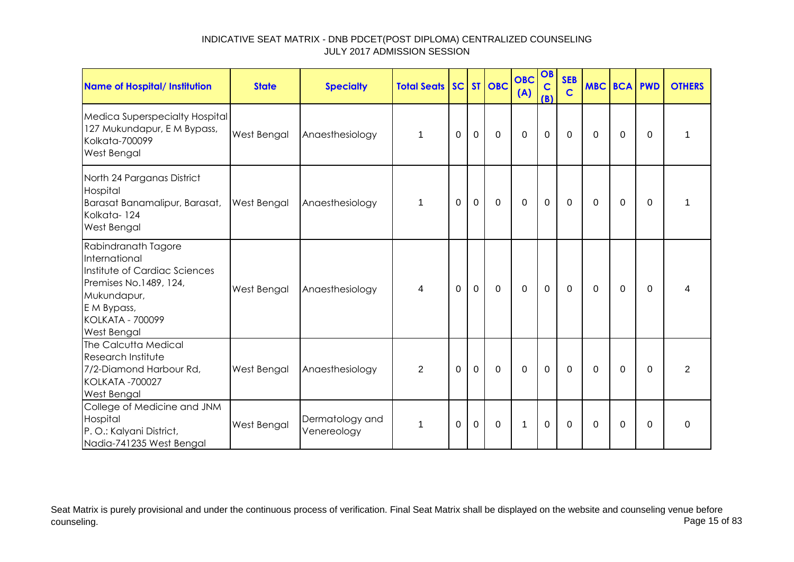| Name of Hospital/ Institution                                                                                                                                           | <b>State</b>       | <b>Specialty</b>               | <b>Total Seats   SC   ST   OBC</b> |             |                |                | <b>OBC</b><br>(A) | OB<br>$\mathbf C$<br>(B) | <b>SEB</b><br>$\mathbf C$ | <b>MBC BCA PWD</b> |             |          | <b>OTHERS</b>  |
|-------------------------------------------------------------------------------------------------------------------------------------------------------------------------|--------------------|--------------------------------|------------------------------------|-------------|----------------|----------------|-------------------|--------------------------|---------------------------|--------------------|-------------|----------|----------------|
| Medica Superspecialty Hospital<br>127 Mukundapur, E M Bypass,<br>Kolkata-700099<br>West Bengal                                                                          | West Bengal        | Anaesthesiology                | $\mathbf{1}$                       | $\Omega$    | $\overline{0}$ | $\mathbf 0$    | $\overline{0}$    | $\mathbf 0$              | $\mathbf 0$               | $\Omega$           | $\Omega$    | $\Omega$ |                |
| North 24 Parganas District<br>Hospital<br>Barasat Banamalipur, Barasat,<br>Kolkata-124<br>West Bengal                                                                   | <b>West Bengal</b> | Anaesthesiology                | $\mathbf 1$                        | $\mathbf 0$ | $\mathbf 0$    | $\overline{0}$ | $\overline{0}$    | $\mathbf 0$              | $\mathbf 0$               | $\Omega$           | $\mathbf 0$ | $\Omega$ |                |
| Rabindranath Tagore<br>International<br>Institute of Cardiac Sciences<br>Premises No.1489, 124,<br>Mukundapur,<br>E M Bypass,<br><b>KOLKATA - 700099</b><br>West Bengal | <b>West Bengal</b> | Anaesthesiology                | 4                                  | $\mathbf 0$ | $\mathbf 0$    | $\mathbf 0$    | $\mathbf 0$       | $\mathbf 0$              | $\mathbf 0$               | $\Omega$           | $\mathbf 0$ | $\Omega$ |                |
| The Calcutta Medical<br>Research Institute<br>7/2-Diamond Harbour Rd,<br><b>KOLKATA -700027</b><br><b>West Bengal</b>                                                   | West Bengal        | Anaesthesiology                | $\overline{2}$                     | $\Omega$    | $\mathbf 0$    | $\overline{0}$ | $\overline{0}$    | $\mathbf 0$              | $\Omega$                  | $\mathbf 0$        | $\mathbf 0$ | $\Omega$ | $\overline{2}$ |
| College of Medicine and JNM<br>Hospital<br>P. O.: Kalyani District,<br>Nadia-741235 West Bengal                                                                         | <b>West Bengal</b> | Dermatology and<br>Venereology | 1                                  | $\mathbf 0$ | $\overline{0}$ | $\mathbf 0$    | $\mathbf{1}$      | $\mathbf 0$              | $\mathbf 0$               | $\Omega$           | $\mathbf 0$ | $\Omega$ | $\Omega$       |

Seat Matrix is purely provisional and under the continuous process of verification. Final Seat Matrix shall be displayed on the website and counseling venue before<br>Page 15 of 83 counseling. Page 15 of 83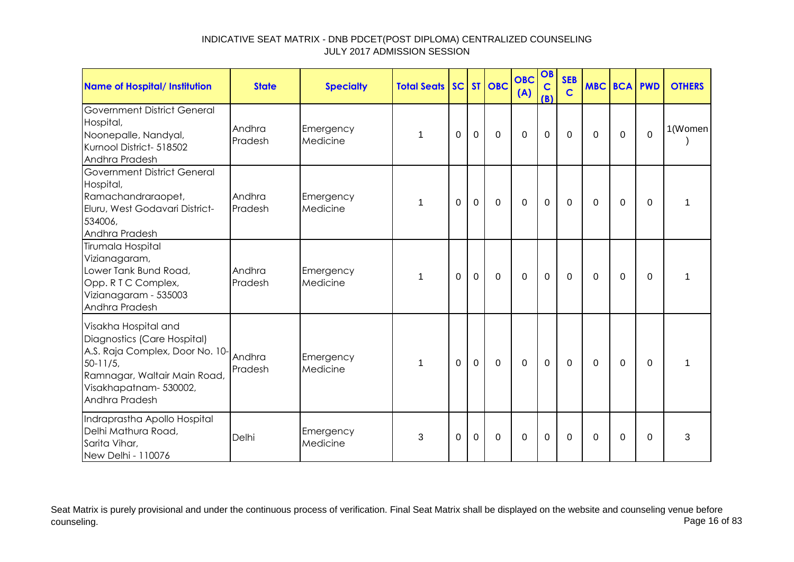| Name of Hospital/ Institution                                                                                                                                                    | <b>State</b>      | <b>Specialty</b>      | <b>Total Seats   SC   ST   OBC</b> |             |                     |             | <b>OBC</b><br>(A) | OB<br>$\mathbf C$<br>(B) | <b>SEB</b><br>$\mathsf{C}$ | <b>MBC BCA</b> |             | <b>PWD</b> | <b>OTHERS</b>           |
|----------------------------------------------------------------------------------------------------------------------------------------------------------------------------------|-------------------|-----------------------|------------------------------------|-------------|---------------------|-------------|-------------------|--------------------------|----------------------------|----------------|-------------|------------|-------------------------|
| <b>Government District General</b><br>Hospital,<br>Noonepalle, Nandyal,<br>Kurnool District- 518502<br>Andhra Pradesh                                                            | Andhra<br>Pradesh | Emergency<br>Medicine | 1                                  | $\Omega$    | $\mathbf 0$         | $\mathbf 0$ | $\mathbf 0$       | $\overline{0}$           | $\overline{0}$             | $\Omega$       | $\mathbf 0$ | $\Omega$   | 1(Women                 |
| <b>Government District General</b><br>Hospital,<br>Ramachandraraopet,<br>Eluru, West Godavari District-<br>534006,<br>Andhra Pradesh                                             | Andhra<br>Pradesh | Emergency<br>Medicine | $\mathbf 1$                        | $\mathbf 0$ | $\mathsf{O}\xspace$ | $\mathbf 0$ | $\mathbf 0$       | $\mathbf 0$              | $\mathbf 0$                | $\mathbf 0$    | $\mathbf 0$ | $\Omega$   |                         |
| Tirumala Hospital<br>Vizianagaram,<br>Lower Tank Bund Road,<br>Opp. R T C Complex,<br>Vizianagaram - 535003<br>Andhra Pradesh                                                    | Andhra<br>Pradesh | Emergency<br>Medicine | 1                                  | $\mathbf 0$ | $\mathbf 0$         | 0           | $\mathbf 0$       | $\mathbf 0$              | $\mathbf 0$                | 0              | $\mathbf 0$ | $\Omega$   |                         |
| Visakha Hospital and<br>Diagnostics (Care Hospital)<br>A.S. Raja Complex, Door No. 10-<br>$50 - 11/5$<br>Ramnagar, Waltair Main Road,<br>Visakhapatnam-530002,<br>Andhra Pradesh | Andhra<br>Pradesh | Emergency<br>Medicine | $\mathbf 1$                        | $\mathbf 0$ | $\mathbf 0$         | $\mathbf 0$ | $\mathbf 0$       | $\mathbf 0$              | $\mathbf 0$                | $\mathbf 0$    | $\mathbf 0$ | $\Omega$   | $\overline{\mathbf{1}}$ |
| Indraprastha Apollo Hospital<br>Delhi Mathura Road,<br>Sarita Vihar,<br>New Delhi - 110076                                                                                       | Delhi             | Emergency<br>Medicine | 3                                  | $\mathbf 0$ | $\mathbf 0$         | $\mathbf 0$ | $\mathbf 0$       | $\mathbf 0$              | $\overline{0}$             | $\overline{0}$ | $\mathbf 0$ | $\Omega$   | 3                       |

Seat Matrix is purely provisional and under the continuous process of verification. Final Seat Matrix shall be displayed on the website and counseling venue before<br>Page 16 of 83 counseling. Page 16 of 83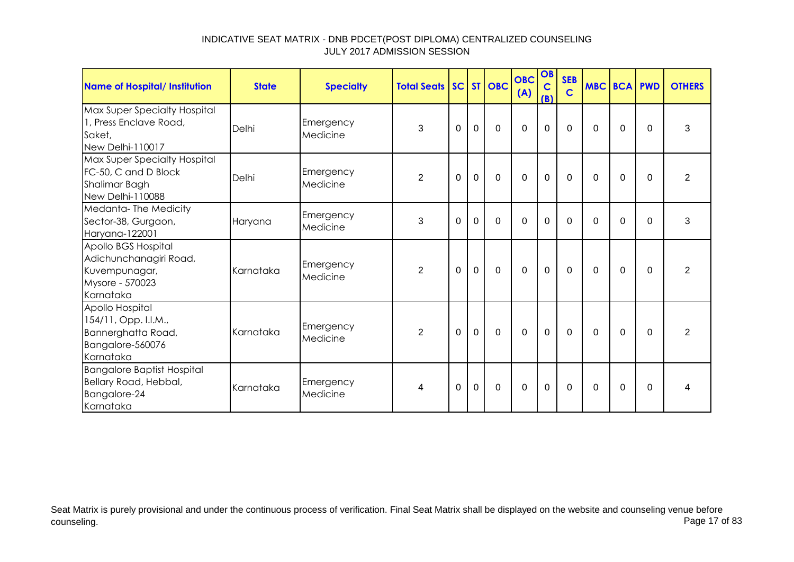| Name of Hospital/ Institution                                                                  | <b>State</b> | <b>Specialty</b>      | <b>Total Seats   SC  </b> |                |             | ST OBC         | <b>OBC</b><br>(A) | OB<br>$\mathbf C$<br>(B) | <b>SEB</b><br>$\overline{c}$ |             | <b>MBC BCA PWD</b> |             | <b>OTHERS</b>  |
|------------------------------------------------------------------------------------------------|--------------|-----------------------|---------------------------|----------------|-------------|----------------|-------------------|--------------------------|------------------------------|-------------|--------------------|-------------|----------------|
| Max Super Specialty Hospital<br>1, Press Enclave Road,<br>Saket,<br>New Delhi-110017           | Delhi        | Emergency<br>Medicine | 3                         | $\overline{0}$ | $\mathbf 0$ | $\mathbf 0$    | $\mathbf 0$       | 0                        | $\Omega$                     | $\Omega$    | $\Omega$           | $\Omega$    | 3              |
| Max Super Specialty Hospital<br>FC-50, C and D Block<br>Shalimar Bagh<br>New Delhi-110088      | Delhi        | Emergency<br>Medicine | $\overline{2}$            | $\mathbf 0$    | $\mathbf 0$ | $\mathbf 0$    | $\mathbf 0$       | $\mathbf 0$              | $\mathbf 0$                  | $\mathbf 0$ | $\mathbf 0$        | $\mathbf 0$ | $\overline{2}$ |
| Medanta-The Medicity<br>Sector-38, Gurgaon,<br>Haryana-122001                                  | Haryana      | Emergency<br>Medicine | 3                         | $\Omega$       | $\mathbf 0$ | $\mathbf 0$    | $\Omega$          | 0                        | $\mathbf{0}$                 | $\Omega$    | $\Omega$           | $\Omega$    | 3              |
| Apollo BGS Hospital<br>Adichunchanagiri Road,<br>Kuvempunagar,<br>Mysore - 570023<br>Karnataka | Karnataka    | Emergency<br>Medicine | $\overline{2}$            | $\mathbf 0$    | $\mathbf 0$ | $\overline{0}$ | $\mathbf 0$       | $\mathbf 0$              | $\overline{0}$               | $\Omega$    | $\Omega$           | $\Omega$    | $\overline{2}$ |
| Apollo Hospital<br>154/11, Opp. I.I.M.,<br>Bannerghatta Road,<br>Bangalore-560076<br>Karnataka | Karnataka    | Emergency<br>Medicine | $\overline{2}$            | $\Omega$       | $\mathbf 0$ | $\mathbf 0$    | $\Omega$          | 0                        | $\mathbf 0$                  | $\Omega$    | $\Omega$           | $\Omega$    | $\overline{2}$ |
| <b>Bangalore Baptist Hospital</b><br>Bellary Road, Hebbal,<br>Bangalore-24<br>Karnataka        | Karnataka    | Emergency<br>Medicine | 4                         | 0              | $\mathbf 0$ | $\mathbf 0$    | $\mathbf 0$       | 0                        | $\Omega$                     | $\Omega$    | 0                  | $\mathbf 0$ | 4              |

Seat Matrix is purely provisional and under the continuous process of verification. Final Seat Matrix shall be displayed on the website and counseling venue before<br>Page 17 of 83 counseling. Page 17 of 83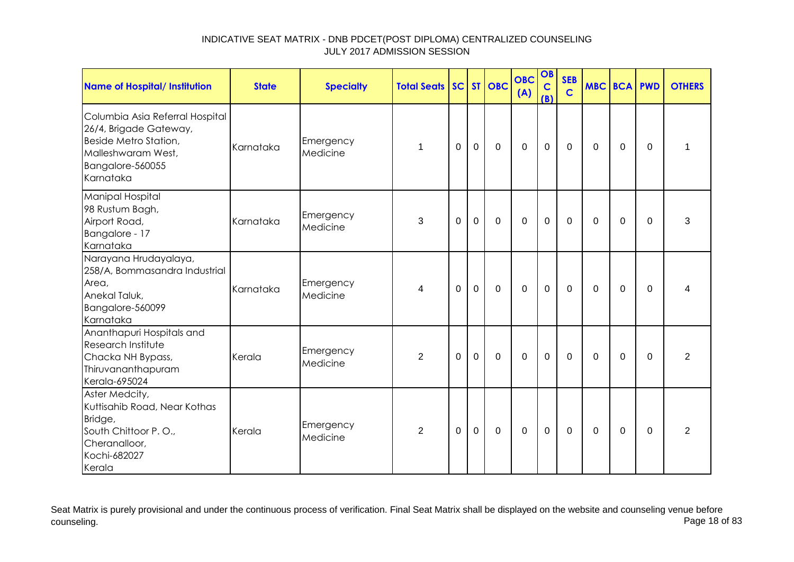| <b>Name of Hospital/ Institution</b>                                                                                                      | <b>State</b> | <b>Specialty</b>      | <b>Total Seats</b> |          |             | SC ST OBC   | <b>OBC</b><br>(A) | OB<br>$\mathbf C$<br>(B) | <b>SEB</b><br>$\mathbf C$ | <b>MBC BCA PWD</b> |             |             | <b>OTHERS</b>  |
|-------------------------------------------------------------------------------------------------------------------------------------------|--------------|-----------------------|--------------------|----------|-------------|-------------|-------------------|--------------------------|---------------------------|--------------------|-------------|-------------|----------------|
| Columbia Asia Referral Hospital<br>26/4, Brigade Gateway,<br>Beside Metro Station,<br>Malleshwaram West,<br>Bangalore-560055<br>Karnataka | Karnataka    | Emergency<br>Medicine | 1                  | $\Omega$ | $\mathbf 0$ | $\mathbf 0$ | $\mathbf 0$       | $\mathbf 0$              | $\Omega$                  | $\Omega$           | 0           | $\Omega$    | 1              |
| Manipal Hospital<br>98 Rustum Bagh,<br>Airport Road,<br>Bangalore - 17<br>Karnataka                                                       | Karnataka    | Emergency<br>Medicine | 3                  | 0        | $\mathbf 0$ | $\mathbf 0$ | $\mathbf 0$       | $\mathbf 0$              | $\mathbf{0}$              | $\Omega$           | 0           | 0           | 3              |
| Narayana Hrudayalaya,<br>258/A, Bommasandra Industrial<br>Area,<br>Anekal Taluk,<br>Bangalore-560099<br>Karnataka                         | Karnataka    | Emergency<br>Medicine | 4                  | $\Omega$ | $\mathbf 0$ | $\mathbf 0$ | $\mathbf 0$       | $\mathbf 0$              | $\mathbf 0$               | $\Omega$           | $\mathbf 0$ | $\mathbf 0$ | 4              |
| Ananthapuri Hospitals and<br>Research Institute<br>Chacka NH Bypass,<br>Thiruvananthapuram<br>Kerala-695024                               | Kerala       | Emergency<br>Medicine | $\overline{2}$     | 0        | 0           | $\mathbf 0$ | 0                 | $\mathbf 0$              | 0                         | 0                  | 0           | 0           | $\overline{2}$ |
| Aster Medcity,<br>Kuttisahib Road, Near Kothas<br>Bridge,<br>South Chittoor P.O.,<br>Cheranalloor,<br>Kochi-682027<br>Kerala              | Kerala       | Emergency<br>Medicine | $\overline{2}$     | $\Omega$ | $\mathbf 0$ | $\mathbf 0$ | $\overline{0}$    | $\mathbf 0$              | $\mathbf 0$               | $\Omega$           | $\mathbf 0$ | $\mathbf 0$ | $\overline{2}$ |

Seat Matrix is purely provisional and under the continuous process of verification. Final Seat Matrix shall be displayed on the website and counseling venue before<br>Page 18 of 83 counseling. Page 18 of 83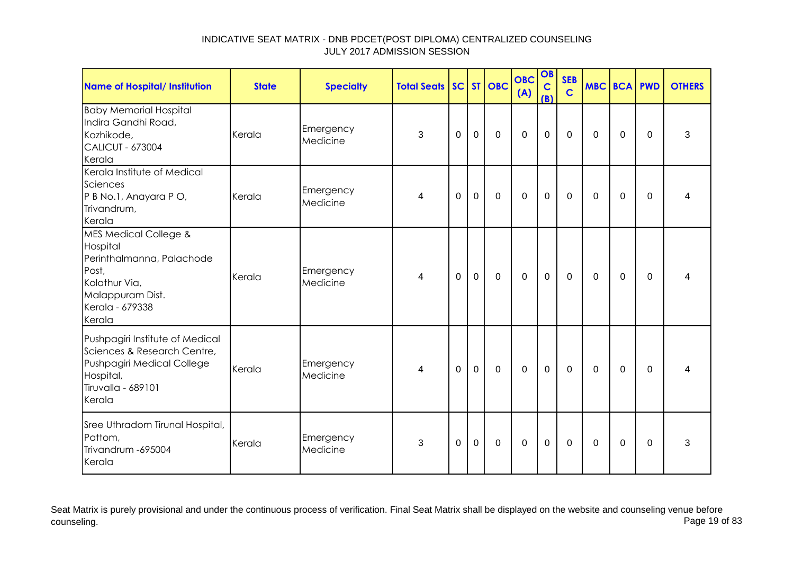| <b>Name of Hospital/ Institution</b>                                                                                                                 | <b>State</b> | <b>Specialty</b>      | <b>Total Seats SC ST OBC</b> |             |             |             | <b>OBC</b><br>(A) | OB<br>$\mathbf c$<br>(B) | <b>SEB</b><br>$\mathbf C$ | <b>MBC BCA PWD</b> |             |          | <b>OTHERS</b> |
|------------------------------------------------------------------------------------------------------------------------------------------------------|--------------|-----------------------|------------------------------|-------------|-------------|-------------|-------------------|--------------------------|---------------------------|--------------------|-------------|----------|---------------|
| <b>Baby Memorial Hospital</b><br>Indira Gandhi Road,<br>Kozhikode,<br><b>CALICUT - 673004</b><br>Kerala                                              | Kerala       | Emergency<br>Medicine | 3                            | $\mathbf 0$ | $\mathbf 0$ | $\mathbf 0$ | $\mathbf 0$       | $\mathbf 0$              | $\mathbf 0$               | 0                  | $\mathbf 0$ | 0        | 3             |
| Kerala Institute of Medical<br>Sciences<br>P B No.1, Anayara P O,<br>Trivandrum,<br>Kerala                                                           | Kerala       | Emergency<br>Medicine | 4                            | 0           | $\pmb{0}$   | 0           | $\mathbf 0$       | $\mathbf 0$              | 0                         | 0                  | 0           | $\Omega$ |               |
| <b>MES Medical College &amp;</b><br>Hospital<br>Perinthalmanna, Palachode<br>Post,<br>Kolathur Via,<br>Malappuram Dist.<br>Kerala - 679338<br>Kerala | Kerala       | Emergency<br>Medicine | 4                            | 0           | $\mathbf 0$ | $\mathbf 0$ | $\mathbf 0$       | $\mathbf 0$              | $\mathbf 0$               | 0                  | 0           | 0        | 4             |
| Pushpagiri Institute of Medical<br>Sciences & Research Centre,<br>Pushpagiri Medical College<br>Hospital,<br>Tiruvalla - 689101<br>Kerala            | Kerala       | Emergency<br>Medicine | 4                            | $\Omega$    | $\mathbf 0$ | $\mathbf 0$ | $\mathbf 0$       | $\mathbf 0$              | $\mathbf 0$               | $\mathbf 0$        | 0           | $\Omega$ | 4             |
| Sree Uthradom Tirunal Hospital,<br>Pattom,<br>Trivandrum - 695004<br>Kerala                                                                          | Kerala       | Emergency<br>Medicine | 3                            | 0           | $\mathbf 0$ | $\mathbf 0$ | $\mathbf 0$       | $\pmb{0}$                | 0                         | 0                  | 0           | 0        | 3             |

Seat Matrix is purely provisional and under the continuous process of verification. Final Seat Matrix shall be displayed on the website and counseling venue before<br>Page 19 of 83 counseling. Page 19 of 83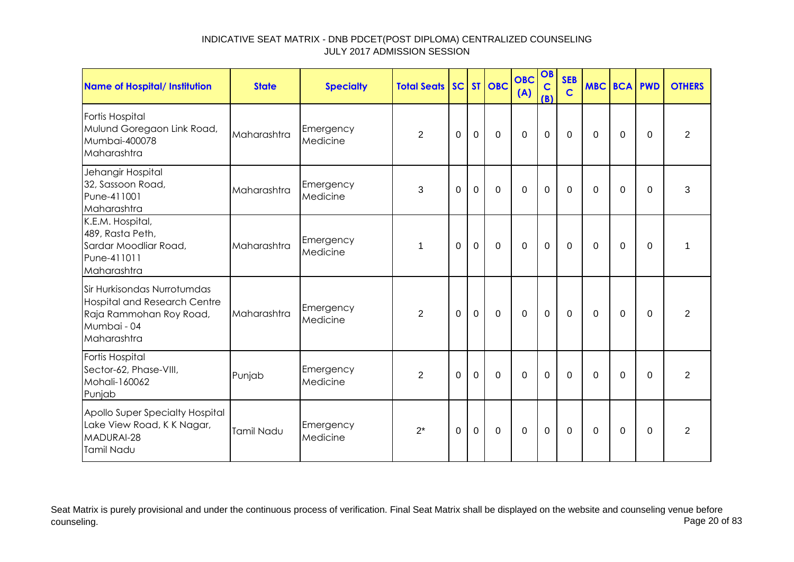| <b>Name of Hospital/ Institution</b>                                                                                        | <b>State</b> | <b>Specialty</b>      | <b>Total Seats</b> |             |                | SC ST OBC   | <b>OBC</b><br>(A) | OB<br>$\mathbf C$<br>(B) | <b>SEB</b><br>$\mathbf C$ | <b>MBC BCA PWD</b> |             |             | <b>OTHERS</b>  |
|-----------------------------------------------------------------------------------------------------------------------------|--------------|-----------------------|--------------------|-------------|----------------|-------------|-------------------|--------------------------|---------------------------|--------------------|-------------|-------------|----------------|
| Fortis Hospital<br>Mulund Goregaon Link Road,<br>Mumbai-400078<br>Maharashtra                                               | Maharashtra  | Emergency<br>Medicine | $\overline{2}$     | $\mathbf 0$ | $\mathbf 0$    | $\mathbf 0$ | $\mathbf 0$       | $\mathbf 0$              | $\mathbf 0$               | $\Omega$           | 0           | $\Omega$    | $\overline{2}$ |
| Jehangir Hospital<br>32, Sassoon Road,<br>Pune-411001<br>Maharashtra                                                        | Maharashtra  | Emergency<br>Medicine | 3                  | $\mathbf 0$ | $\overline{0}$ | $\mathbf 0$ | $\mathbf 0$       | $\mathbf 0$              | $\mathbf 0$               | $\Omega$           | $\mathbf 0$ | $\Omega$    | 3              |
| K.E.M. Hospital,<br>489, Rasta Peth,<br>Sardar Moodliar Road,<br>Pune-411011<br>Maharashtra                                 | Maharashtra  | Emergency<br>Medicine | 1                  | $\Omega$    | $\mathbf 0$    | $\mathbf 0$ | $\mathbf 0$       | $\mathbf 0$              | $\mathbf 0$               | $\Omega$           | $\Omega$    | $\Omega$    | 1              |
| Sir Hurkisondas Nurrotumdas<br><b>Hospital and Research Centre</b><br>Raja Rammohan Roy Road,<br>Mumbai - 04<br>Maharashtra | Maharashtra  | Emergency<br>Medicine | $\overline{2}$     | 0           | $\mathbf 0$    | $\mathbf 0$ | $\mathbf 0$       | $\mathbf 0$              | $\mathbf 0$               | $\mathbf 0$        | $\mathbf 0$ | $\mathbf 0$ | $\overline{2}$ |
| Fortis Hospital<br>Sector-62, Phase-VIII,<br>Mohali-160062<br>Punjab                                                        | Punjab       | Emergency<br>Medicine | $\overline{2}$     | $\Omega$    | $\mathbf 0$    | $\Omega$    | $\Omega$          | $\mathbf 0$              | $\Omega$                  | $\Omega$           | $\Omega$    | $\Omega$    | 2              |
| Apollo Super Specialty Hospital<br>Lake View Road, K K Nagar,<br>MADURAI-28<br>Tamil Nadu                                   | Tamil Nadu   | Emergency<br>Medicine | $2^*$              | $\Omega$    | $\mathbf 0$    | $\mathbf 0$ | $\mathbf 0$       | $\mathbf 0$              | $\Omega$                  | $\Omega$           | $\Omega$    | $\Omega$    | $\overline{2}$ |

Seat Matrix is purely provisional and under the continuous process of verification. Final Seat Matrix shall be displayed on the website and counseling venue before<br>Page 20 of 83 counseling. Page 20 of 83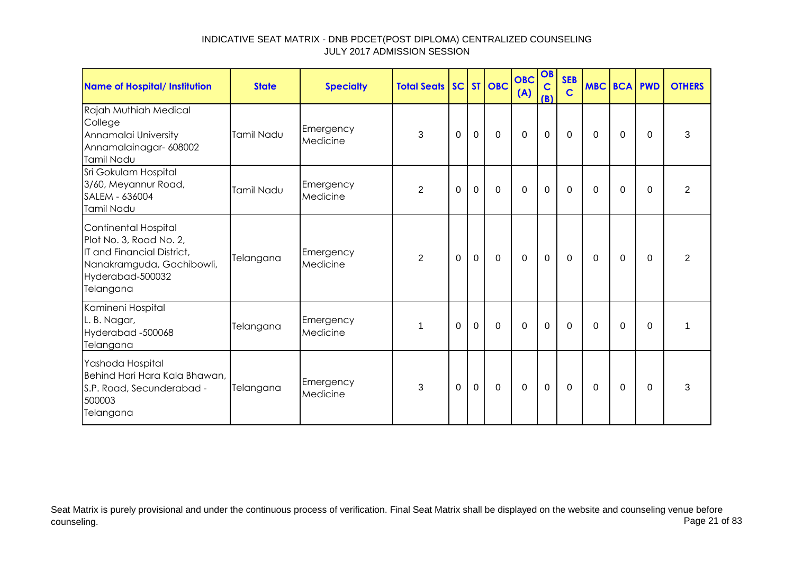| <b>Name of Hospital/ Institution</b>                                                                                                        | <b>State</b> | <b>Specialty</b>      | <b>Total Seats SC ST OBC</b> |             |             |             | <b>OBC</b><br>(A) | OB<br>$\mathbf C$<br>(B) | <b>SEB</b><br>$\mathbf C$ | <b>MBC BCA PWD</b> |          |          | <b>OTHERS</b>  |
|---------------------------------------------------------------------------------------------------------------------------------------------|--------------|-----------------------|------------------------------|-------------|-------------|-------------|-------------------|--------------------------|---------------------------|--------------------|----------|----------|----------------|
| Rajah Muthiah Medical<br>College<br>Annamalai University<br>Annamalainagar- 608002<br>Tamil Nadu                                            | Tamil Nadu   | Emergency<br>Medicine | 3                            | $\mathbf 0$ | $\mathbf 0$ | $\mathbf 0$ | $\mathbf 0$       | $\mathbf 0$              | $\mathbf 0$               | 0                  | 0        | $\Omega$ | 3              |
| Sri Gokulam Hospital<br>3/60, Meyannur Road,<br>SALEM - 636004<br>Tamil Nadu                                                                | Tamil Nadu   | Emergency<br>Medicine | $\overline{2}$               | 0           | $\mathbf 0$ | $\mathbf 0$ | $\mathbf 0$       | $\mathbf 0$              | $\mathbf 0$               | 0                  | 0        | $\Omega$ | $\overline{2}$ |
| Continental Hospital<br>Plot No. 3, Road No. 2,<br>IT and Financial District,<br>Nanakramguda, Gachibowli,<br>Hyderabad-500032<br>Telangana | Telangana    | Emergency<br>Medicine | 2                            | $\Omega$    | $\mathbf 0$ | $\mathbf 0$ | $\mathbf 0$       | $\mathbf 0$              | $\Omega$                  | $\Omega$           | $\Omega$ | $\Omega$ | $\overline{2}$ |
| Kamineni Hospital<br>L. B. Nagar,<br>Hyderabad -500068<br>Telangana                                                                         | Telangana    | Emergency<br>Medicine | 1                            | $\Omega$    | $\mathbf 0$ | $\mathbf 0$ | $\mathbf 0$       | $\mathbf 0$              | $\Omega$                  | 0                  | 0        | $\Omega$ | $\mathbf 1$    |
| Yashoda Hospital<br>Behind Hari Hara Kala Bhawan,<br>S.P. Road, Secunderabad -<br>500003<br>Telangana                                       | Telangana    | Emergency<br>Medicine | 3                            | $\mathbf 0$ | $\mathbf 0$ | $\mathbf 0$ | $\mathbf 0$       | $\mathbf 0$              | $\mathbf 0$               | $\mathbf 0$        | 0        | $\Omega$ | 3              |

Seat Matrix is purely provisional and under the continuous process of verification. Final Seat Matrix shall be displayed on the website and counseling venue before<br>Page 21 of 83 counseling. Page 21 of 83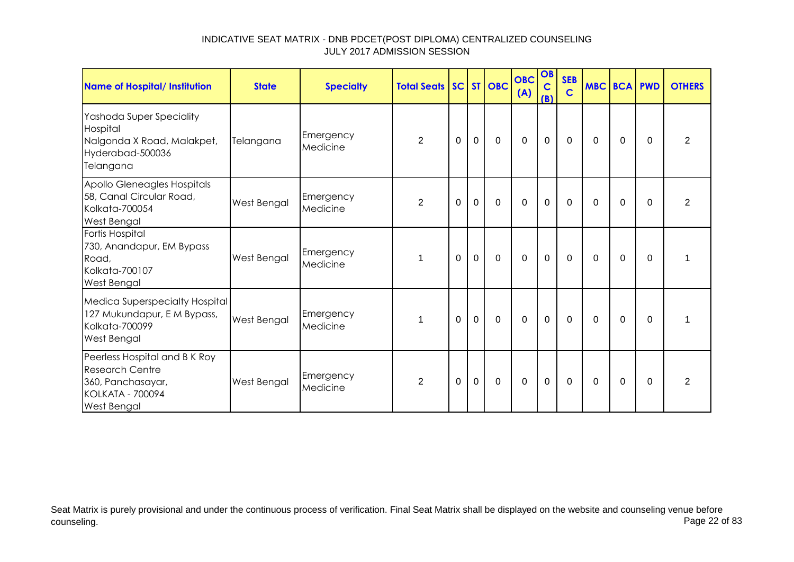| <b>Name of Hospital/ Institution</b>                                                                                          | <b>State</b> | <b>Specialty</b>      | <b>Total Seats SC ST OBC</b> |          |             |             | <b>OBC</b><br>(A) | OB<br>$\mathbf C$<br>(B) | <b>SEB</b><br>$\mathsf{C}$ | <b>MBC BCA PWD</b> |          |          | <b>OTHERS</b>  |
|-------------------------------------------------------------------------------------------------------------------------------|--------------|-----------------------|------------------------------|----------|-------------|-------------|-------------------|--------------------------|----------------------------|--------------------|----------|----------|----------------|
| Yashoda Super Speciality<br>Hospital<br>Nalgonda X Road, Malakpet,<br>Hyderabad-500036<br>Telangana                           | Telangana    | Emergency<br>Medicine | $\overline{2}$               | $\Omega$ | $\mathbf 0$ | $\mathbf 0$ | $\mathbf 0$       | $\mathbf 0$              | $\mathbf 0$                | $\Omega$           | $\Omega$ | $\Omega$ | $\overline{2}$ |
| Apollo Gleneagles Hospitals<br>58, Canal Circular Road,<br>Kolkata-700054<br><b>West Bengal</b>                               | West Bengal  | Emergency<br>Medicine | $\overline{2}$               | $\Omega$ | $\mathbf 0$ | $\mathbf 0$ | $\overline{0}$    | $\mathbf 0$              | $\Omega$                   | $\Omega$           | $\Omega$ | $\Omega$ | $\overline{2}$ |
| Fortis Hospital<br>730, Anandapur, EM Bypass<br>Road,<br>Kolkata-700107<br>West Bengal                                        | West Bengal  | Emergency<br>Medicine | 1                            | $\Omega$ | $\mathbf 0$ | $\mathbf 0$ | $\overline{0}$    | $\mathbf 0$              | $\mathbf 0$                | $\Omega$           | $\Omega$ | $\Omega$ |                |
| Medica Superspecialty Hospital<br>127 Mukundapur, E M Bypass,<br>Kolkata-700099<br><b>West Bengal</b>                         | West Bengal  | Emergency<br>Medicine | 1                            | $\Omega$ | $\Omega$    | $\mathbf 0$ | $\overline{0}$    | $\mathbf 0$              | $\Omega$                   | $\Omega$           | $\Omega$ | $\Omega$ |                |
| Peerless Hospital and B K Roy<br><b>Research Centre</b><br>360, Panchasayar,<br><b>KOLKATA - 700094</b><br><b>West Bengal</b> | West Bengal  | Emergency<br>Medicine | $\overline{2}$               | 0        | $\mathbf 0$ | $\mathbf 0$ | $\mathbf 0$       | $\mathbf 0$              | $\mathbf 0$                | $\Omega$           | 0        | $\Omega$ | $\overline{2}$ |

Seat Matrix is purely provisional and under the continuous process of verification. Final Seat Matrix shall be displayed on the website and counseling venue before<br>Page 22 of 83 counseling. Page 22 of 83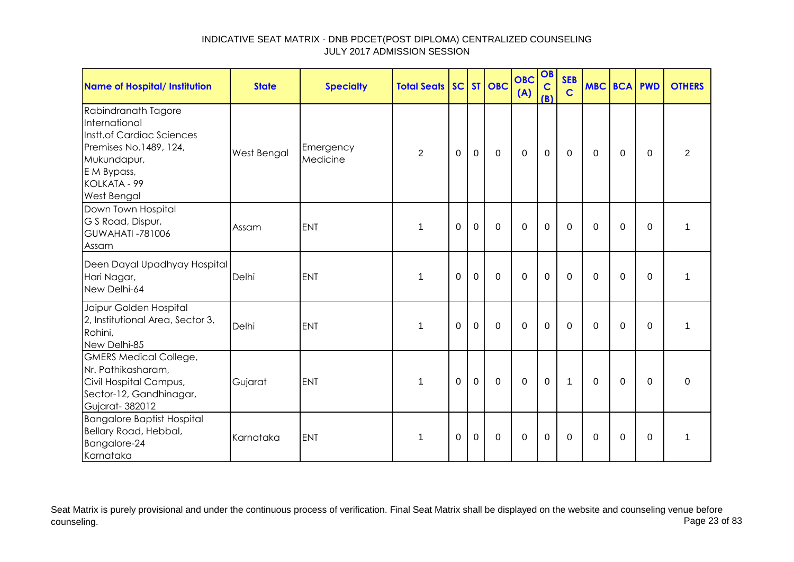| <b>Name of Hospital/ Institution</b>                                                                                                                     | <b>State</b> | <b>Specialty</b>      | <b>Total Seats</b> |             |             | SC ST OBC   | <b>OBC</b><br>(A) | OB<br>$\mathbf C$<br>(B) | <b>SEB</b><br>$\mathbf C$ | <b>MBC BCA PWD</b> |             |             | <b>OTHERS</b>  |
|----------------------------------------------------------------------------------------------------------------------------------------------------------|--------------|-----------------------|--------------------|-------------|-------------|-------------|-------------------|--------------------------|---------------------------|--------------------|-------------|-------------|----------------|
| Rabindranath Tagore<br>International<br>Instt.of Cardiac Sciences<br>Premises No.1489, 124,<br>Mukundapur,<br>E M Bypass,<br>KOLKATA - 99<br>West Bengal | West Bengal  | Emergency<br>Medicine | $\overline{2}$     | $\Omega$    | $\mathbf 0$ | $\mathbf 0$ | $\overline{0}$    | $\mathbf 0$              | $\mathbf 0$               | $\Omega$           | 0           | $\Omega$    | $\overline{2}$ |
| Down Town Hospital<br>G S Road, Dispur,<br><b>GUWAHATI -781006</b><br>Assam                                                                              | Assam        | <b>ENT</b>            | $\mathbf 1$        | $\mathbf 0$ | $\mathbf 0$ | $\mathbf 0$ | $\mathbf 0$       | $\mathbf 0$              | $\mathbf 0$               | $\mathbf{0}$       | 0           | $\mathbf 0$ | 1              |
| Deen Dayal Upadhyay Hospital<br>Hari Nagar,<br>New Delhi-64                                                                                              | Delhi        | <b>ENT</b>            | 1                  | $\Omega$    | $\mathbf 0$ | $\mathbf 0$ | $\Omega$          | $\mathbf 0$              | $\Omega$                  | $\Omega$           | $\mathbf 0$ | $\Omega$    | 1              |
| Jaipur Golden Hospital<br>2, Institutional Area, Sector 3,<br>Rohini,<br>New Delhi-85                                                                    | Delhi        | <b>ENT</b>            | $\mathbf 1$        | $\Omega$    | $\mathbf 0$ | $\Omega$    | $\mathbf 0$       | $\mathbf 0$              | $\mathbf 0$               | $\Omega$           | $\Omega$    | $\mathbf 0$ | 1              |
| <b>GMERS Medical College,</b><br>Nr. Pathikasharam,<br>Civil Hospital Campus,<br>Sector-12, Gandhinagar,<br>Gujarat-382012                               | Gujarat      | <b>ENT</b>            | 1                  | $\Omega$    | $\mathbf 0$ | $\mathbf 0$ | $\mathbf 0$       | $\mathbf 0$              | $\mathbf{1}$              | $\mathbf{0}$       | $\Omega$    | $\Omega$    | 0              |
| <b>Bangalore Baptist Hospital</b><br>Bellary Road, Hebbal,<br>Bangalore-24<br>Karnataka                                                                  | Karnataka    | <b>ENT</b>            | $\mathbf 1$        | 0           | 0           | $\mathbf 0$ | $\mathbf 0$       | $\mathbf 0$              | 0                         | $\mathbf{0}$       | 0           | 0           | $\mathbf 1$    |

Seat Matrix is purely provisional and under the continuous process of verification. Final Seat Matrix shall be displayed on the website and counseling venue before<br>Page 23 of 83 counseling. Page 23 of 83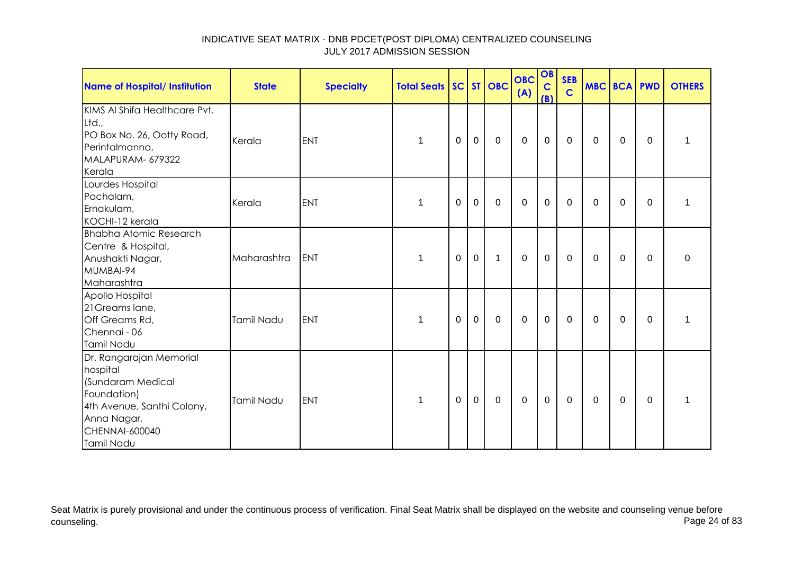| Name of Hospital/ Institution                                                                                                                        | <b>State</b> | <b>Specialty</b> | <b>Total Seats SC ST OBC</b> |             |             |              | <b>OBC</b><br>(A) | OB<br>$\mathbf C$<br>(B) | <b>SEB</b><br>$\mathbf C$ | MBC BCA PWD  |             |          | <b>OTHERS</b> |
|------------------------------------------------------------------------------------------------------------------------------------------------------|--------------|------------------|------------------------------|-------------|-------------|--------------|-------------------|--------------------------|---------------------------|--------------|-------------|----------|---------------|
| KIMS AI Shifa Healthcare Pvt.<br>Ltd.,<br>PO Box No. 26, Ootty Road,<br>Perintalmanna,<br>MALAPURAM- 679322<br>Kerala                                | Kerala       | <b>ENT</b>       | 1                            | 0           | $\mathbf 0$ | $\mathbf 0$  | $\overline{0}$    | $\mathbf 0$              | $\mathbf 0$               | $\Omega$     | $\Omega$    | 0        | 1             |
| Lourdes Hospital<br>Pachalam,<br>Ernakulam,<br>KOCHI-12 kerala                                                                                       | Kerala       | <b>ENT</b>       | 1                            | 0           | $\mathbf 0$ | $\mathbf 0$  | $\mathbf 0$       | $\mathbf 0$              | $\mathbf 0$               | $\mathbf{0}$ | $\mathbf 0$ | $\Omega$ | 1             |
| <b>Bhabha Atomic Research</b><br>Centre & Hospital,<br>Anushakti Nagar,<br>MUMBAI-94<br>Maharashtra                                                  | Maharashtra  | <b>ENT</b>       | 1                            | $\mathbf 0$ | $\mathbf 0$ | $\mathbf{1}$ | $\overline{0}$    | $\mathbf 0$              | $\mathbf 0$               | $\mathbf{0}$ | $\mathbf 0$ | 0        | 0             |
| Apollo Hospital<br>21 Greams lane,<br>Off Greams Rd,<br>Chennai - 06<br>Tamil Nadu                                                                   | Tamil Nadu   | ENT              | 1                            | 0           | $\mathbf 0$ | $\mathbf 0$  | $\mathbf 0$       | $\mathbf 0$              | $\mathbf 0$               | $\mathbf{0}$ | $\mathbf 0$ | $\Omega$ | 1             |
| Dr. Rangarajan Memorial<br>hospital<br>(Sundaram Medical<br>Foundation)<br>4th Avenue, Santhi Colony,<br>Anna Nagar,<br>CHENNAI-600040<br>Tamil Nadu | Tamil Nadu   | <b>ENT</b>       | 1                            | 0           | $\mathbf 0$ | $\Omega$     | $\mathbf 0$       | $\mathbf 0$              | $\mathbf 0$               | $\Omega$     | 0           | $\Omega$ | 1             |

Seat Matrix is purely provisional and under the continuous process of verification. Final Seat Matrix shall be displayed on the website and counseling venue before<br>Page 24 of 83 counseling. Page 24 of 83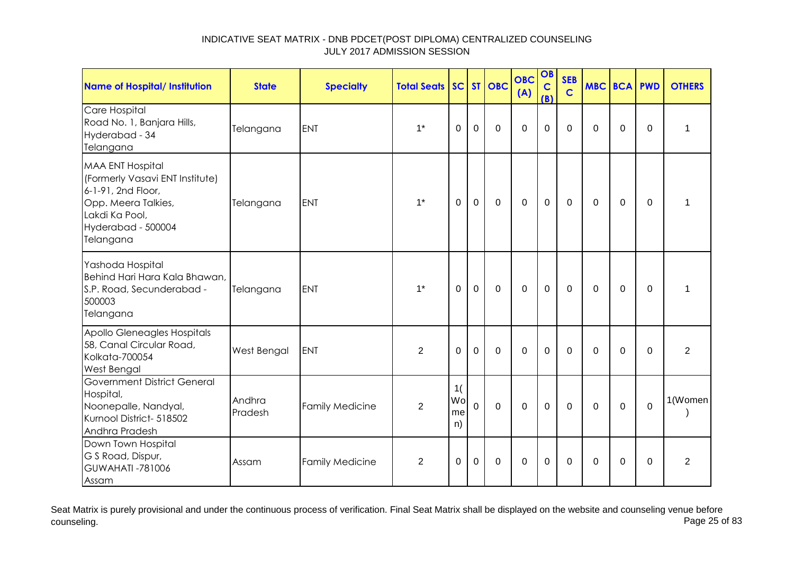| Name of Hospital/ Institution                                                                                                                                | <b>State</b>      | <b>Specialty</b>       | <b>Total Seats</b> |                      |                | SC ST OBC   | <b>OBC</b><br>(A) | OB<br>$\mathbf C$<br>(B) | <b>SEB</b><br>$\mathbf C$ |          | <b>MBC BCA PWD</b> |             | <b>OTHERS</b>  |
|--------------------------------------------------------------------------------------------------------------------------------------------------------------|-------------------|------------------------|--------------------|----------------------|----------------|-------------|-------------------|--------------------------|---------------------------|----------|--------------------|-------------|----------------|
| Care Hospital<br>Road No. 1, Banjara Hills,<br>Hyderabad - 34<br>Telangana                                                                                   | Telangana         | <b>ENT</b>             | $1^*$              | $\Omega$             | $\mathbf 0$    | $\mathbf 0$ | $\overline{0}$    | $\mathbf 0$              | $\Omega$                  | $\Omega$ | 0                  | $\Omega$    | 1              |
| <b>MAA ENT Hospital</b><br>(Formerly Vasavi ENT Institute)<br>6-1-91, 2nd Floor,<br>Opp. Meera Talkies,<br>Lakdi Ka Pool,<br>Hyderabad - 500004<br>Telangana | Telangana         | <b>ENT</b>             | $1^*$              | 0                    | $\mathbf 0$    | $\mathbf 0$ | $\mathbf 0$       | $\mathbf 0$              | 0                         | 0        | 0                  | 0           | 1              |
| Yashoda Hospital<br>Behind Hari Hara Kala Bhawan,<br>S.P. Road, Secunderabad -<br>500003<br>Telangana                                                        | Telangana         | <b>ENT</b>             | $1*$               | $\Omega$             | $\Omega$       | $\Omega$    | $\Omega$          | $\mathbf 0$              | $\Omega$                  | $\Omega$ | $\overline{0}$     | $\Omega$    | $\mathbf 1$    |
| Apollo Gleneagles Hospitals<br>58, Canal Circular Road,<br><b>Kolkata-700054</b><br>West Bengal                                                              | West Bengal       | ENT                    | 2                  | $\Omega$             | $\overline{0}$ | $\Omega$    | $\Omega$          | $\mathbf 0$              | $\Omega$                  | $\Omega$ | $\Omega$           | $\Omega$    | $\overline{2}$ |
| <b>Government District General</b><br>Hospital,<br>Noonepalle, Nandyal,<br>Kurnool District- 518502<br>Andhra Pradesh                                        | Andhra<br>Pradesh | <b>Family Medicine</b> | $\overline{2}$     | 1(<br>Wo<br>me<br>n) | $\overline{0}$ | $\mathbf 0$ | $\mathbf 0$       | $\mathbf 0$              | $\mathbf 0$               | $\Omega$ | $\mathbf 0$        | $\mathbf 0$ | 1(Women        |
| Down Town Hospital<br>G S Road, Dispur,<br><b>GUWAHATI -781006</b><br>Assam                                                                                  | Assam             | <b>Family Medicine</b> | $\overline{2}$     | 0                    | $\mathbf 0$    | $\mathbf 0$ | $\mathbf 0$       | $\mathbf 0$              | $\Omega$                  | $\Omega$ | 0                  | $\Omega$    | $\overline{2}$ |

Seat Matrix is purely provisional and under the continuous process of verification. Final Seat Matrix shall be displayed on the website and counseling venue before<br>Page 25 of 83 counseling. Page 25 of 83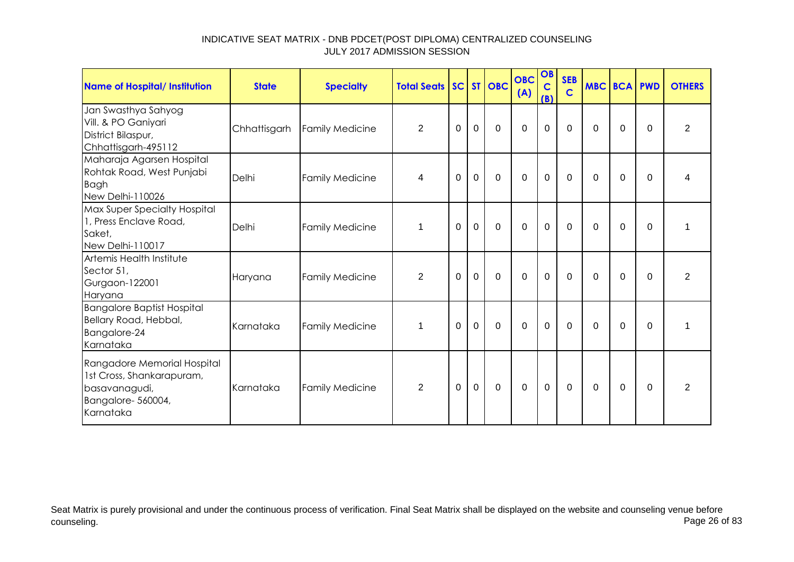| <b>Name of Hospital/ Institution</b>                                                                        | <b>State</b> | <b>Specialty</b>       | <b>Total Seats SC ST OBC</b> |             |                |                | <b>OBC</b><br>(A) | OB<br>$\mathbf C$<br>(B) | <b>SEB</b><br>$\mathbf C$ | MBC BCA PWD |             |             | <b>OTHERS</b>  |
|-------------------------------------------------------------------------------------------------------------|--------------|------------------------|------------------------------|-------------|----------------|----------------|-------------------|--------------------------|---------------------------|-------------|-------------|-------------|----------------|
| Jan Swasthya Sahyog<br>Vill. & PO Ganiyari<br>District Bilaspur,<br>Chhattisgarh-495112                     | Chhattisgarh | <b>Family Medicine</b> | 2                            | 0           | $\mathbf 0$    | $\Omega$       | $\Omega$          | $\mathbf 0$              | 0                         | 0           | 0           | $\Omega$    | $\overline{2}$ |
| Maharaja Agarsen Hospital<br>Rohtak Road, West Punjabi<br><b>Bagh</b><br>New Delhi-110026                   | Delhi        | <b>Family Medicine</b> | 4                            | $\Omega$    | $\mathbf 0$    | $\Omega$       | $\overline{0}$    | $\mathbf 0$              | $\Omega$                  | $\Omega$    | $\Omega$    | $\Omega$    | 4              |
| Max Super Specialty Hospital<br>1, Press Enclave Road,<br>Saket,<br>New Delhi-110017                        | Delhi        | <b>Family Medicine</b> | $\mathbf 1$                  | 0           | $\mathbf 0$    | $\mathbf 0$    | $\overline{0}$    | $\mathbf 0$              | $\mathbf 0$               | $\mathbf 0$ | $\mathbf 0$ | $\mathbf 0$ |                |
| Artemis Health Institute<br>Sector 51,<br>Gurgaon-122001<br>Haryana                                         | Haryana      | <b>Family Medicine</b> | $\overline{2}$               | 0           | $\mathbf 0$    | $\mathbf 0$    | $\mathbf 0$       | $\mathbf 0$              | 0                         | $\Omega$    | 0           | $\Omega$    | 2              |
| <b>Bangalore Baptist Hospital</b><br>Bellary Road, Hebbal,<br>Bangalore-24<br>Karnataka                     | Karnataka    | <b>Family Medicine</b> | $\mathbf{1}$                 | 0           | $\mathbf 0$    | $\mathbf 0$    | $\mathbf 0$       | $\mathbf 0$              | $\mathbf 0$               | 0           | $\mathbf 0$ | 0           | 1              |
| Rangadore Memorial Hospital<br>1st Cross, Shankarapuram,<br>basavanagudi,<br>Bangalore-560004,<br>Karnataka | Karnataka    | <b>Family Medicine</b> | $\overline{2}$               | $\mathbf 0$ | $\overline{0}$ | $\overline{0}$ | $\overline{0}$    | $\mathbf 0$              | $\mathbf 0$               | $\Omega$    | $\Omega$    | $\Omega$    | $\overline{2}$ |

Seat Matrix is purely provisional and under the continuous process of verification. Final Seat Matrix shall be displayed on the website and counseling venue before<br>Page 26 of 83 counseling. Page 26 of 83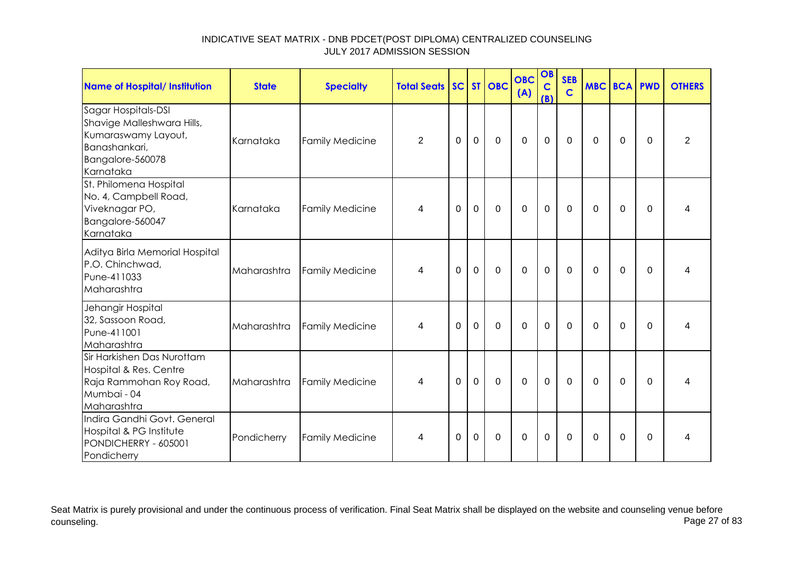| <b>Name of Hospital/ Institution</b>                                                                                       | <b>State</b> | <b>Specialty</b>       | <b>Total Seats</b> |             |             | SC ST OBC    | <b>OBC</b><br>(A) | OB<br>$\mathbf C$<br>(B) | <b>SEB</b><br>$\mathbf C$ | <b>MBC BCA PWD</b> |          |          | <b>OTHERS</b>  |
|----------------------------------------------------------------------------------------------------------------------------|--------------|------------------------|--------------------|-------------|-------------|--------------|-------------------|--------------------------|---------------------------|--------------------|----------|----------|----------------|
| Sagar Hospitals-DSI<br>Shavige Malleshwara Hills,<br>Kumaraswamy Layout,<br>Banashankari,<br>Bangalore-560078<br>Karnataka | Karnataka    | <b>Family Medicine</b> | $\overline{2}$     | $\mathbf 0$ | $\mathbf 0$ | $\mathbf 0$  | $\mathbf 0$       | $\mathbf 0$              | $\mathbf 0$               | 0                  | 0        | $\Omega$ | $\overline{2}$ |
| St. Philomena Hospital<br>No. 4, Campbell Road,<br>Viveknagar PO,<br>Bangalore-560047<br>Karnataka                         | Karnataka    | <b>Family Medicine</b> | 4                  | $\Omega$    | $\mathbf 0$ | $\mathbf 0$  | $\mathbf 0$       | $\mathbf 0$              | $\Omega$                  | $\mathbf{0}$       | 0        | $\Omega$ | 4              |
| Aditya Birla Memorial Hospital<br>P.O. Chinchwad,<br>Pune-411033<br>Maharashtra                                            | Maharashtra  | <b>Family Medicine</b> | 4                  | $\Omega$    | $\mathbf 0$ | $\mathbf 0$  | $\mathbf 0$       | $\mathbf 0$              | $\Omega$                  | $\mathbf{0}$       | $\Omega$ | $\Omega$ |                |
| Jehangir Hospital<br>32, Sassoon Road,<br>Pune-411001<br>Maharashtra                                                       | Maharashtra  | <b>Family Medicine</b> | 4                  | $\Omega$    | $\mathbf 0$ | $\Omega$     | $\mathbf 0$       | $\mathbf 0$              | $\Omega$                  | $\Omega$           | $\Omega$ | $\Omega$ | 4              |
| Sir Harkishen Das Nurottam<br>Hospital & Res. Centre<br>Raja Rammohan Roy Road,<br>Mumbai - 04<br>Maharashtra              | Maharashtra  | <b>Family Medicine</b> | 4                  | $\Omega$    | $\mathbf 0$ | $\mathbf{0}$ | $\mathbf 0$       | $\mathbf 0$              | $\Omega$                  | $\mathbf{0}$       | 0        | $\Omega$ | 4              |
| Indira Gandhi Govt. General<br>Hospital & PG Institute<br>PONDICHERRY - 605001<br>Pondicherry                              | Pondicherry  | <b>Family Medicine</b> | 4                  | 0           | 0           | 0            | $\mathbf 0$       | $\mathbf 0$              | 0                         | $\mathbf{0}$       | 0        | 0        | 4              |

Seat Matrix is purely provisional and under the continuous process of verification. Final Seat Matrix shall be displayed on the website and counseling venue before<br>Page 27 of 83 counseling. Page 27 of 83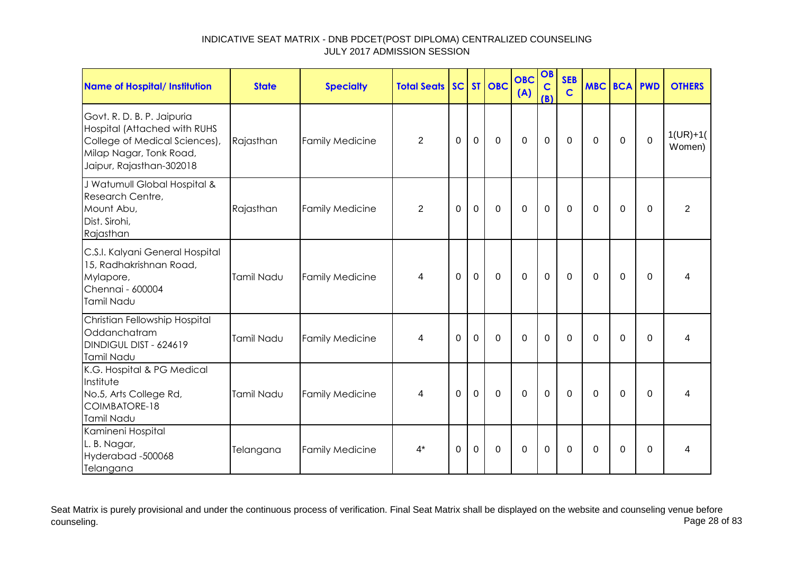| <b>Name of Hospital/ Institution</b>                                                                                                               | <b>State</b> | <b>Specialty</b>       | <b>Total Seats</b> |          |                | SC ST OBC    | <b>OBC</b><br>(A) | OB<br>$\mathbf C$<br>(B) | <b>SEB</b><br>$\mathbf C$ |          | <b>MBC BCA PWD</b> |             | <b>OTHERS</b>        |
|----------------------------------------------------------------------------------------------------------------------------------------------------|--------------|------------------------|--------------------|----------|----------------|--------------|-------------------|--------------------------|---------------------------|----------|--------------------|-------------|----------------------|
| Govt. R. D. B. P. Jaipuria<br>Hospital (Attached with RUHS<br>College of Medical Sciences),<br>Milap Nagar, Tonk Road,<br>Jaipur, Rajasthan-302018 | Rajasthan    | <b>Family Medicine</b> | $\overline{2}$     | 0        | $\mathbf 0$    | $\mathbf 0$  | $\mathbf 0$       | $\mathbf 0$              | $\mathbf 0$               | $\Omega$ | $\mathbf 0$        | $\pmb{0}$   | $1(UR)+1($<br>Women) |
| J Watumull Global Hospital &<br>Research Centre,<br>Mount Abu,<br>Dist. Sirohi,<br>Rajasthan                                                       | Rajasthan    | <b>Family Medicine</b> | $\overline{2}$     | $\Omega$ | $\mathbf 0$    | $\mathbf 0$  | $\mathbf 0$       | $\mathbf 0$              | $\mathbf 0$               | $\Omega$ | 0                  | 0           | $\overline{2}$       |
| C.S.I. Kalyani General Hospital<br>15, Radhakrishnan Road,<br>Mylapore,<br>Chennai - 600004<br>Tamil Nadu                                          | Tamil Nadu   | <b>Family Medicine</b> | 4                  | 0        | $\mathbf 0$    | $\mathbf 0$  | $\overline{0}$    | $\mathbf 0$              | $\mathbf 0$               | $\Omega$ | $\Omega$           | $\mathbf 0$ | 4                    |
| Christian Fellowship Hospital<br>Oddanchatram<br>DINDIGUL DIST - 624619<br>Tamil Nadu                                                              | Tamil Nadu   | <b>Family Medicine</b> | 4                  | 0        | $\mathbf 0$    | $\mathbf 0$  | 0                 | $\mathbf 0$              | $\mathbf 0$               | $\Omega$ | $\mathbf 0$        | $\Omega$    | 4                    |
| K.G. Hospital & PG Medical<br>Institute<br>No.5, Arts College Rd,<br>COIMBATORE-18<br>Tamil Nadu                                                   | Tamil Nadu   | <b>Family Medicine</b> | 4                  | $\Omega$ | $\overline{0}$ | $\mathbf{0}$ | $\Omega$          | $\mathbf 0$              | $\mathbf{0}$              | $\Omega$ | $\Omega$           | $\Omega$    | 4                    |
| Kamineni Hospital<br>L. B. Nagar,<br>Hyderabad -500068<br>Telangana                                                                                | Telangana    | <b>Family Medicine</b> | $4^*$              | 0        | $\mathbf 0$    | $\mathbf 0$  | 0                 | $\mathbf 0$              | $\mathbf{0}$              | $\Omega$ | $\mathbf 0$        | $\Omega$    | 4                    |

Seat Matrix is purely provisional and under the continuous process of verification. Final Seat Matrix shall be displayed on the website and counseling venue before<br>Page 28 of 83 counseling. Page 28 of 83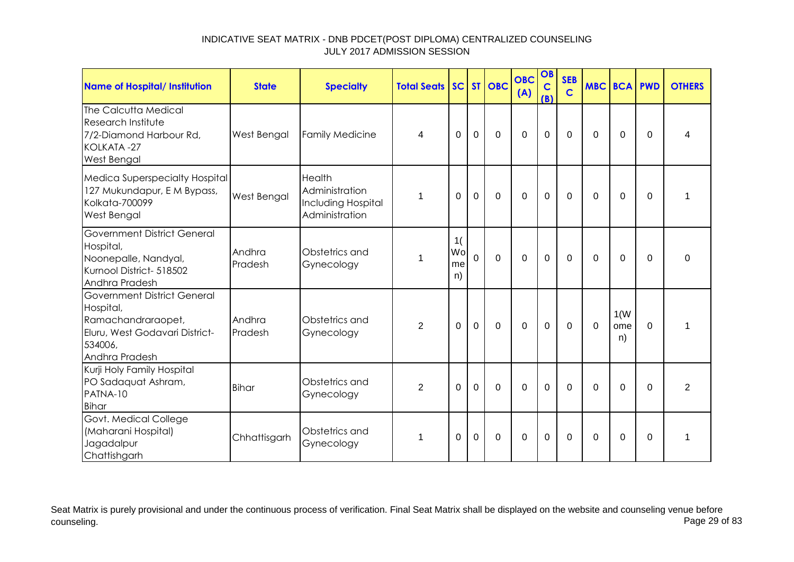| <b>Name of Hospital/ Institution</b>                                                                                                 | <b>State</b>      | <b>Specialty</b>                                                 | <b>Total Seats SC ST OBC</b> |                      |                |                | <b>OBC</b><br>(A) | OB<br>$\mathbf C$<br>(B) | <b>SEB</b><br>$\mathbf C$ | <b>MBC BCA PWD</b> |                   |             | <b>OTHERS</b>  |
|--------------------------------------------------------------------------------------------------------------------------------------|-------------------|------------------------------------------------------------------|------------------------------|----------------------|----------------|----------------|-------------------|--------------------------|---------------------------|--------------------|-------------------|-------------|----------------|
| The Calcutta Medical<br>Research Institute<br>7/2-Diamond Harbour Rd,<br>KOLKATA-27<br>West Bengal                                   | West Bengal       | <b>Family Medicine</b>                                           | 4                            | 0                    | $\mathbf 0$    | $\mathbf 0$    | $\overline{0}$    | $\mathbf 0$              | $\mathbf 0$               | $\Omega$           | $\mathbf 0$       | $\Omega$    | 4              |
| Medica Superspecialty Hospital<br>127 Mukundapur, E M Bypass,<br>Kolkata-700099<br>West Bengal                                       | West Bengal       | Health<br>Administration<br>Including Hospital<br>Administration |                              | $\Omega$             | $\mathbf 0$    | $\overline{0}$ | $\overline{0}$    | $\mathbf 0$              | $\mathbf 0$               | 0                  | $\mathbf 0$       | $\mathbf 0$ | 1              |
| <b>Government District General</b><br>Hospital,<br>Noonepalle, Nandyal,<br>Kurnool District- 518502<br>Andhra Pradesh                | Andhra<br>Pradesh | Obstetrics and<br>Gynecology                                     |                              | 1(<br>Wo<br>me<br>n) | $\overline{0}$ | $\overline{0}$ | $\overline{0}$    | $\mathbf 0$              | $\mathbf 0$               | $\mathbf 0$        | $\mathbf 0$       | $\Omega$    | $\Omega$       |
| <b>Government District General</b><br>Hospital,<br>Ramachandraraopet,<br>Eluru, West Godavari District-<br>534006,<br>Andhra Pradesh | Andhra<br>Pradesh | Obstetrics and<br>Gynecology                                     | $\overline{2}$               | $\Omega$             | $\mathbf 0$    | $\mathbf 0$    | $\overline{0}$    | $\mathbf 0$              | $\mathbf 0$               | $\Omega$           | 1(W)<br>ome<br>n) | $\Omega$    | 1              |
| Kurji Holy Family Hospital<br>PO Sadaquat Ashram,<br>PATNA-10<br><b>Bihar</b>                                                        | <b>Bihar</b>      | Obstetrics and<br>Gynecology                                     | $\overline{2}$               | 0                    | $\overline{0}$ | $\Omega$       | $\overline{0}$    | $\mathbf 0$              | $\Omega$                  | $\Omega$           | $\mathbf 0$       | $\Omega$    | $\overline{2}$ |
| Govt. Medical College<br>(Maharani Hospital)<br>Jagadalpur<br>Chattishgarh                                                           | Chhattisgarh      | Obstetrics and<br>Gynecology                                     | 1                            | $\Omega$             | $\mathbf 0$    | $\Omega$       | $\Omega$          | $\mathbf 0$              | $\Omega$                  | $\Omega$           | $\Omega$          | $\Omega$    | 1              |

Seat Matrix is purely provisional and under the continuous process of verification. Final Seat Matrix shall be displayed on the website and counseling venue before<br>Page 29 of 83 counseling. Page 29 of 83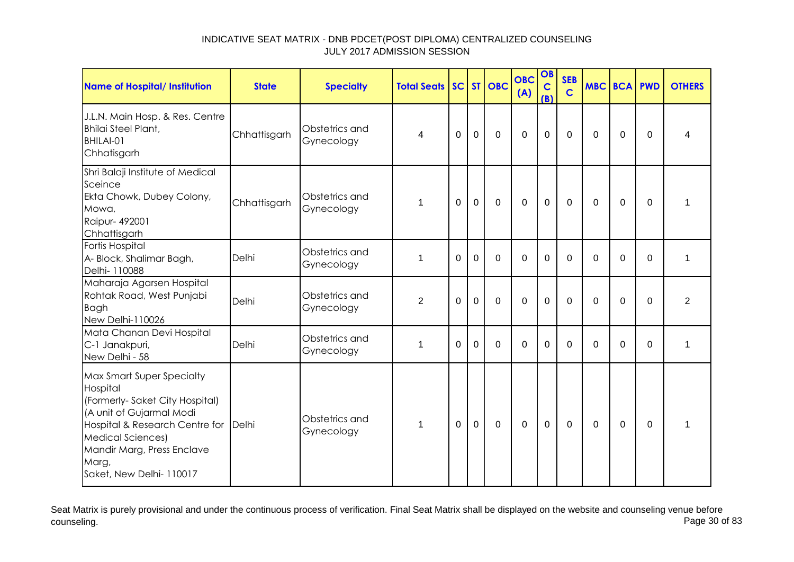| <b>Name of Hospital/ Institution</b>                                                                                                                                                                                                              | <b>State</b> | <b>Specialty</b>             | <b>Total Seats</b> |          |                | SC ST OBC      | <b>OBC</b><br>(A) | OB<br>$\mathbf C$<br>(B) | <b>SEB</b><br>$\mathsf{C}$ | <b>MBC BCA PWD</b> |                |          | <b>OTHERS</b>  |
|---------------------------------------------------------------------------------------------------------------------------------------------------------------------------------------------------------------------------------------------------|--------------|------------------------------|--------------------|----------|----------------|----------------|-------------------|--------------------------|----------------------------|--------------------|----------------|----------|----------------|
| J.L.N. Main Hosp. & Res. Centre<br><b>Bhilai Steel Plant,</b><br>BHILAI-01<br>Chhatisgarh                                                                                                                                                         | Chhattisgarh | Obstetrics and<br>Gynecology | 4                  | $\Omega$ | $\mathbf 0$    | $\overline{0}$ | $\mathbf 0$       | $\mathbf 0$              | $\Omega$                   | $\Omega$           | $\Omega$       | $\Omega$ | 4              |
| Shri Balaji Institute of Medical<br>Sceince<br>Ekta Chowk, Dubey Colony,<br>Mowa,<br>Raipur- 492001<br>Chhattisgarh                                                                                                                               | Chhattisgarh | Obstetrics and<br>Gynecology | 1                  | $\Omega$ | $\mathbf 0$    | 0              | 0                 | $\mathbf 0$              | $\Omega$                   | $\Omega$           | $\Omega$       | $\Omega$ | 1              |
| Fortis Hospital<br>A- Block, Shalimar Bagh,<br>Delhi- 110088                                                                                                                                                                                      | Delhi        | Obstetrics and<br>Gynecology | 1                  | $\Omega$ | $\overline{0}$ | $\mathbf 0$    | $\overline{0}$    | $\mathbf 0$              | $\Omega$                   | $\Omega$           | $\Omega$       | $\Omega$ | $\mathbf{1}$   |
| Maharaja Agarsen Hospital<br>Rohtak Road, West Punjabi<br><b>Bagh</b><br>New Delhi-110026                                                                                                                                                         | Delhi        | Obstetrics and<br>Gynecology | $\overline{2}$     | $\Omega$ | $\Omega$       | $\mathbf 0$    | $\Omega$          | $\mathbf 0$              | $\Omega$                   | $\Omega$           | $\Omega$       | $\Omega$ | $\overline{2}$ |
| Mata Chanan Devi Hospital<br>C-1 Janakpuri,<br>New Delhi - 58                                                                                                                                                                                     | Delhi        | Obstetrics and<br>Gynecology | $\mathbf 1$        | $\Omega$ | $\Omega$       | $\Omega$       | $\Omega$          | $\Omega$                 | $\Omega$                   | $\Omega$           | 0              | $\Omega$ | 1              |
| <b>Max Smart Super Specialty</b><br>Hospital<br>(Formerly-Saket City Hospital)<br>(A unit of Gujarmal Modi<br>Hospital & Research Centre for Delhi<br><b>Medical Sciences)</b><br>Mandir Marg, Press Enclave<br>Marg,<br>Saket, New Delhi- 110017 |              | Obstetrics and<br>Gynecology | 1                  | $\Omega$ | $\mathbf 0$    | $\mathbf 0$    | $\mathbf 0$       | $\mathbf 0$              | $\Omega$                   | $\Omega$           | $\overline{0}$ | $\Omega$ | $\mathbf{1}$   |

Seat Matrix is purely provisional and under the continuous process of verification. Final Seat Matrix shall be displayed on the website and counseling venue before<br>Page 30 of 83 counseling. Page 30 of 83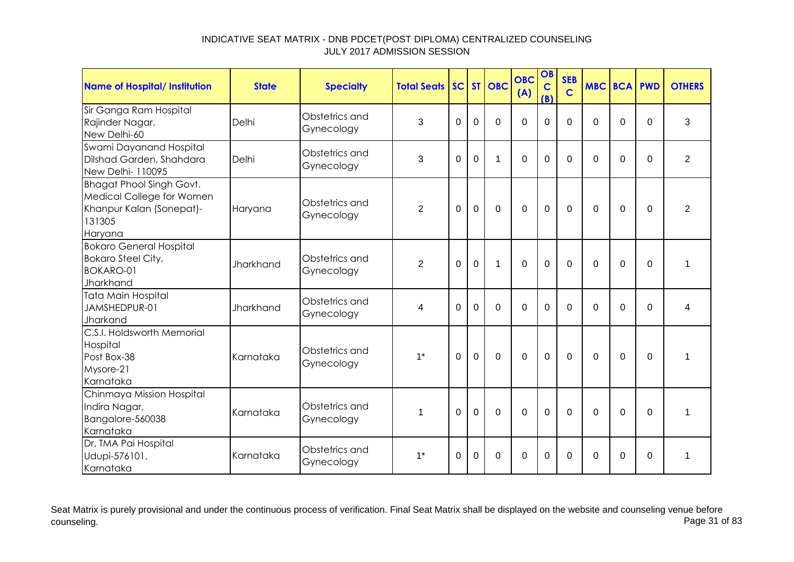| <b>Name of Hospital/ Institution</b>                                                                          | <b>State</b>     | <b>Specialty</b>             | <b>Total Seats</b> |                |                | SC ST OBC   | <b>OBC</b><br>(A) | OB<br>$\mathbf C$<br>(B) | <b>SEB</b><br>$\mathbf C$ | <b>MBC BCA PWD</b> |             |             | <b>OTHERS</b>  |
|---------------------------------------------------------------------------------------------------------------|------------------|------------------------------|--------------------|----------------|----------------|-------------|-------------------|--------------------------|---------------------------|--------------------|-------------|-------------|----------------|
| Sir Ganga Ram Hospital<br>Rajinder Nagar,<br>New Delhi-60                                                     | Delhi            | Obstetrics and<br>Gynecology | 3                  | $\Omega$       | $\overline{0}$ | $\mathbf 0$ | $\overline{0}$    | $\mathbf 0$              | $\Omega$                  | $\Omega$           | $\Omega$    | $\Omega$    | 3              |
| Swami Dayanand Hospital<br>Dilshad Garden, Shahdara<br>New Delhi- 110095                                      | Delhi            | Obstetrics and<br>Gynecology | 3                  | $\Omega$       | $\Omega$       | 1           | $\Omega$          | $\mathbf 0$              | $\Omega$                  | $\Omega$           | $\Omega$    | $\Omega$    | $\overline{2}$ |
| <b>Bhagat Phool Singh Govt.</b><br>Medical College for Women<br>Khanpur Kalan (Sonepat)-<br>131305<br>Haryana | Haryana          | Obstetrics and<br>Gynecology | $\overline{2}$     | $\Omega$       | $\mathbf 0$    | $\mathbf 0$ | $\mathbf 0$       | $\mathbf 0$              | $\Omega$                  | $\Omega$           | 0           | 0           | $\overline{2}$ |
| <b>Bokaro General Hospital</b><br><b>Bokaro Steel City,</b><br><b>BOKARO-01</b><br>Jharkhand                  | <b>Jharkhand</b> | Obstetrics and<br>Gynecology | $\overline{2}$     | $\Omega$       | $\mathbf 0$    | $\mathbf 1$ | $\overline{0}$    | $\mathbf 0$              | $\Omega$                  | $\Omega$           | $\Omega$    | $\Omega$    | 1              |
| <b>Tata Main Hospital</b><br>JAMSHEDPUR-01<br>Jharkand                                                        | <b>Jharkhand</b> | Obstetrics and<br>Gynecology | 4                  | $\overline{0}$ | $\overline{0}$ | $\mathbf 0$ | 0                 | $\mathbf 0$              | $\overline{0}$            | $\Omega$           | $\mathbf 0$ | $\mathbf 0$ | 4              |
| C.S.I. Holdsworth Memorial<br>Hospital<br>Post Box-38<br>Mysore-21<br>Karnataka                               | Karnataka        | Obstetrics and<br>Gynecology | $1*$               | $\Omega$       | $\overline{0}$ | $\mathbf 0$ | $\overline{0}$    | $\overline{0}$           | $\Omega$                  | $\Omega$           | $\mathbf 0$ | $\mathbf 0$ | 1              |
| Chinmaya Mission Hospital<br>Indira Nagar,<br>Bangalore-560038<br>Karnataka                                   | Karnataka        | Obstetrics and<br>Gynecology | $\mathbf 1$        | $\Omega$       | $\mathbf 0$    | $\mathbf 0$ | $\mathbf 0$       | $\mathbf 0$              | $\Omega$                  | $\Omega$           | 0           | $\Omega$    | 1              |
| Dr. TMA Pai Hospital<br>Udupi-576101,<br>Karnataka                                                            | Karnataka        | Obstetrics and<br>Gynecology | $1*$               | $\Omega$       | $\Omega$       | $\mathbf 0$ | $\overline{0}$    | $\mathbf 0$              | $\Omega$                  | 0                  | $\Omega$    | $\Omega$    | 1              |

Seat Matrix is purely provisional and under the continuous process of verification. Final Seat Matrix shall be displayed on the website and counseling venue before<br>Page 31 of 83 counseling. Page 31 of 83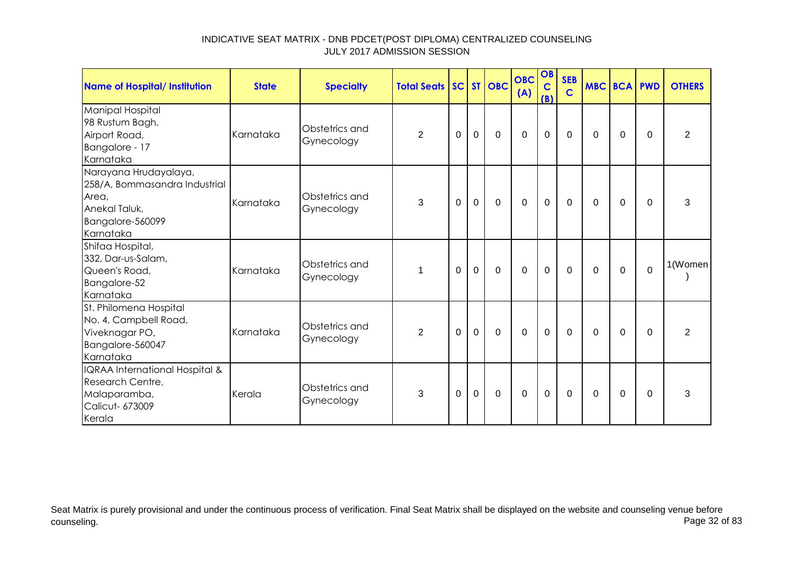| Name of Hospital/ Institution                                                                                     | <b>State</b> | <b>Specialty</b>             | <b>Total Seats SC ST OBC</b> |          |                |             | <b>OBC</b><br>(A) | OB<br>$\mathbf C$<br>(B) | <b>SEB</b><br>$\mathbf C$ | <b>MBC BCA PWD</b> |          |          | <b>OTHERS</b>  |
|-------------------------------------------------------------------------------------------------------------------|--------------|------------------------------|------------------------------|----------|----------------|-------------|-------------------|--------------------------|---------------------------|--------------------|----------|----------|----------------|
| Manipal Hospital<br>98 Rustum Bagh,<br>Airport Road,<br>Bangalore - 17<br>Karnataka                               | Karnataka    | Obstetrics and<br>Gynecology | $\overline{2}$               | 0        | $\mathbf 0$    | $\mathbf 0$ | $\mathbf 0$       | $\mathbf 0$              | 0                         | 0                  | 0        | $\Omega$ | $\overline{2}$ |
| Narayana Hrudayalaya,<br>258/A, Bommasandra Industrial<br>Area,<br>Anekal Taluk,<br>Bangalore-560099<br>Karnataka | Karnataka    | Obstetrics and<br>Gynecology | 3                            | $\Omega$ | $\mathbf{0}$   | $\mathbf 0$ | $\mathbf 0$       | $\mathbf{0}$             | $\mathbf 0$               | $\Omega$           | $\Omega$ | $\Omega$ | 3              |
| Shifaa Hospital,<br>332, Dar-us-Salam,<br>Queen's Road,<br>Bangalore-52<br>Karnataka                              | Karnataka    | Obstetrics and<br>Gynecology | 1                            | $\Omega$ | $\mathbf 0$    | $\mathbf 0$ | $\mathbf 0$       | $\mathbf 0$              | $\Omega$                  | $\Omega$           | $\Omega$ | $\Omega$ | 1(Women        |
| St. Philomena Hospital<br>No. 4, Campbell Road,<br>Viveknagar PO,<br>Bangalore-560047<br>Karnataka                | Karnataka    | Obstetrics and<br>Gynecology | $\overline{2}$               | 0        | $\overline{0}$ | $\mathbf 0$ | $\mathbf 0$       | $\mathbf 0$              | $\mathbf 0$               | $\Omega$           | $\Omega$ | $\Omega$ | $\overline{2}$ |
| IQRAA International Hospital &<br>Research Centre,<br>Malaparamba,<br>Calicut- 673009<br>Kerala                   | Kerala       | Obstetrics and<br>Gynecology | 3                            | $\Omega$ | $\mathbf 0$    | $\mathbf 0$ | $\mathbf 0$       | $\mathbf 0$              | $\mathbf 0$               | $\Omega$           | 0        | $\Omega$ | 3              |

Seat Matrix is purely provisional and under the continuous process of verification. Final Seat Matrix shall be displayed on the website and counseling venue before<br>Page 32 of 83 counseling. Page 32 of 83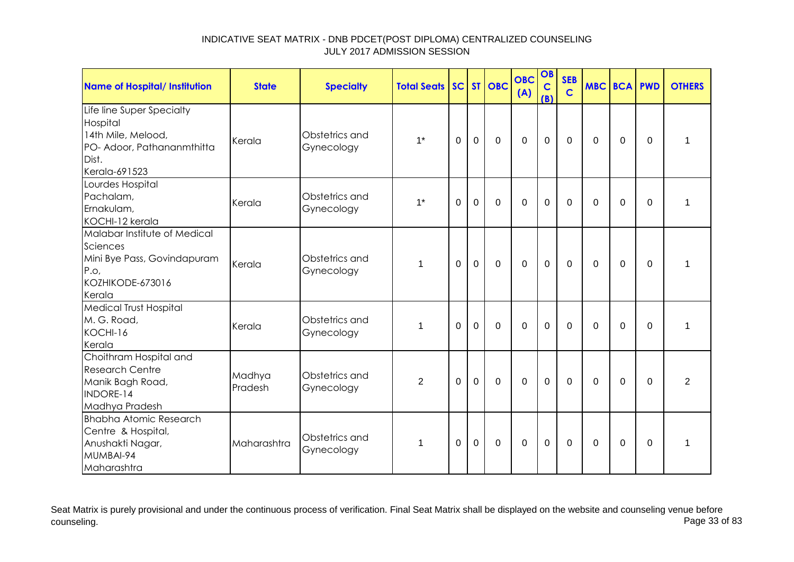| Name of Hospital/ Institution                                                                                       | <b>State</b>      | <b>Specialty</b>             | <b>Total Seats</b> |             |                | SC ST OBC      | <b>OBC</b><br>(A) | OB<br>$\mathbf C$<br>(B) | <b>SEB</b><br>$\mathbf C$ | <b>MBC BCA PWD</b> |                |             | <b>OTHERS</b>  |
|---------------------------------------------------------------------------------------------------------------------|-------------------|------------------------------|--------------------|-------------|----------------|----------------|-------------------|--------------------------|---------------------------|--------------------|----------------|-------------|----------------|
| Life line Super Specialty<br>Hospital<br>14th Mile, Melood,<br>PO- Adoor, Pathananmthitta<br>Dist.<br>Kerala-691523 | Kerala            | Obstetrics and<br>Gynecology | $1^*$              | 0           | $\mathbf 0$    | $\mathbf 0$    | $\mathbf 0$       | $\mathbf 0$              | $\mathbf 0$               | 0                  | 0              | 0           | 1              |
| Lourdes Hospital<br>Pachalam,<br>Ernakulam,<br>KOCHI-12 kerala                                                      | Kerala            | Obstetrics and<br>Gynecology | $1*$               | $\Omega$    | $\overline{0}$ | $\Omega$       | $\overline{0}$    | $\overline{0}$           | $\Omega$                  | $\Omega$           | $\overline{0}$ | $\mathbf 0$ | 1              |
| Malabar Institute of Medical<br>Sciences<br>Mini Bye Pass, Govindapuram<br>P.o,<br>KOZHIKODE-673016<br>Kerala       | Kerala            | Obstetrics and<br>Gynecology | 1                  | 0           | $\mathbf 0$    | $\mathbf 0$    | $\overline{0}$    | $\mathbf 0$              | $\mathbf 0$               | $\Omega$           | $\overline{0}$ | $\Omega$    | 1              |
| <b>Medical Trust Hospital</b><br>M. G. Road,<br>KOCHI-16<br>Kerala                                                  | Kerala            | Obstetrics and<br>Gynecology | 1                  | $\Omega$    | $\mathbf 0$    | $\overline{0}$ | $\overline{0}$    | $\mathbf 0$              | $\Omega$                  | $\Omega$           | $\Omega$       | $\Omega$    | 1              |
| Choithram Hospital and<br><b>Research Centre</b><br>Manik Bagh Road,<br><b>INDORE-14</b><br>Madhya Pradesh          | Madhya<br>Pradesh | Obstetrics and<br>Gynecology | $\overline{2}$     | $\mathbf 0$ | $\mathbf 0$    | $\mathbf{0}$   | $\mathbf 0$       | $\mathbf 0$              | $\Omega$                  | $\Omega$           | $\mathbf 0$    | $\Omega$    | $\overline{2}$ |
| <b>Bhabha Atomic Research</b><br>Centre & Hospital,<br>Anushakti Nagar,<br>MUMBAI-94<br>Maharashtra                 | Maharashtra       | Obstetrics and<br>Gynecology | 1                  | 0           | $\mathbf 0$    | $\mathbf 0$    | $\mathbf 0$       | $\mathbf 0$              | 0                         | 0                  | 0              | 0           | 1              |

Seat Matrix is purely provisional and under the continuous process of verification. Final Seat Matrix shall be displayed on the website and counseling venue before<br>Page 33 of 83 counseling. Page 33 of 83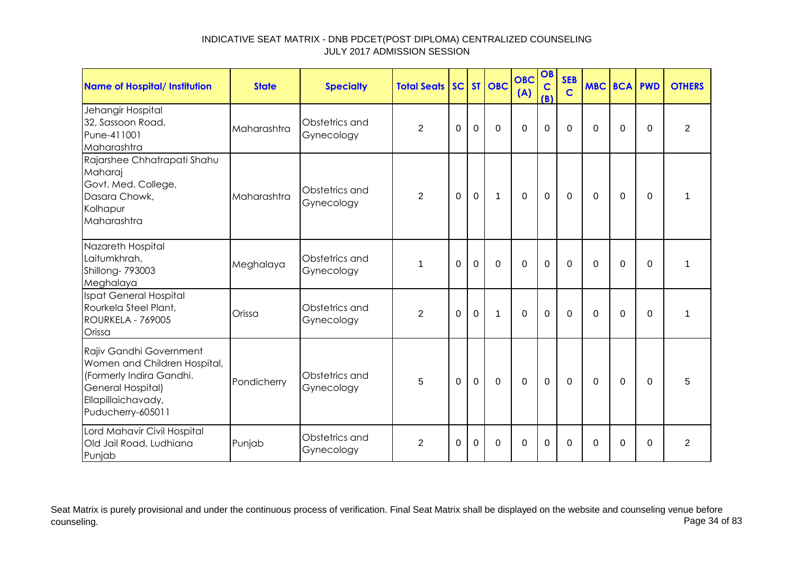| <b>Name of Hospital/ Institution</b>                                                                                                                | <b>State</b> | <b>Specialty</b>             | <b>Total Seats</b> |          |             | SC ST OBC   | <b>OBC</b><br>(A) | OB<br>$\mathbf C$<br>(B) | <b>SEB</b><br>$\overline{c}$ | <b>MBC BCA</b> |             | <b>PWD</b> | <b>OTHERS</b>  |
|-----------------------------------------------------------------------------------------------------------------------------------------------------|--------------|------------------------------|--------------------|----------|-------------|-------------|-------------------|--------------------------|------------------------------|----------------|-------------|------------|----------------|
| Jehangir Hospital<br>32, Sassoon Road,<br>Pune-411001<br>Maharashtra                                                                                | Maharashtra  | Obstetrics and<br>Gynecology | $\overline{2}$     | $\Omega$ | $\mathbf 0$ | $\mathbf 0$ | $\mathbf 0$       | 0                        | $\mathbf 0$                  | $\Omega$       | $\Omega$    | $\Omega$   | $\overline{2}$ |
| Rajarshee Chhatrapati Shahu<br>Maharaj<br>Govt. Med. College,<br>Dasara Chowk,<br>Kolhapur<br>Maharashtra                                           | Maharashtra  | Obstetrics and<br>Gynecology | $\overline{2}$     | 0        | $\mathbf 0$ | $\mathbf 1$ | $\mathbf 0$       | $\mathbf 0$              | $\mathbf 0$                  | $\Omega$       | 0           | 0          | 1              |
| Nazareth Hospital<br>Laitumkhrah,<br>Shillong- 793003<br>Meghalaya                                                                                  | Meghalaya    | Obstetrics and<br>Gynecology | 1                  | 0        | $\mathbf 0$ | $\mathbf 0$ | $\mathbf 0$       | $\mathbf 0$              | $\overline{0}$               | $\Omega$       | $\mathbf 0$ | $\Omega$   | 1              |
| Ispat General Hospital<br>Rourkela Steel Plant,<br><b>ROURKELA - 769005</b><br>Orissa                                                               | Orissa       | Obstetrics and<br>Gynecology | $\overline{2}$     | $\Omega$ | $\Omega$    | 1           | $\Omega$          | $\Omega$                 | $\Omega$                     | $\Omega$       | 0           | $\Omega$   | 1              |
| Rajiv Gandhi Government<br>Women and Children Hospital,<br>(Formerly Indira Gandhi.<br>General Hospital)<br>Ellapillaichavady,<br>Puducherry-605011 | Pondicherry  | Obstetrics and<br>Gynecology | 5                  | 0        | $\mathbf 0$ | $\mathbf 0$ | $\mathbf 0$       | $\mathbf 0$              | $\Omega$                     | $\Omega$       | 0           | $\Omega$   | 5              |
| Lord Mahavir Civil Hospital<br>Old Jail Road, Ludhiana<br>Punjab                                                                                    | Punjab       | Obstetrics and<br>Gynecology | $\overline{2}$     | 0        | $\Omega$    | $\mathbf 0$ | $\mathbf 0$       | 0                        | 0                            | 0              | 0           | 0          | $\overline{2}$ |

Seat Matrix is purely provisional and under the continuous process of verification. Final Seat Matrix shall be displayed on the website and counseling venue before<br>Page 34 of 83 counseling. Page 34 of 83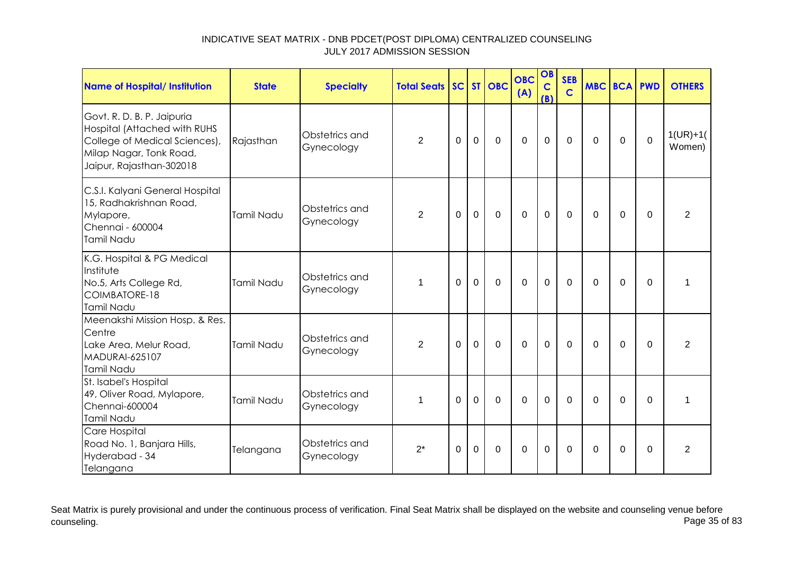| Name of Hospital/ Institution                                                                                                                      | <b>State</b> | <b>Specialty</b>             | <b>Total Seats</b> |          |                | SC ST OBC   | <b>OBC</b><br>(A) | OB<br>$\mathbf C$<br>(B) | <b>SEB</b><br>$\mathbf C$ | <b>MBC BCA PWD</b> |             |             | <b>OTHERS</b>        |
|----------------------------------------------------------------------------------------------------------------------------------------------------|--------------|------------------------------|--------------------|----------|----------------|-------------|-------------------|--------------------------|---------------------------|--------------------|-------------|-------------|----------------------|
| Govt. R. D. B. P. Jaipuria<br>Hospital (Attached with RUHS<br>College of Medical Sciences),<br>Milap Nagar, Tonk Road,<br>Jaipur, Rajasthan-302018 | Rajasthan    | Obstetrics and<br>Gynecology | $\overline{2}$     | 0        | $\mathbf 0$    | $\mathbf 0$ | $\mathbf 0$       | $\mathbf 0$              | $\mathbf 0$               | $\Omega$           | 0           | $\mathbf 0$ | $1(UR)+1($<br>Women) |
| C.S.I. Kalyani General Hospital<br>15, Radhakrishnan Road,<br>Mylapore,<br>Chennai - 600004<br>Tamil Nadu                                          | Tamil Nadu   | Obstetrics and<br>Gynecology | $\overline{2}$     | $\Omega$ | $\overline{0}$ | $\mathbf 0$ | $\overline{0}$    | $\mathbf 0$              | $\mathbf 0$               | $\Omega$           | $\Omega$    | $\Omega$    | $\overline{2}$       |
| K.G. Hospital & PG Medical<br>Institute<br>No.5, Arts College Rd,<br>COIMBATORE-18<br>Tamil Nadu                                                   | Tamil Nadu   | Obstetrics and<br>Gynecology | 1                  | $\Omega$ | $\mathbf 0$    | $\mathbf 0$ | $\mathbf 0$       | $\mathbf 0$              | $\mathbf 0$               | 0                  | $\mathbf 0$ | $\mathbf 0$ | 1                    |
| Meenakshi Mission Hosp. & Res.<br>Centre<br>Lake Area, Melur Road,<br><b>MADURAI-625107</b><br>Tamil Nadu                                          | Tamil Nadu   | Obstetrics and<br>Gynecology | $\overline{2}$     | $\Omega$ | $\Omega$       | $\Omega$    | $\overline{0}$    | $\overline{0}$           | $\Omega$                  | $\Omega$           | $\mathbf 0$ | $\Omega$    | $\overline{2}$       |
| St. Isabel's Hospital<br>49, Oliver Road, Mylapore,<br>Chennai-600004<br>Tamil Nadu                                                                | Tamil Nadu   | Obstetrics and<br>Gynecology | 1                  | $\Omega$ | $\mathbf 0$    | $\mathbf 0$ | $\overline{0}$    | $\overline{0}$           | $\Omega$                  | $\Omega$           | $\mathbf 0$ | $\mathbf 0$ | 1                    |
| Care Hospital<br>Road No. 1, Banjara Hills,<br>Hyderabad - 34<br>Telangana                                                                         | Telangana    | Obstetrics and<br>Gynecology | $2^*$              | $\Omega$ | $\overline{0}$ | $\mathbf 0$ | $\Omega$          | $\overline{0}$           | $\Omega$                  | $\Omega$           | $\mathbf 0$ | $\Omega$    | $\overline{2}$       |

Seat Matrix is purely provisional and under the continuous process of verification. Final Seat Matrix shall be displayed on the website and counseling venue before<br>Page 35 of 83 counseling. Page 35 of 83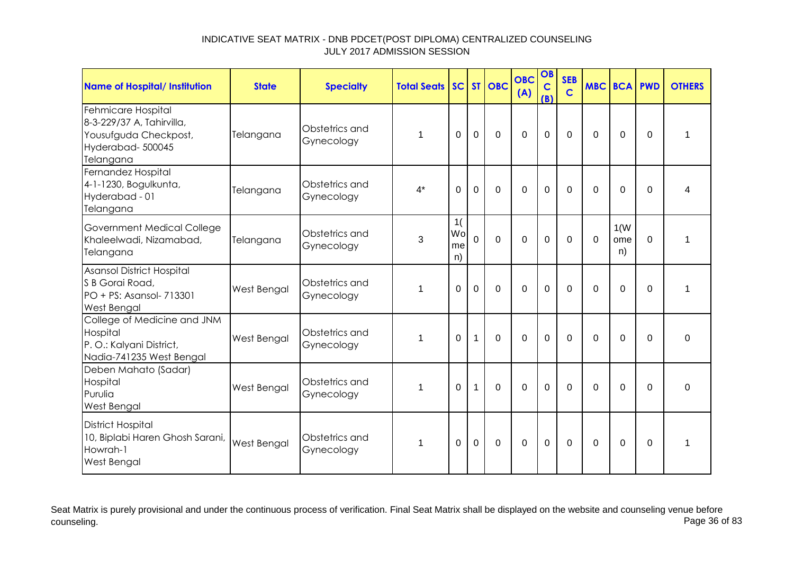| Name of Hospital/ Institution                                                                             | <b>State</b> | <b>Specialty</b>             | <b>Total Seats</b> |                      |                | SC ST OBC      | <b>OBC</b><br>(A) | OB<br>$\mathbf C$<br>(B) | <b>SEB</b><br>$\overline{c}$ | <b>MBC BCA PWD</b> |                   |          | <b>OTHERS</b> |
|-----------------------------------------------------------------------------------------------------------|--------------|------------------------------|--------------------|----------------------|----------------|----------------|-------------------|--------------------------|------------------------------|--------------------|-------------------|----------|---------------|
| Fehmicare Hospital<br>8-3-229/37 A, Tahirvilla,<br>Yousufguda Checkpost,<br>Hyderabad-500045<br>Telangana | Telangana    | Obstetrics and<br>Gynecology |                    | $\Omega$             | $\overline{0}$ | $\Omega$       | $\Omega$          | $\overline{0}$           | $\Omega$                     | $\Omega$           | $\overline{0}$    | $\Omega$ | 1             |
| Fernandez Hospital<br>4-1-1230, Bogulkunta,<br>Hyderabad - 01<br>Telangana                                | Telangana    | Obstetrics and<br>Gynecology | $4^*$              | $\Omega$             | $\mathbf 0$    | $\Omega$       | $\mathbf 0$       | $\overline{0}$           | $\Omega$                     | $\Omega$           | $\mathbf 0$       | $\Omega$ | 4             |
| Government Medical College<br>Khaleelwadi, Nizamabad,<br>Telangana                                        | Telangana    | Obstetrics and<br>Gynecology | 3                  | 1(<br>Wo<br>me<br>n) | $\overline{0}$ | $\overline{0}$ | $\mathbf 0$       | $\mathbf 0$              | $\mathbf 0$                  | $\Omega$           | 1(W)<br>ome<br>n) | $\Omega$ | 1             |
| <b>Asansol District Hospital</b><br>S B Gorai Road,<br>PO + PS: Asansol- 713301<br>West Bengal            | West Bengal  | Obstetrics and<br>Gynecology | 1                  | $\Omega$             | $\mathbf 0$    | $\Omega$       | $\mathbf 0$       | $\mathbf 0$              | $\Omega$                     | $\Omega$           | 0                 | $\Omega$ | 1             |
| College of Medicine and JNM<br>Hospital<br>P.O.: Kalyani District,<br>Nadia-741235 West Bengal            | West Bengal  | Obstetrics and<br>Gynecology | 1                  | $\mathbf 0$          | $\mathbf{1}$   | $\Omega$       | $\mathbf 0$       | $\overline{0}$           | $\Omega$                     | $\Omega$           | $\mathbf 0$       | $\Omega$ | $\mathbf 0$   |
| Deben Mahato (Sadar)<br>Hospital<br>Purulia<br>West Bengal                                                | West Bengal  | Obstetrics and<br>Gynecology | 1                  | $\Omega$             | $\mathbf{1}$   | $\Omega$       | $\mathbf 0$       | $\mathbf 0$              | $\Omega$                     | $\Omega$           | $\Omega$          | $\Omega$ | $\Omega$      |
| <b>District Hospital</b><br>10, Biplabi Haren Ghosh Sarani,<br>Howrah-1<br>West Bengal                    | West Bengal  | Obstetrics and<br>Gynecology | 1                  | 0                    | $\mathbf 0$    | $\mathbf 0$    | $\mathbf 0$       | $\mathbf 0$              | 0                            | $\Omega$           | 0                 | 0        | 1             |

Seat Matrix is purely provisional and under the continuous process of verification. Final Seat Matrix shall be displayed on the website and counseling venue before<br>Page 36 of 83 counseling. Page 36 of 83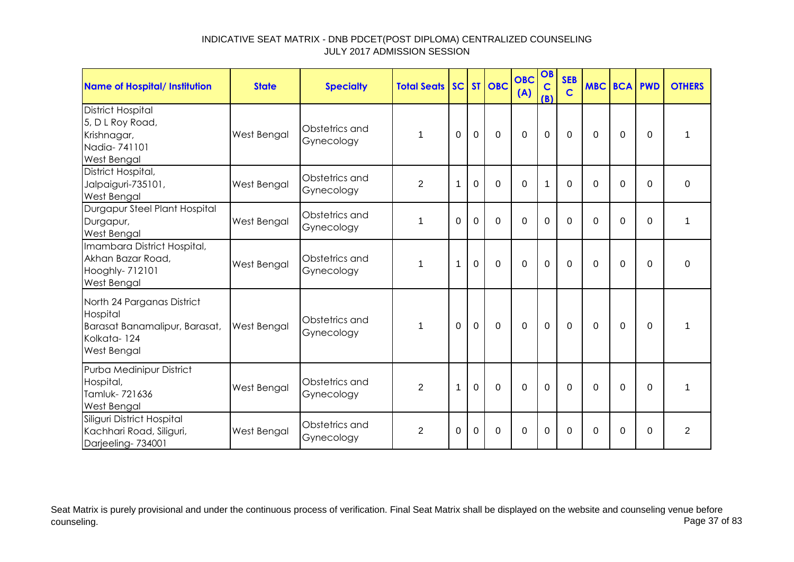| Name of Hospital/ Institution                                                                         | <b>State</b>       | <b>Specialty</b>             | <b>Total Seats SC ST OBC</b> |             |                |                | <b>OBC</b><br>(A) | OB<br>$\mathbf C$<br>(B) | <b>SEB</b><br>$\mathbf C$ | <b>MBC BCA PWD</b> |             |          | <b>OTHERS</b>  |
|-------------------------------------------------------------------------------------------------------|--------------------|------------------------------|------------------------------|-------------|----------------|----------------|-------------------|--------------------------|---------------------------|--------------------|-------------|----------|----------------|
| <b>District Hospital</b><br>5, D L Roy Road,<br>Krishnagar,<br>Nadia-741101<br>West Bengal            | West Bengal        | Obstetrics and<br>Gynecology | 1                            | $\Omega$    | $\overline{0}$ | $\mathbf 0$    | $\overline{0}$    | $\mathbf 0$              | $\Omega$                  | $\mathbf 0$        | $\Omega$    | $\Omega$ |                |
| District Hospital,<br>Jalpaiguri-735101,<br>West Bengal                                               | West Bengal        | Obstetrics and<br>Gynecology | $\overline{2}$               | 1           | $\mathbf 0$    | $\Omega$       | $\Omega$          | $\mathbf 1$              | $\Omega$                  | $\Omega$           | $\mathbf 0$ | $\Omega$ | $\mathbf 0$    |
| Durgapur Steel Plant Hospital<br>Durgapur,<br>West Bengal                                             | West Bengal        | Obstetrics and<br>Gynecology | 1                            | 0           | $\mathbf 0$    | $\mathbf 0$    | $\overline{0}$    | $\mathbf 0$              | $\mathbf 0$               | $\Omega$           | $\mathbf 0$ | $\Omega$ | 1              |
| Imambara District Hospital,<br>Akhan Bazar Road,<br>Hooghly- 712101<br>West Bengal                    | West Bengal        | Obstetrics and<br>Gynecology | 1                            | 1           | $\mathbf 0$    | $\mathbf 0$    | $\overline{0}$    | $\mathbf 0$              | $\Omega$                  | $\Omega$           | $\Omega$    | $\Omega$ | 0              |
| North 24 Parganas District<br>Hospital<br>Barasat Banamalipur, Barasat,<br>Kolkata-124<br>West Bengal | <b>West Bengal</b> | Obstetrics and<br>Gynecology | 1                            | $\Omega$    | $\mathbf 0$    | $\overline{0}$ | $\overline{0}$    | $\mathbf 0$              | $\mathbf 0$               | $\Omega$           | $\mathbf 0$ | $\Omega$ | 1              |
| Purba Medinipur District<br>Hospital,<br>Tamluk-721636<br><b>West Bengal</b>                          | West Bengal        | Obstetrics and<br>Gynecology | 2                            | $\mathbf 1$ | $\Omega$       | $\Omega$       | $\Omega$          | $\Omega$                 | $\Omega$                  | $\Omega$           | $\Omega$    | $\Omega$ | 1              |
| Siliguri District Hospital<br>Kachhari Road, Siliguri,<br>Darjeeling-734001                           | West Bengal        | Obstetrics and<br>Gynecology | $\overline{2}$               | $\Omega$    | $\Omega$       | $\Omega$       | $\overline{0}$    | $\mathbf 0$              | $\Omega$                  | $\Omega$           | $\Omega$    | $\Omega$ | $\overline{2}$ |

Seat Matrix is purely provisional and under the continuous process of verification. Final Seat Matrix shall be displayed on the website and counseling venue before<br>Page 37 of 83 counseling. Page 37 of 83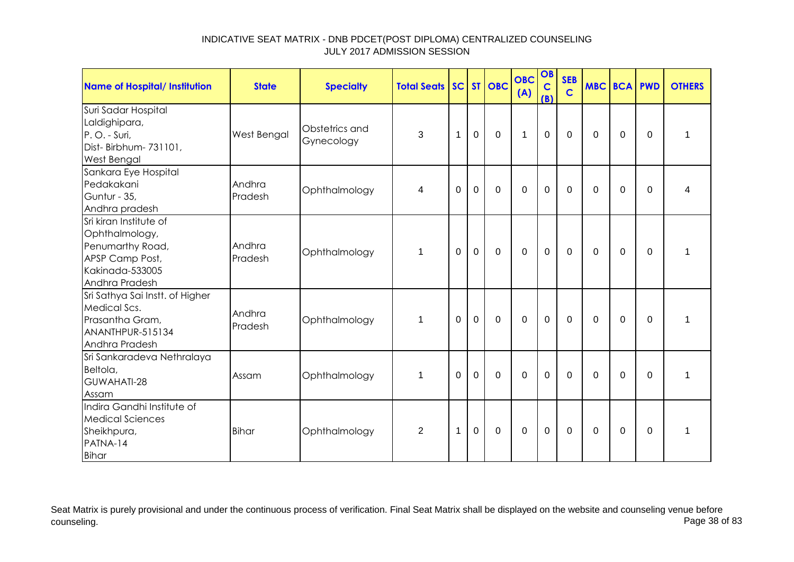| <b>Name of Hospital/ Institution</b>                                                                                 | <b>State</b>      | <b>Specialty</b>             | <b>Total Seats</b> |             |                | SC ST OBC      | <b>OBC</b><br>(A) | OB<br>$\mathbf C$<br>(B) | <b>SEB</b><br>$\mathbf C$ | <b>MBC BCA PWD</b> |             |             | <b>OTHERS</b> |
|----------------------------------------------------------------------------------------------------------------------|-------------------|------------------------------|--------------------|-------------|----------------|----------------|-------------------|--------------------------|---------------------------|--------------------|-------------|-------------|---------------|
| Suri Sadar Hospital<br>Laldighipara,<br>P.O. - Suri,<br>Dist- Birbhum- 731101,<br>West Bengal                        | West Bengal       | Obstetrics and<br>Gynecology | 3                  | 1           | $\mathbf 0$    | $\mathbf 0$    | $\mathbf{1}$      | $\mathbf 0$              | $\mathbf 0$               | 0                  | 0           | $\Omega$    | 1             |
| Sankara Eye Hospital<br>Pedakakani<br>Guntur - 35,<br>Andhra pradesh                                                 | Andhra<br>Pradesh | Ophthalmology                | 4                  | $\mathbf 0$ | $\mathbf 0$    | $\mathbf 0$    | $\overline{0}$    | $\mathbf 0$              | $\mathbf 0$               | $\mathbf 0$        | $\mathbf 0$ | $\mathbf 0$ | Δ             |
| Sri kiran Institute of<br>Ophthalmology,<br>Penumarthy Road,<br>APSP Camp Post,<br>Kakinada-533005<br>Andhra Pradesh | Andhra<br>Pradesh | Ophthalmology                | $\mathbf 1$        | $\Omega$    | $\mathbf{0}$   | $\overline{0}$ | $\mathbf 0$       | $\mathbf 0$              | $\mathbf 0$               | $\mathbf 0$        | $\mathbf 0$ | $\mathbf 0$ | 1             |
| Sri Sathya Sai Instt. of Higher<br>Medical Scs.<br>Prasantha Gram,<br>ANANTHPUR-515134<br>Andhra Pradesh             | Andhra<br>Pradesh | Ophthalmology                | $\mathbf{1}$       | 0           | $\mathbf 0$    | $\mathbf 0$    | $\mathbf 0$       | $\pmb{0}$                | $\mathbf 0$               | 0                  | $\mathbf 0$ | $\Omega$    | $\mathbf 1$   |
| Sri Sankaradeva Nethralaya<br>Beltola,<br>GUWAHATI-28<br>Assam                                                       | Assam             | Ophthalmology                | $\mathbf 1$        | $\Omega$    | $\overline{0}$ | $\mathbf 0$    | $\overline{0}$    | $\mathbf 0$              | $\mathbf 0$               | $\Omega$           | $\mathbf 0$ | $\mathbf 0$ | 1             |
| Indira Gandhi Institute of<br><b>Medical Sciences</b><br>Sheikhpura,<br>PATNA-14<br>Bihar                            | <b>Bihar</b>      | Ophthalmology                | 2                  | 1           | $\Omega$       | $\mathbf 0$    | $\overline{0}$    | $\mathbf 0$              | $\mathbf 0$               | $\Omega$           | $\Omega$    | $\Omega$    | 1             |

Seat Matrix is purely provisional and under the continuous process of verification. Final Seat Matrix shall be displayed on the website and counseling venue before<br>Page 38 of 83 counseling. Page 38 of 83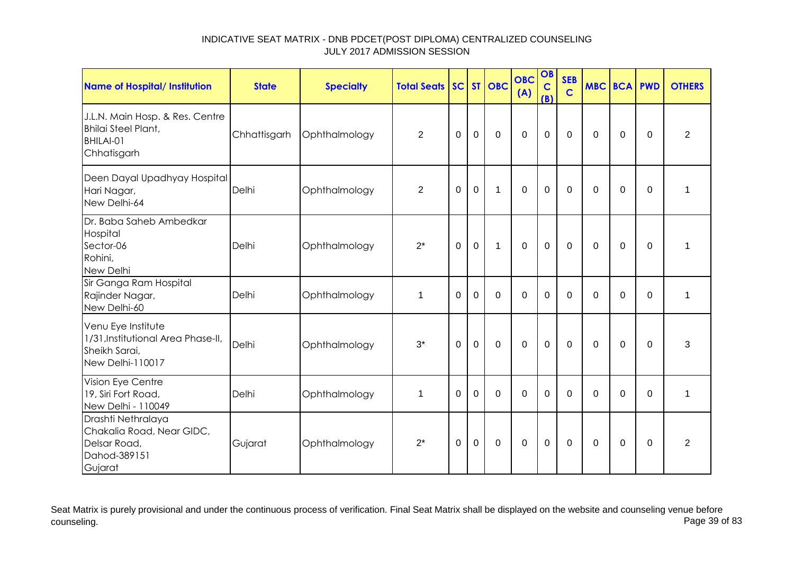| Name of Hospital/ Institution                                                                 | <b>State</b> | <b>Specialty</b> | <b>Total Seats</b> |          |             | SC ST OBC      | <b>OBC</b><br>(A) | OB<br>$\mathbf C$<br>(B) | <b>SEB</b><br>$\mathbf C$ | <b>MBC BCA PWD</b> |             |             | <b>OTHERS</b>  |
|-----------------------------------------------------------------------------------------------|--------------|------------------|--------------------|----------|-------------|----------------|-------------------|--------------------------|---------------------------|--------------------|-------------|-------------|----------------|
| J.L.N. Main Hosp. & Res. Centre<br>Bhilai Steel Plant,<br>BHILAI-01<br>Chhatisgarh            | Chhattisgarh | Ophthalmology    | $\overline{2}$     | 0        | $\mathbf 0$ | $\mathbf 0$    | 0                 | $\mathbf 0$              | 0                         | 0                  | 0           | 0           | $\overline{c}$ |
| Deen Dayal Upadhyay Hospital<br>Hari Nagar,<br>New Delhi-64                                   | Delhi        | Ophthalmology    | $\overline{2}$     | 0        | 0           | $\mathbf{1}$   | $\Omega$          | $\mathbf 0$              | $\Omega$                  | $\Omega$           | 0           | $\Omega$    | 1              |
| Dr. Baba Saheb Ambedkar<br>Hospital<br>Sector-06<br>Rohini,<br>New Delhi                      | Delhi        | Ophthalmology    | $2^*$              | $\Omega$ | $\mathbf 0$ | 1              | $\overline{0}$    | $\mathbf 0$              | $\Omega$                  | $\Omega$           | $\mathbf 0$ | $\mathbf 0$ | 1              |
| Sir Ganga Ram Hospital<br>Rajinder Nagar,<br>New Delhi-60                                     | Delhi        | Ophthalmology    | 1                  | $\Omega$ | $\mathbf 0$ | $\mathbf 0$    | 0                 | $\mathbf 0$              | $\Omega$                  | $\Omega$           | 0           | 0           | $\mathbf{1}$   |
| Venu Eye Institute<br>1/31, Institutional Area Phase-II,<br>Sheikh Sarai,<br>New Delhi-110017 | Delhi        | Ophthalmology    | $3^*$              | $\Omega$ | $\mathbf 0$ | $\overline{0}$ | $\overline{0}$    | $\mathbf 0$              | $\mathbf{0}$              | $\Omega$           | $\Omega$    | $\Omega$    | 3              |
| Vision Eye Centre<br>19, Siri Fort Road,<br>New Delhi - 110049                                | Delhi        | Ophthalmology    | 1                  | 0        | $\mathbf 0$ | $\Omega$       | $\Omega$          | $\Omega$                 | $\Omega$                  | $\Omega$           | $\Omega$    | $\Omega$    | 1              |
| Drashti Nethralaya<br>Chakalia Road, Near GIDC,<br>Delsar Road,<br>Dahod-389151<br>Gujarat    | Gujarat      | Ophthalmology    | $2^*$              | 0        | $\mathbf 0$ | $\mathbf 0$    | $\mathbf 0$       | $\mathbf 0$              | 0                         | 0                  | 0           | 0           | $\overline{2}$ |

Seat Matrix is purely provisional and under the continuous process of verification. Final Seat Matrix shall be displayed on the website and counseling venue before<br>Page 39 of 83 counseling. Page 39 of 83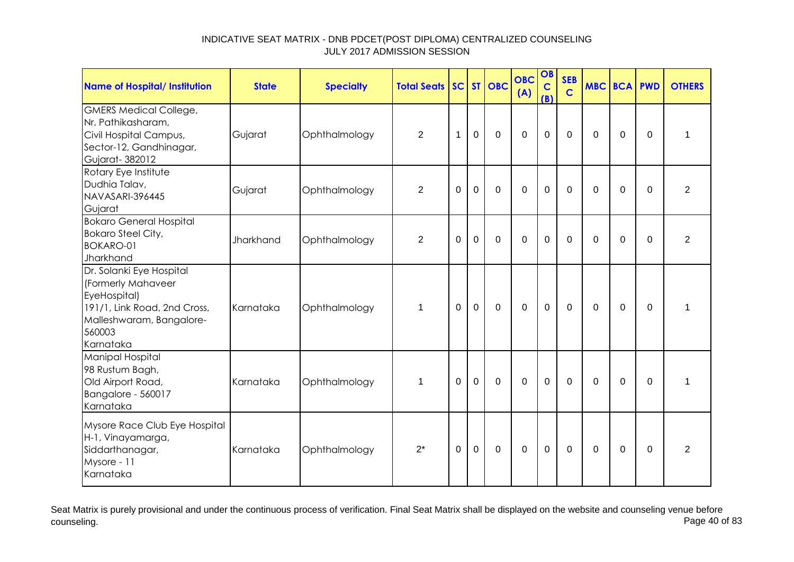| <b>Name of Hospital/ Institution</b>                                                                                                              | <b>State</b> | <b>Specialty</b> | <b>Total Seats</b> |                |                | SC ST OBC   | <b>OBC</b><br>(A) | OB<br>$\mathbf C$<br>(B) | <b>SEB</b><br>$\overline{c}$ | <b>MBC BCA PWD</b> |             |                | <b>OTHERS</b>  |
|---------------------------------------------------------------------------------------------------------------------------------------------------|--------------|------------------|--------------------|----------------|----------------|-------------|-------------------|--------------------------|------------------------------|--------------------|-------------|----------------|----------------|
| <b>GMERS Medical College,</b><br>Nr. Pathikasharam,<br>Civil Hospital Campus,<br>Sector-12, Gandhinagar,<br>Gujarat-382012                        | Gujarat      | Ophthalmology    | $\overline{2}$     | 1              | $\mathbf 0$    | $\mathbf 0$ | $\mathbf 0$       | $\mathbf 0$              | $\mathbf 0$                  | 0                  | $\mathbf 0$ | 0              | 1              |
| Rotary Eye Institute<br>Dudhia Talav,<br>NAVASARI-396445<br>Gujarat                                                                               | Gujarat      | Ophthalmology    | $\overline{2}$     | $\mathbf 0$    | $\mathbf 0$    | $\mathbf 0$ | $\mathbf 0$       | $\mathbf 0$              | $\mathbf 0$                  | $\Omega$           | $\mathbf 0$ | $\Omega$       | $\overline{2}$ |
| <b>Bokaro General Hospital</b><br><b>Bokaro Steel City,</b><br><b>BOKARO-01</b><br>Jharkhand                                                      | Jharkhand    | Ophthalmology    | $\overline{2}$     | $\overline{0}$ | $\overline{0}$ | $\Omega$    | $\mathbf 0$       | $\overline{0}$           | $\mathbf 0$                  | $\Omega$           | 0           | $\overline{0}$ | $\overline{2}$ |
| Dr. Solanki Eye Hospital<br>(Formerly Mahaveer<br>EyeHospital)<br>191/1, Link Road, 2nd Cross,<br>Malleshwaram, Bangalore-<br>560003<br>Karnataka | Karnataka    | Ophthalmology    | $\mathbf 1$        | $\Omega$       | $\mathbf 0$    | $\mathbf 0$ | $\mathbf 0$       | $\mathbf 0$              | $\overline{0}$               | $\mathbf 0$        | $\mathbf 0$ | $\mathbf 0$    | 1              |
| Manipal Hospital<br>98 Rustum Bagh,<br>Old Airport Road,<br>Bangalore - 560017<br>Karnataka                                                       | Karnataka    | Ophthalmology    | $\mathbf 1$        | $\overline{0}$ | $\overline{0}$ | $\mathbf 0$ | $\mathbf 0$       | $\mathbf 0$              | $\Omega$                     | $\Omega$           | $\mathbf 0$ | $\Omega$       | 1              |
| Mysore Race Club Eye Hospital<br>H-1, Vinayamarga,<br>Siddarthanagar,<br>Mysore - 11<br>Karnataka                                                 | Karnataka    | Ophthalmology    | $2^*$              | 0              | $\mathbf 0$    | $\mathbf 0$ | $\mathbf 0$       | $\mathbf 0$              | $\Omega$                     | $\Omega$           | 0           | 0              | $\overline{2}$ |

Seat Matrix is purely provisional and under the continuous process of verification. Final Seat Matrix shall be displayed on the website and counseling venue before<br>Page 40 of 83 counseling. Page 40 of 83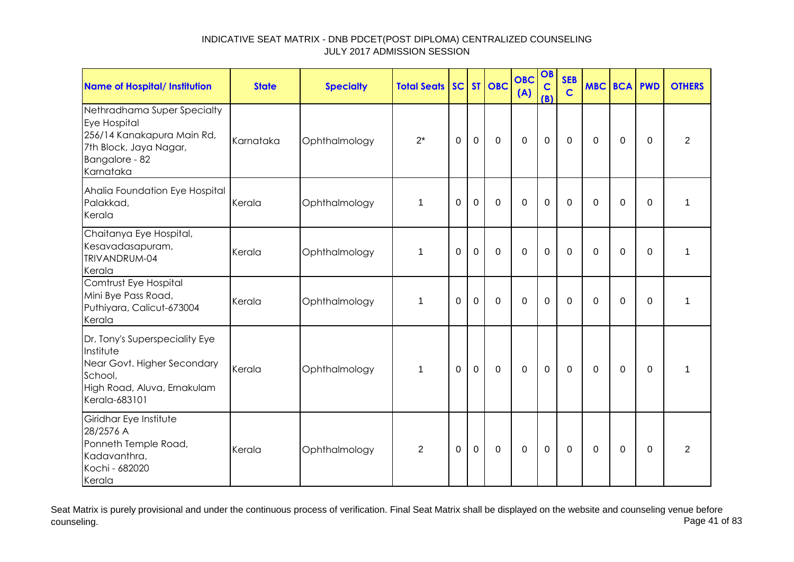| <b>Name of Hospital/ Institution</b>                                                                                                  | <b>State</b> | <b>Specialty</b> | <b>Total Seats</b> |             |             | SC ST OBC   | <b>OBC</b><br>(A) | OB<br>$\mathbf C$<br>(B) | <b>SEB</b><br>$\overline{c}$ | <b>MBC BCA PWD</b> |             |          | <b>OTHERS</b>  |
|---------------------------------------------------------------------------------------------------------------------------------------|--------------|------------------|--------------------|-------------|-------------|-------------|-------------------|--------------------------|------------------------------|--------------------|-------------|----------|----------------|
| Nethradhama Super Specialty<br>Eye Hospital<br>256/14 Kanakapura Main Rd,<br>7th Block, Jaya Nagar,<br>Bangalore - 82<br>Karnataka    | Karnataka    | Ophthalmology    | $2^*$              | 0           | $\mathbf 0$ | $\mathbf 0$ | $\mathbf 0$       | $\mathbf 0$              | $\overline{0}$               | $\mathbf{0}$       | $\mathbf 0$ | 0        | $\overline{2}$ |
| Ahalia Foundation Eye Hospital<br>Palakkad,<br>Kerala                                                                                 | Kerala       | Ophthalmology    | $\mathbf{1}$       | $\Omega$    | $\mathbf 0$ | $\mathbf 0$ | $\mathbf 0$       | $\mathbf 0$              | $\overline{0}$               | $\mathbf 0$        | $\mathbf 0$ | 0        | 1              |
| Chaitanya Eye Hospital,<br>Kesavadasapuram,<br>TRIVANDRUM-04<br>Kerala                                                                | Kerala       | Ophthalmology    | 1                  | $\Omega$    | 0           | $\Omega$    | $\Omega$          | $\Omega$                 | $\Omega$                     | $\Omega$           | 0           | $\Omega$ | 1              |
| Comtrust Eye Hospital<br>Mini Bye Pass Road,<br>Puthiyara, Calicut-673004<br>Kerala                                                   | Kerala       | Ophthalmology    | 1                  | $\Omega$    | 0           | $\mathbf 0$ | $\mathbf 0$       | $\mathbf 0$              | 0                            | $\mathbf{0}$       | $\mathbf 0$ | 0        | 1              |
| Dr. Tony's Superspeciality Eye<br>Institute<br>Near Govt. Higher Secondary<br>School,<br>High Road, Aluva, Ernakulam<br>Kerala-683101 | Kerala       | Ophthalmology    | $\mathbf 1$        | $\mathbf 0$ | 0           | $\mathsf 0$ | $\pmb{0}$         | $\mathbf 0$              | $\mathbf 0$                  | $\mathbf 0$        | $\mathbf 0$ | 0        | 1              |
| Giridhar Eye Institute<br>28/2576 A<br>Ponneth Temple Road,<br>Kadavanthra,<br>Kochi - 682020<br>Kerala                               | Kerala       | Ophthalmology    | $\overline{2}$     | 0           | 0           | 0           | 0                 | $\mathbf 0$              | 0                            | 0                  | 0           | 0        | $\overline{2}$ |

Seat Matrix is purely provisional and under the continuous process of verification. Final Seat Matrix shall be displayed on the website and counseling venue before<br>Page 41 of 83 counseling. Page 41 of 83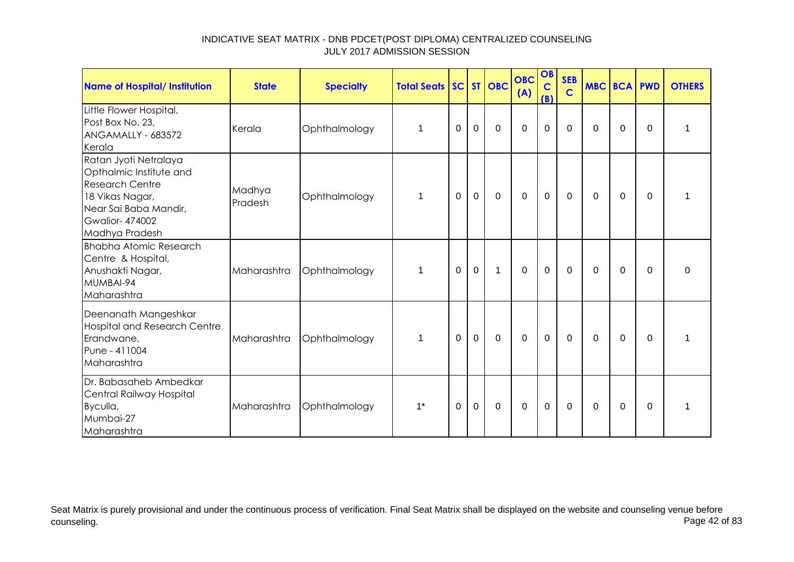| <b>Name of Hospital/ Institution</b>                                                                                                                              | <b>State</b>      | <b>Specialty</b> | <b>Total Seats SC ST OBC</b> |          |             |             | <b>OBC</b><br>(A) | OB<br>$\mathbf C$<br>(B) | <b>SEB</b><br>$\mathbf C$ | MBC BCA PWD |                |          | <b>OTHERS</b> |
|-------------------------------------------------------------------------------------------------------------------------------------------------------------------|-------------------|------------------|------------------------------|----------|-------------|-------------|-------------------|--------------------------|---------------------------|-------------|----------------|----------|---------------|
| Little Flower Hospital,<br>Post Box No. 23,<br>ANGAMALLY - 683572<br>Kerala                                                                                       | Kerala            | Ophthalmology    | 1                            | 0        | $\mathbf 0$ | $\mathbf 0$ | $\mathbf 0$       | 0                        | $\mathbf 0$               | $\Omega$    | $\overline{0}$ | $\Omega$ |               |
| Ratan Jyoti Netralaya<br>Opthalmic Institute and<br><b>Research Centre</b><br>18 Vikas Nagar,<br>Near Sai Baba Mandir,<br><b>Gwalior-474002</b><br>Madhya Pradesh | Madhya<br>Pradesh | Ophthalmology    | 1                            | 0        | $\mathbf 0$ | $\mathbf 0$ | $\mathbf 0$       | $\mathbf 0$              | $\Omega$                  | 0           | 0              | $\Omega$ | 1             |
| <b>Bhabha Atomic Research</b><br>Centre & Hospital,<br>Anushakti Nagar,<br>MUMBAI-94<br>Maharashtra                                                               | Maharashtra       | Ophthalmology    | 1                            | $\Omega$ | $\mathbf 0$ | 1           | $\mathbf 0$       | $\mathbf 0$              | $\mathbf 0$               | 0           | 0              | $\Omega$ | $\Omega$      |
| Deenanath Mangeshkar<br><b>Hospital and Research Centre</b><br>Erandwane,<br>Pune - 411004<br>Maharashtra                                                         | Maharashtra       | Ophthalmology    | 1                            | 0        | $\mathbf 0$ | $\mathbf 0$ | $\mathbf 0$       | $\mathbf 0$              | 0                         | 0           | 0              | $\Omega$ | 1             |
| Dr. Babasaheb Ambedkar<br>Central Railway Hospital<br>Byculla,<br>Mumbai-27<br>Maharashtra                                                                        | Maharashtra       | Ophthalmology    | $1^*$                        | 0        | $\mathbf 0$ | $\mathbf 0$ | $\mathbf 0$       | $\mathbf 0$              | $\Omega$                  | $\Omega$    | $\Omega$       | $\Omega$ |               |

Seat Matrix is purely provisional and under the continuous process of verification. Final Seat Matrix shall be displayed on the website and counseling venue before<br>Page 42 of 83 counseling. Page 42 of 83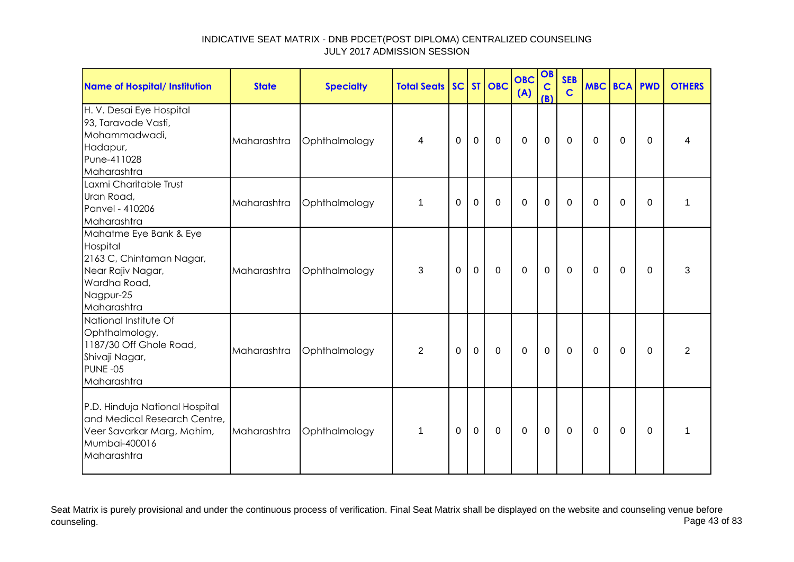| <b>Name of Hospital/ Institution</b>                                                                                            | <b>State</b> | <b>Specialty</b> | <b>Total Seats SC ST OBC</b> |              |             |             | <b>OBC</b><br>(A) | OB<br>$\mathbf C$<br>(B) | <b>SEB</b><br>$\overline{c}$ | <b>MBC BCA PWD</b> |             |                | <b>OTHERS</b>  |
|---------------------------------------------------------------------------------------------------------------------------------|--------------|------------------|------------------------------|--------------|-------------|-------------|-------------------|--------------------------|------------------------------|--------------------|-------------|----------------|----------------|
| H. V. Desai Eye Hospital<br>93, Taravade Vasti,<br>Mohammadwadi,<br>Hadapur,<br>Pune-411028<br>Maharashtra                      | Maharashtra  | Ophthalmology    | 4                            | $\mathbf{0}$ | $\mathbf 0$ | $\mathbf 0$ | $\mathbf 0$       | $\mathbf 0$              | $\mathbf 0$                  | $\mathbf 0$        | $\mathbf 0$ | $\Omega$       | 4              |
| Laxmi Charitable Trust<br>Uran Road,<br>Panvel - 410206<br>Maharashtra                                                          | Maharashtra  | Ophthalmology    | $\mathbf 1$                  | $\Omega$     | $\mathbf 0$ | $\mathbf 0$ | $\mathbf 0$       | $\mathbf 0$              | $\overline{0}$               | $\Omega$           | $\mathbf 0$ | $\overline{0}$ | 1              |
| Mahatme Eye Bank & Eye<br>Hospital<br>2163 C, Chintaman Nagar,<br>Near Rajiv Nagar,<br>Wardha Road,<br>Nagpur-25<br>Maharashtra | Maharashtra  | Ophthalmology    | 3                            | 0            | $\mathbf 0$ | $\mathbf 0$ | $\mathbf 0$       | $\mathbf 0$              | $\mathbf 0$                  | $\mathbf{0}$       | 0           | 0              | 3              |
| National Institute Of<br>Ophthalmology,<br>1187/30 Off Ghole Road,<br>Shivaji Nagar,<br>PUNE-05<br>Maharashtra                  | Maharashtra  | Ophthalmology    | $\overline{2}$               | $\Omega$     | $\mathbf 0$ | $\mathbf 0$ | $\mathbf 0$       | $\mathbf 0$              | $\Omega$                     | $\Omega$           | $\Omega$    | $\Omega$       | $\overline{2}$ |
| P.D. Hinduja National Hospital<br>and Medical Research Centre,<br>Veer Savarkar Marg, Mahim,<br>Mumbai-400016<br>Maharashtra    | Maharashtra  | Ophthalmology    | $\mathbf 1$                  | $\mathbf{0}$ | 0           | 0           | 0                 | $\mathbf 0$              | 0                            | $\mathbf{0}$       | 0           | 0              | 1              |

Seat Matrix is purely provisional and under the continuous process of verification. Final Seat Matrix shall be displayed on the website and counseling venue before<br>Page 43 of 83 counseling. Page 43 of 83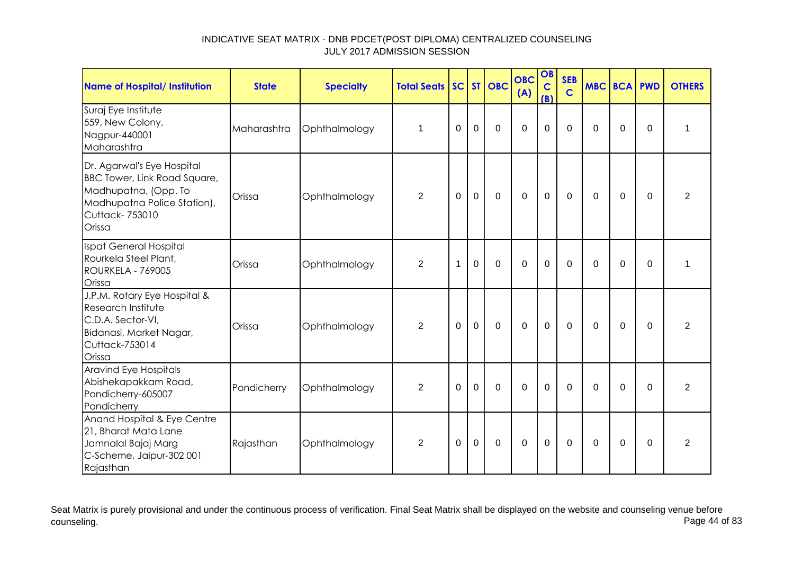| Name of Hospital/ Institution                                                                                                                 | <b>State</b> | <b>Specialty</b> | <b>Total Seats</b> |             |             | SC ST OBC   | <b>OBC</b><br>(A) | OB<br>$\mathbf C$<br>(B) | <b>SEB</b><br>$\mathbf C$ | <b>MBC BCA PWD</b> |             |             | <b>OTHERS</b>  |
|-----------------------------------------------------------------------------------------------------------------------------------------------|--------------|------------------|--------------------|-------------|-------------|-------------|-------------------|--------------------------|---------------------------|--------------------|-------------|-------------|----------------|
| Suraj Eye Institute<br>559, New Colony,<br>Nagpur-440001<br>Maharashtra                                                                       | Maharashtra  | Ophthalmology    | $\mathbf 1$        | $\Omega$    | $\mathbf 0$ | $\Omega$    | $\Omega$          | $\Omega$                 | $\Omega$                  | $\Omega$           | $\Omega$    | $\Omega$    | 1              |
| Dr. Agarwal's Eye Hospital<br>BBC Tower, Link Road Square,<br>Madhupatna, (Opp. To<br>Madhupatna Police Station),<br>Cuttack-753010<br>Orissa | Orissa       | Ophthalmology    | $\overline{2}$     | 0           | $\mathbf 0$ | $\mathbf 0$ | $\mathbf 0$       | $\mathbf 0$              | 0                         | 0                  | 0           | $\Omega$    | $\overline{2}$ |
| Ispat General Hospital<br>Rourkela Steel Plant,<br><b>ROURKELA - 769005</b><br>Orissa                                                         | Orissa       | Ophthalmology    | $\overline{2}$     | 1           | $\mathbf 0$ | $\mathbf 0$ | $\overline{0}$    | $\mathbf 0$              | $\Omega$                  | $\Omega$           | $\Omega$    | $\Omega$    | 1              |
| J.P.M. Rotary Eye Hospital &<br>Research Institute<br>C.D.A. Sector-VI,<br>Bidanasi, Market Nagar,<br>Cuttack-753014<br>Orissa                | Orissa       | Ophthalmology    | $\boldsymbol{2}$   | $\mathbf 0$ | $\mathsf 0$ | $\mathbf 0$ | $\mathbf 0$       | $\mathbf 0$              | $\mathbf 0$               | 0                  | $\pmb{0}$   | 0           | $\overline{2}$ |
| <b>Aravind Eye Hospitals</b><br>Abishekapakkam Road,<br>Pondicherry-605007<br>Pondicherry                                                     | Pondicherry  | Ophthalmology    | $\overline{2}$     | $\mathbf 0$ | $\Omega$    | $\Omega$    | $\mathbf 0$       | $\mathbf 0$              | $\overline{0}$            | $\Omega$           | $\mathbf 0$ | $\mathbf 0$ | $\overline{2}$ |
| Anand Hospital & Eye Centre<br>21, Bharat Mata Lane<br>Jamnalal Bajaj Marg<br>C-Scheme, Jaipur-302 001<br>Rajasthan                           | Rajasthan    | Ophthalmology    | $\overline{2}$     | $\Omega$    | $\Omega$    | 0           | 0                 | 0                        | 0                         | $\Omega$           | 0           | $\Omega$    | $\overline{2}$ |

Seat Matrix is purely provisional and under the continuous process of verification. Final Seat Matrix shall be displayed on the website and counseling venue before<br>Page 44 of 83 counseling. Page 44 of 83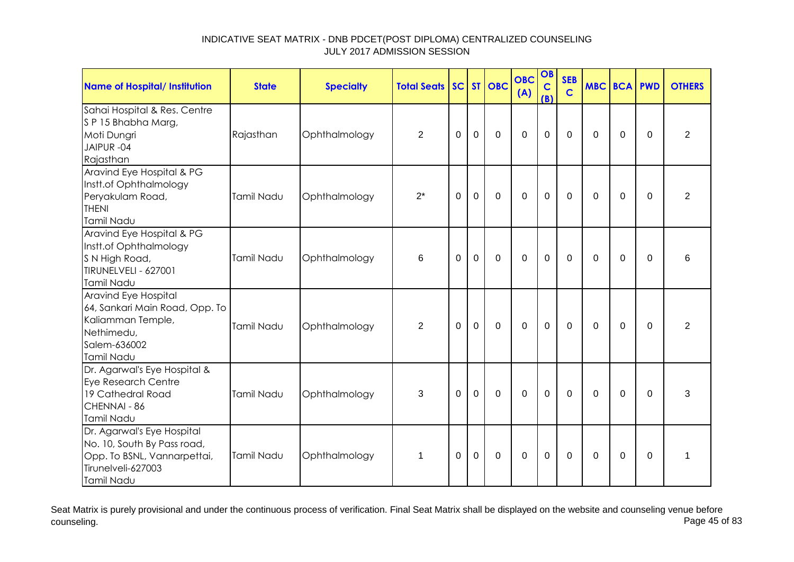| <b>Name of Hospital/ Institution</b>                                                                                         | <b>State</b> | <b>Specialty</b> | <b>Total Seats</b> |             |             | SC ST OBC    | <b>OBC</b><br>(A) | OB<br>$\mathbf C$<br>(B) | <b>SEB</b><br>$\mathbf C$ | <b>MBC BCA PWD</b> |             |             | <b>OTHERS</b>  |
|------------------------------------------------------------------------------------------------------------------------------|--------------|------------------|--------------------|-------------|-------------|--------------|-------------------|--------------------------|---------------------------|--------------------|-------------|-------------|----------------|
| Sahai Hospital & Res. Centre<br>SP 15 Bhabha Marg,<br>Moti Dungri<br>JAIPUR-04<br>Rajasthan                                  | Rajasthan    | Ophthalmology    | $\overline{2}$     | 0           | 0           | $\mathbf 0$  | $\mathbf 0$       | $\mathbf 0$              | $\mathbf{0}$              | 0                  | 0           | $\Omega$    | $\overline{2}$ |
| Aravind Eye Hospital & PG<br>Instt.of Ophthalmology<br>Peryakulam Road,<br><b>THENI</b><br>Tamil Nadu                        | Tamil Nadu   | Ophthalmology    | $2^*$              | 0           | $\mathbf 0$ | $\mathbf 0$  | $\mathbf 0$       | $\mathbf 0$              | $\mathbf{0}$              | $\Omega$           | 0           | $\mathbf 0$ | $\overline{2}$ |
| Aravind Eye Hospital & PG<br>Instt.of Ophthalmology<br>S N High Road,<br>TIRUNELVELI - 627001<br>Tamil Nadu                  | Tamil Nadu   | Ophthalmology    | 6                  | 0           | $\mathbf 0$ | $\mathbf 0$  | $\mathbf 0$       | $\mathbf 0$              | $\mathbf 0$               | 0                  | 0           | $\Omega$    | 6              |
| Aravind Eye Hospital<br>64, Sankari Main Road, Opp. To<br>Kaliamman Temple,<br>Nethimedu,<br>Salem-636002<br>Tamil Nadu      | Tamil Nadu   | Ophthalmology    | $\overline{2}$     | $\mathbf 0$ | $\mathbf 0$ | $\mathbf{0}$ | $\mathbf 0$       | $\mathbf 0$              | $\mathbf 0$               | $\Omega$           | $\mathbf 0$ | $\mathbf 0$ | $\overline{2}$ |
| Dr. Agarwal's Eye Hospital &<br><b>Eye Research Centre</b><br>19 Cathedral Road<br>CHENNAI - 86<br><b>Tamil Nadu</b>         | Tamil Nadu   | Ophthalmology    | 3                  | 0           | 0           | $\mathbf 0$  | $\mathbf 0$       | $\mathbf 0$              | 0                         | 0                  | 0           | 0           | 3              |
| Dr. Agarwal's Eye Hospital<br>No. 10, South By Pass road,<br>Opp. To BSNL, Vannarpettai,<br>Tirunelveli-627003<br>Tamil Nadu | Tamil Nadu   | Ophthalmology    | 1                  | 0           | 0           | $\mathbf 0$  | $\mathbf 0$       | $\mathbf 0$              | 0                         | 0                  | 0           | 0           | 1              |

Seat Matrix is purely provisional and under the continuous process of verification. Final Seat Matrix shall be displayed on the website and counseling venue before<br>Page 45 of 83 counseling. Page 45 of 83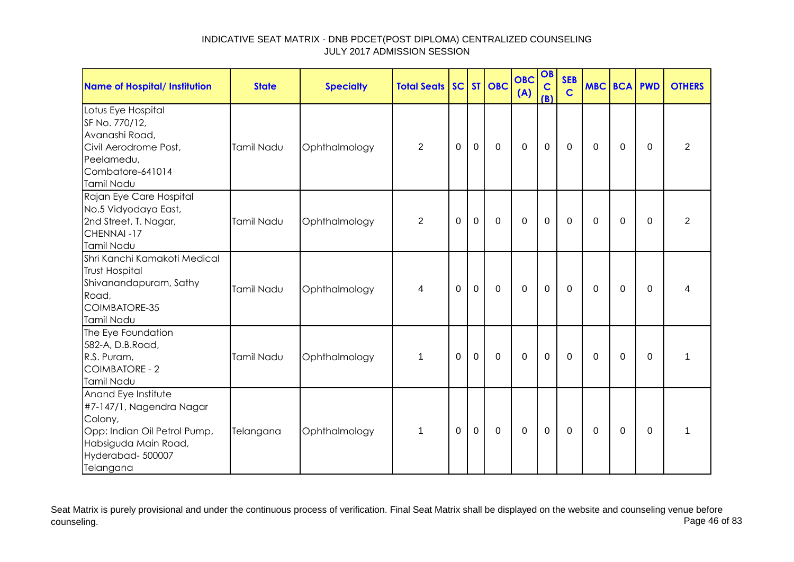| <b>Name of Hospital/ Institution</b>                                                                                                                | <b>State</b> | <b>Specialty</b> | <b>Total Seats</b> |          |                | SC ST OBC   | <b>OBC</b><br>(A) | OB<br>$\mathbf C$<br>(B) | <b>SEB</b><br>$\mathbf C$ | <b>MBC BCA PWD</b> |             |             | <b>OTHERS</b>  |
|-----------------------------------------------------------------------------------------------------------------------------------------------------|--------------|------------------|--------------------|----------|----------------|-------------|-------------------|--------------------------|---------------------------|--------------------|-------------|-------------|----------------|
| Lotus Eye Hospital<br>SF No. 770/12,<br>Avanashi Road,<br>Civil Aerodrome Post,<br>Peelamedu,<br>Combatore-641014<br>Tamil Nadu                     | Tamil Nadu   | Ophthalmology    | $\overline{2}$     | $\Omega$ | $\mathbf 0$    | $\mathbf 0$ | $\mathbf 0$       | $\mathbf 0$              | $\mathbf 0$               | $\Omega$           | $\Omega$    | $\Omega$    | $\overline{2}$ |
| Rajan Eye Care Hospital<br>No.5 Vidyodaya East,<br>2nd Street, T. Nagar,<br>CHENNAI-17<br>Tamil Nadu                                                | Tamil Nadu   | Ophthalmology    | $\overline{2}$     | 0        | $\overline{0}$ | $\mathbf 0$ | $\mathbf 0$       | $\mathbf 0$              | $\mathbf 0$               | $\Omega$           | $\mathbf 0$ | $\Omega$    | $\overline{2}$ |
| Shri Kanchi Kamakoti Medical<br><b>Trust Hospital</b><br>Shivanandapuram, Sathy<br>Road,<br>COIMBATORE-35<br>Tamil Nadu                             | Tamil Nadu   | Ophthalmology    | 4                  | 0        | $\mathbf 0$    | $\mathbf 0$ | $\mathbf 0$       | $\mathbf 0$              | $\mathbf{0}$              | $\Omega$           | 0           | $\Omega$    | 4              |
| The Eye Foundation<br>582-A, D.B.Road,<br>R.S. Puram,<br><b>COIMBATORE - 2</b><br>Tamil Nadu                                                        | Tamil Nadu   | Ophthalmology    | $\mathbf 1$        | $\Omega$ | $\mathbf 0$    | $\mathbf 0$ | $\mathbf 0$       | $\mathbf 0$              | $\mathbf 0$               | $\Omega$           | $\mathbf 0$ | $\Omega$    | 1              |
| Anand Eye Institute<br>#7-147/1, Nagendra Nagar<br>Colony,<br>Opp: Indian Oil Petrol Pump,<br>Habsiguda Main Road,<br>Hyderabad-500007<br>Telangana | Telangana    | Ophthalmology    | $\mathbf 1$        | $\Omega$ | $\mathbf 0$    | $\mathbf 0$ | $\mathbf 0$       | $\mathbf 0$              | $\mathbf 0$               | $\overline{0}$     | $\mathbf 0$ | $\mathbf 0$ | $\mathbf{1}$   |

Seat Matrix is purely provisional and under the continuous process of verification. Final Seat Matrix shall be displayed on the website and counseling venue before<br>Page 46 of 83 counseling. Page 46 of 83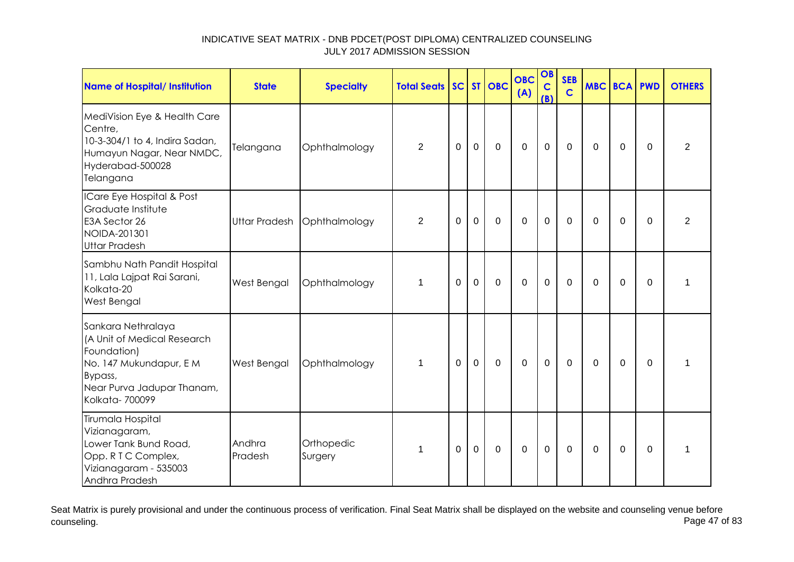| <b>Name of Hospital/ Institution</b>                                                                                                                  | <b>State</b>         | <b>Specialty</b>      | <b>Total Seats</b> |                |             | SC ST OBC   | <b>OBC</b><br>(A) | OB<br>$\mathbf C$<br>(B) | <b>SEB</b><br>$\mathbf C$ | <b>MBC BCA PWD</b> |             |             | <b>OTHERS</b>  |
|-------------------------------------------------------------------------------------------------------------------------------------------------------|----------------------|-----------------------|--------------------|----------------|-------------|-------------|-------------------|--------------------------|---------------------------|--------------------|-------------|-------------|----------------|
| MediVision Eye & Health Care<br>Centre,<br>10-3-304/1 to 4, Indira Sadan,<br>Humayun Nagar, Near NMDC,<br>Hyderabad-500028<br>Telangana               | Telangana            | Ophthalmology         | $\overline{2}$     | $\overline{0}$ | $\mathbf 0$ | $\mathbf 0$ | $\mathbf 0$       | $\mathbf 0$              | $\mathbf 0$               | $\Omega$           | $\mathbf 0$ | $\Omega$    | $\overline{2}$ |
| ICare Eye Hospital & Post<br>Graduate Institute<br>E3A Sector 26<br>NOIDA-201301<br><b>Uttar Pradesh</b>                                              | <b>Uttar Pradesh</b> | Ophthalmology         | $\overline{2}$     | 0              | $\mathbf 0$ | $\mathbf 0$ | $\mathbf 0$       | $\mathbf 0$              | $\mathbf 0$               | $\Omega$           | $\mathbf 0$ | $\Omega$    | $\overline{2}$ |
| Sambhu Nath Pandit Hospital<br>11, Lala Lajpat Rai Sarani,<br>Kolkata-20<br>West Bengal                                                               | West Bengal          | Ophthalmology         | 1                  | $\Omega$       | $\mathbf 0$ | $\mathbf 0$ | $\mathbf 0$       | $\mathbf 0$              | $\mathbf 0$               | $\Omega$           | $\mathbf 0$ | $\mathbf 0$ | 1              |
| Sankara Nethralaya<br>(A Unit of Medical Research<br>Foundation)<br>No. 147 Mukundapur, EM<br>Bypass,<br>Near Purva Jadupar Thanam,<br>Kolkata-700099 | West Bengal          | Ophthalmology         | $\mathbf 1$        | $\Omega$       | $\mathbf 0$ | $\mathbf 0$ | $\mathbf 0$       | $\mathbf 0$              | $\mathbf 0$               | $\Omega$           | 0           | $\mathbf 0$ | $\mathbf{1}$   |
| Tirumala Hospital<br>Vizianagaram,<br>Lower Tank Bund Road,<br>Opp. R T C Complex,<br>Vizianagaram - 535003<br>Andhra Pradesh                         | Andhra<br>Pradesh    | Orthopedic<br>Surgery | 1                  | $\Omega$       | $\mathbf 0$ | $\Omega$    | $\Omega$          | $\mathbf 0$              | $\Omega$                  | $\Omega$           | $\Omega$    | $\Omega$    | 1              |

Seat Matrix is purely provisional and under the continuous process of verification. Final Seat Matrix shall be displayed on the website and counseling venue before<br>Page 47 of 83 counseling. Page 47 of 83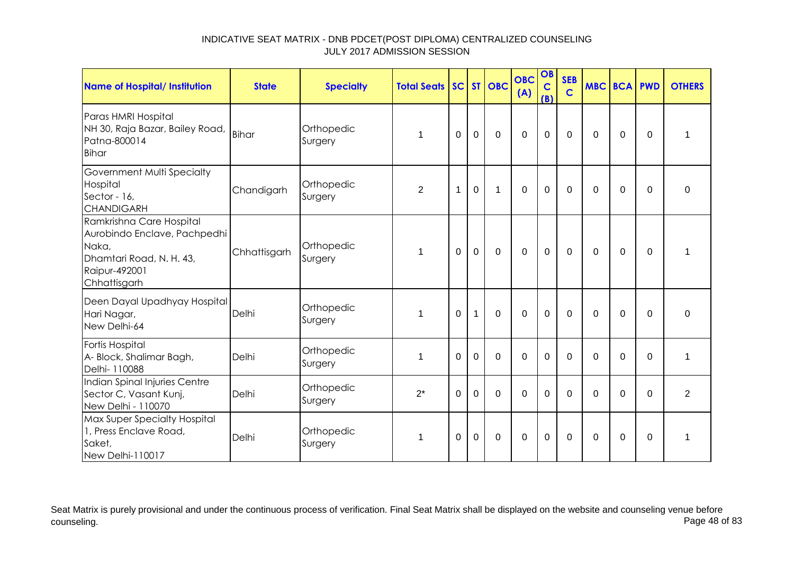| Name of Hospital/ Institution                                                                                                  | <b>State</b> | <b>Specialty</b>      | <b>Total Seats</b> |              |              | SC ST OBC      | <b>OBC</b><br>(A) | OB<br>$\mathbf C$<br>(B) | <b>SEB</b><br>$\mathbf C$ | <b>MBC BCA PWD</b> |             |             | <b>OTHERS</b>  |
|--------------------------------------------------------------------------------------------------------------------------------|--------------|-----------------------|--------------------|--------------|--------------|----------------|-------------------|--------------------------|---------------------------|--------------------|-------------|-------------|----------------|
| Paras HMRI Hospital<br>NH 30, Raja Bazar, Bailey Road,<br>Patna-800014<br><b>Bihar</b>                                         | <b>Bihar</b> | Orthopedic<br>Surgery | 1                  | $\Omega$     | $\mathbf 0$  | $\mathbf 0$    | $\overline{0}$    | $\mathbf 0$              | $\mathbf 0$               | $\Omega$           | 0           | $\Omega$    | 1              |
| Government Multi Specialty<br>Hospital<br>Sector - 16,<br><b>CHANDIGARH</b>                                                    | Chandigarh   | Orthopedic<br>Surgery | $\overline{2}$     | $\mathbf{1}$ | $\mathbf 0$  | 1              | $\overline{0}$    | $\mathbf 0$              | $\mathbf 0$               | $\mathbf 0$        | $\mathbf 0$ | $\Omega$    | $\mathbf 0$    |
| Ramkrishna Care Hospital<br>Aurobindo Enclave, Pachpedhi<br>Naka,<br>Dhamtari Road, N. H. 43,<br>Raipur-492001<br>Chhattisgarh | Chhattisgarh | Orthopedic<br>Surgery | 1                  | $\mathbf 0$  | $\mathbf 0$  | $\overline{0}$ | $\overline{0}$    | $\mathbf 0$              | $\mathbf 0$               | $\mathbf 0$        | $\mathbf 0$ | $\mathbf 0$ | 1              |
| Deen Dayal Upadhyay Hospital<br>Hari Nagar,<br>New Delhi-64                                                                    | Delhi        | Orthopedic<br>Surgery | $\mathbf 1$        | $\Omega$     | $\mathbf{1}$ | $\Omega$       | $\Omega$          | $\mathbf 0$              | $\Omega$                  | $\Omega$           | $\Omega$    | $\Omega$    | $\Omega$       |
| Fortis Hospital<br>A- Block, Shalimar Bagh,<br>Delhi- 110088                                                                   | Delhi        | Orthopedic<br>Surgery | 1                  | $\Omega$     | $\mathbf 0$  | $\mathbf 0$    | $\overline{0}$    | $\mathbf 0$              | $\Omega$                  | $\Omega$           | $\mathbf 0$ | $\Omega$    | 1              |
| Indian Spinal Injuries Centre<br>Sector C, Vasant Kunj,<br>New Delhi - 110070                                                  | Delhi        | Orthopedic<br>Surgery | $2^*$              | 0            | $\mathbf 0$  | $\mathbf 0$    | $\overline{0}$    | $\mathbf 0$              | $\mathbf 0$               | $\Omega$           | $\mathbf 0$ | $\Omega$    | $\overline{2}$ |
| Max Super Specialty Hospital<br>1, Press Enclave Road,<br>Saket,<br>New Delhi-110017                                           | Delhi        | Orthopedic<br>Surgery | $\mathbf 1$        | $\Omega$     | $\mathbf 0$  | $\mathbf 0$    | $\overline{0}$    | $\mathbf 0$              | $\Omega$                  | $\Omega$           | $\Omega$    | $\Omega$    | 1              |

Seat Matrix is purely provisional and under the continuous process of verification. Final Seat Matrix shall be displayed on the website and counseling venue before<br>Page 48 of 83 counseling. Page 48 of 83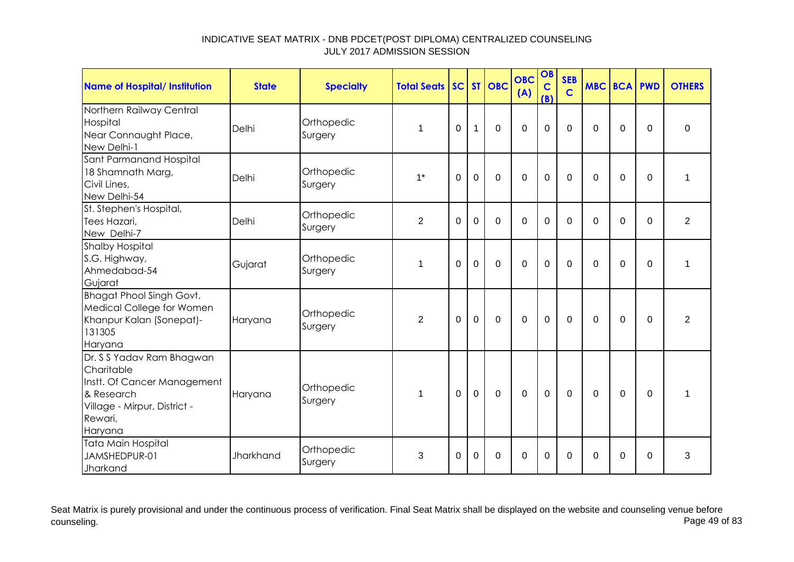| <b>Name of Hospital/ Institution</b>                                                                                                       | <b>State</b> | <b>Specialty</b>      | <b>Total Seats</b> |             |                | SC ST OBC   | <b>OBC</b><br>(A) | OB<br>$\mathbf C$<br>(B) | <b>SEB</b><br>$\mathbf C$ | <b>MBC BCA PWD</b> |             |             | <b>OTHERS</b> |
|--------------------------------------------------------------------------------------------------------------------------------------------|--------------|-----------------------|--------------------|-------------|----------------|-------------|-------------------|--------------------------|---------------------------|--------------------|-------------|-------------|---------------|
| Northern Railway Central<br>Hospital<br>Near Connaught Place,<br>New Delhi-1                                                               | Delhi        | Orthopedic<br>Surgery | 1                  | 0           | 1              | $\mathbf 0$ | $\mathbf 0$       | 0                        | $\overline{0}$            | $\Omega$           | $\mathbf 0$ | $\mathbf 0$ | $\mathbf 0$   |
| Sant Parmanand Hospital<br>18 Shamnath Marg,<br>Civil Lines,<br>New Delhi-54                                                               | Delhi        | Orthopedic<br>Surgery | $1*$               | $\mathbf 0$ | $\overline{0}$ | $\Omega$    | $\Omega$          | $\overline{0}$           | $\Omega$                  | $\Omega$           | $\mathbf 0$ | $\mathbf 0$ | 1             |
| St. Stephen's Hospital,<br>Tees Hazari,<br>New Delhi-7                                                                                     | Delhi        | Orthopedic<br>Surgery | $\overline{2}$     | $\Omega$    | $\overline{0}$ | $\mathbf 0$ | $\mathbf 0$       | 0                        | $\Omega$                  | $\Omega$           | $\mathbf 0$ | $\Omega$    | 2             |
| <b>Shalby Hospital</b><br>S.G. Highway,<br>Ahmedabad-54<br>Gujarat                                                                         | Gujarat      | Orthopedic<br>Surgery | 1                  | 0           | $\mathbf 0$    | $\mathbf 0$ | $\mathbf 0$       | 0                        | $\overline{0}$            | $\Omega$           | $\mathbf 0$ | $\Omega$    | 1             |
| <b>Bhagat Phool Singh Govt.</b><br>Medical College for Women<br>Khanpur Kalan (Sonepat)-<br>131305<br>Haryana                              | Haryana      | Orthopedic<br>Surgery | 2                  | 0           | $\mathbf 0$    | $\mathbf 0$ | $\mathbf 0$       | $\mathbf 0$              | $\mathbf 0$               | $\Omega$           | 0           | $\Omega$    | 2             |
| Dr. S S Yadav Ram Bhagwan<br>Charitable<br>Instt. Of Cancer Management<br>& Research<br>Village - Mirpur, District -<br>Rewari,<br>Haryana | Haryana      | Orthopedic<br>Surgery | $\mathbf 1$        | $\Omega$    | $\mathbf 0$    | $\Omega$    | $\mathbf 0$       | $\mathbf 0$              | $\Omega$                  | $\Omega$           | $\Omega$    | $\Omega$    | 1             |
| <b>Tata Main Hospital</b><br>JAMSHEDPUR-01<br>Jharkand                                                                                     | Jharkhand    | Orthopedic<br>Surgery | 3                  | 0           | $\Omega$       | $\mathbf 0$ | $\mathbf 0$       | $\Omega$                 | $\Omega$                  | $\Omega$           | $\Omega$    | 0           | 3             |

Seat Matrix is purely provisional and under the continuous process of verification. Final Seat Matrix shall be displayed on the website and counseling venue before<br>Page 49 of 83 counseling. Page 49 of 83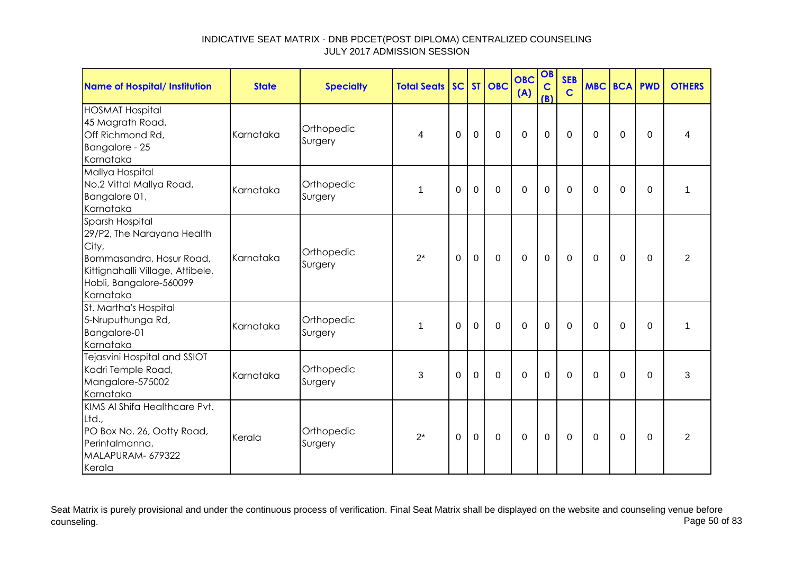| <b>Name of Hospital/ Institution</b>                                                                                                                           | <b>State</b> | <b>Specialty</b>      | <b>Total Seats SC ST OBC</b> |             |                |             | <b>OBC</b><br>(A) | OB<br>$\mathbf C$<br>(B) | <b>SEB</b><br>$\mathbf C$ | <b>MBC BCA PWD</b> |             |             | <b>OTHERS</b>  |
|----------------------------------------------------------------------------------------------------------------------------------------------------------------|--------------|-----------------------|------------------------------|-------------|----------------|-------------|-------------------|--------------------------|---------------------------|--------------------|-------------|-------------|----------------|
| <b>HOSMAT Hospital</b><br>45 Magrath Road,<br>Off Richmond Rd,<br>Bangalore - 25<br>Karnataka                                                                  | Karnataka    | Orthopedic<br>Surgery | 4                            | 0           | $\mathbf 0$    | $\mathbf 0$ | $\mathbf 0$       | $\mathbf 0$              | $\Omega$                  | $\Omega$           | 0           | 0           | 4              |
| Mallya Hospital<br>No.2 Vittal Mallya Road,<br>Bangalore 01,<br>Karnataka                                                                                      | Karnataka    | Orthopedic<br>Surgery | 1                            | $\Omega$    | $\mathbf 0$    | $\mathbf 0$ | $\mathbf 0$       | 0                        | $\Omega$                  | $\Omega$           | 0           | $\Omega$    | 1              |
| Sparsh Hospital<br>29/P2, The Narayana Health<br>City,<br>Bommasandra, Hosur Road,<br>Kittignahalli Village, Attibele,<br>Hobli, Bangalore-560099<br>Karnataka | Karnataka    | Orthopedic<br>Surgery | $2^*$                        | $\mathbf 0$ | $\overline{0}$ | $\mathbf 0$ | $\mathbf 0$       | $\mathbf 0$              | $\mathbf 0$               | $\mathbf 0$        | 0           | $\mathbf 0$ | $\overline{2}$ |
| St. Martha's Hospital<br>5-Nruputhunga Rd,<br>Bangalore-01<br>Karnataka                                                                                        | Karnataka    | Orthopedic<br>Surgery | $\mathbf 1$                  | $\Omega$    | $\mathbf 0$    | $\mathbf 0$ | $\mathbf 0$       | $\mathbf{0}$             | $\mathbf 0$               | $\Omega$           | $\Omega$    | $\Omega$    | 1              |
| Tejasvini Hospital and SSIOT<br>Kadri Temple Road,<br>Mangalore-575002<br>Karnataka                                                                            | Karnataka    | Orthopedic<br>Surgery | 3                            | $\mathbf 0$ | $\mathbf 0$    | $\Omega$    | $\Omega$          | 0                        | $\Omega$                  | $\Omega$           | $\mathbf 0$ | $\Omega$    | 3              |
| KIMS AI Shifa Healthcare Pvt.<br>Ltd.,<br>PO Box No. 26, Ootty Road,<br>Perintalmanna,<br>MALAPURAM- 679322<br>Kerala                                          | Kerala       | Orthopedic<br>Surgery | $2^*$                        | $\mathbf 0$ | $\mathbf 0$    | $\mathbf 0$ | $\mathbf 0$       | $\mathbf 0$              | $\mathbf 0$               | $\Omega$           | 0           | $\Omega$    | $\overline{2}$ |

Seat Matrix is purely provisional and under the continuous process of verification. Final Seat Matrix shall be displayed on the website and counseling venue before<br>Page 50 of 83 counseling. Page 50 of 83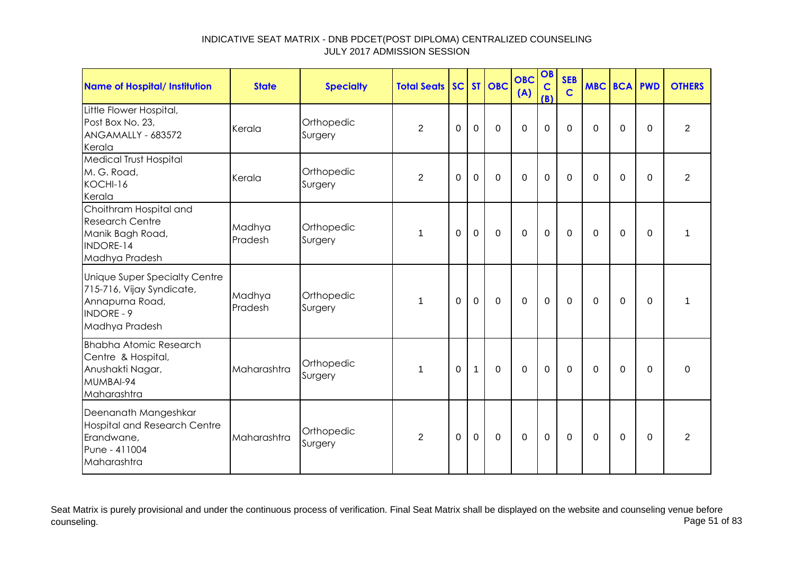| Name of Hospital/ Institution                                                                                        | <b>State</b>      | <b>Specialty</b>      | <b>Total Seats SC ST OBC</b> |             |              |                | <b>OBC</b><br>(A) | OB<br>$\mathbf C$<br>(B) | <b>SEB</b><br>$\mathbf C$ | <b>MBC BCA PWD</b> |             |          | <b>OTHERS</b>  |
|----------------------------------------------------------------------------------------------------------------------|-------------------|-----------------------|------------------------------|-------------|--------------|----------------|-------------------|--------------------------|---------------------------|--------------------|-------------|----------|----------------|
| Little Flower Hospital,<br>Post Box No. 23,<br>ANGAMALLY - 683572<br>Kerala                                          | Kerala            | Orthopedic<br>Surgery | $\overline{2}$               | 0           | $\Omega$     | $\Omega$       | $\Omega$          | $\mathbf 0$              | $\Omega$                  | $\Omega$           | $\mathbf 0$ | $\Omega$ | 2              |
| <b>Medical Trust Hospital</b><br>M. G. Road,<br>KOCHI-16<br>Kerala                                                   | Kerala            | Orthopedic<br>Surgery | 2                            | 0           | $\mathbf 0$  | $\mathbf 0$    | $\overline{0}$    | $\mathbf 0$              | $\mathbf 0$               | $\Omega$           | $\mathbf 0$ | $\Omega$ | $\overline{2}$ |
| Choithram Hospital and<br><b>Research Centre</b><br>Manik Bagh Road,<br><b>INDORE-14</b><br>Madhya Pradesh           | Madhya<br>Pradesh | Orthopedic<br>Surgery | 1                            | $\Omega$    | $\mathbf 0$  | $\mathbf 0$    | $\overline{0}$    | $\mathbf 0$              | 0                         | $\Omega$           | 0           | $\Omega$ | 1              |
| Unique Super Specialty Centre<br>715-716, Vijay Syndicate,<br>Annapurna Road,<br><b>INDORE - 9</b><br>Madhya Pradesh | Madhya<br>Pradesh | Orthopedic<br>Surgery | $\mathbf{1}$                 | $\Omega$    | $\mathbf 0$  | $\overline{0}$ | $\overline{0}$    | $\mathbf 0$              | $\mathbf 0$               | $\mathbf 0$        | $\Omega$    | $\Omega$ | 1              |
| <b>Bhabha Atomic Research</b><br>Centre & Hospital,<br>Anushakti Nagar,<br>MUMBAI-94<br>Maharashtra                  | Maharashtra       | Orthopedic<br>Surgery | $\mathbf 1$                  | $\mathbf 0$ | $\mathbf{1}$ | $\mathbf 0$    | $\overline{0}$    | $\mathbf 0$              | $\mathbf 0$               | $\Omega$           | $\mathbf 0$ | $\Omega$ | 0              |
| Deenanath Mangeshkar<br><b>Hospital and Research Centre</b><br>Erandwane,<br>Pune - 411004<br>Maharashtra            | Maharashtra       | Orthopedic<br>Surgery | 2                            | $\Omega$    | $\mathbf 0$  | $\mathbf 0$    | $\overline{0}$    | $\mathbf 0$              | $\mathbf{0}$              | $\Omega$           | $\Omega$    | $\Omega$ | 2              |

Seat Matrix is purely provisional and under the continuous process of verification. Final Seat Matrix shall be displayed on the website and counseling venue before<br>Page 51 of 83 counseling. Page 51 of 83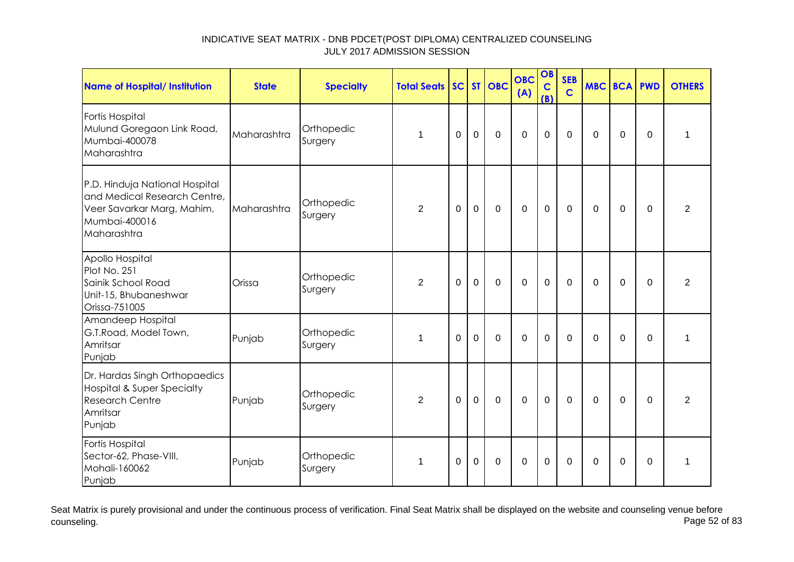| <b>Name of Hospital/ Institution</b>                                                                                         | <b>State</b> | <b>Specialty</b>      | <b>Total Seats</b> |             |                | SC ST OBC      | <b>OBC</b><br>(A) | OB<br>$\mathbf c$<br>(B) | <b>SEB</b><br>$\mathsf{C}$ | <b>MBC BCA PWD</b> |             |             | <b>OTHERS</b>  |
|------------------------------------------------------------------------------------------------------------------------------|--------------|-----------------------|--------------------|-------------|----------------|----------------|-------------------|--------------------------|----------------------------|--------------------|-------------|-------------|----------------|
| Fortis Hospital<br>Mulund Goregaon Link Road,<br>Mumbai-400078<br>Maharashtra                                                | Maharashtra  | Orthopedic<br>Surgery | 1                  | $\Omega$    | $\mathbf 0$    | $\mathbf 0$    | $\mathbf 0$       | $\mathbf 0$              | $\mathbf 0$                | $\Omega$           | 0           | $\Omega$    | 1              |
| P.D. Hinduja National Hospital<br>and Medical Research Centre,<br>Veer Savarkar Marg, Mahim,<br>Mumbai-400016<br>Maharashtra | Maharashtra  | Orthopedic<br>Surgery | $\overline{2}$     | $\mathbf 0$ | $\mathbf 0$    | $\mathbf 0$    | $\mathbf 0$       | $\overline{0}$           | $\mathbf 0$                | $\Omega$           | $\mathbf 0$ | $\mathbf 0$ | $\overline{2}$ |
| Apollo Hospital<br>Plot No. 251<br>Sainik School Road<br>Unit-15, Bhubaneshwar<br>Orissa-751005                              | Orissa       | Orthopedic<br>Surgery | $\overline{2}$     | $\Omega$    | $\overline{0}$ | $\mathbf 0$    | $\overline{0}$    | $\mathbf 0$              | $\Omega$                   | $\Omega$           | $\Omega$    | $\Omega$    | $\overline{2}$ |
| Amandeep Hospital<br>G.T.Road, Model Town,<br>Amritsar<br>Punjab                                                             | Punjab       | Orthopedic<br>Surgery | 1                  | $\mathbf 0$ | $\mathbf 0$    | $\overline{0}$ | $\mathbf 0$       | $\mathbf 0$              | $\mathbf 0$                | $\Omega$           | $\mathbf 0$ | $\mathbf 0$ | $\mathbf{1}$   |
| Dr. Hardas Singh Orthopaedics<br><b>Hospital &amp; Super Specialty</b><br><b>Research Centre</b><br>Amritsar<br>Punjab       | Punjab       | Orthopedic<br>Surgery | $\overline{2}$     | $\Omega$    | $\mathbf 0$    | $\Omega$       | $\mathbf 0$       | $\mathbf 0$              | $\mathbf 0$                | $\Omega$           | $\mathbf 0$ | $\Omega$    | $\overline{2}$ |
| Fortis Hospital<br>Sector-62, Phase-VIII,<br>Mohali-160062<br>Punjab                                                         | Punjab       | Orthopedic<br>Surgery | $\mathbf 1$        | 0           | $\mathbf 0$    | $\mathbf 0$    | $\mathbf 0$       | $\mathbf 0$              | $\Omega$                   | 0                  | 0           | 0           | 1              |

Seat Matrix is purely provisional and under the continuous process of verification. Final Seat Matrix shall be displayed on the website and counseling venue before<br>Page 52 of 83 counseling. Page 52 of 83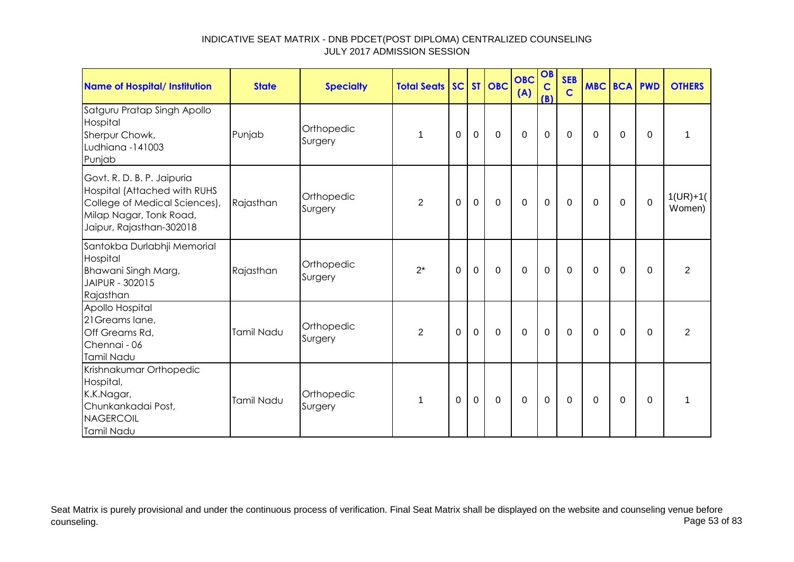| <b>Name of Hospital/ Institution</b>                                                                                                               | <b>State</b> | <b>Specialty</b>      | <b>Total Seats SC ST OBC</b> |             |             |             | <b>OBC</b><br>(A) | OB<br>$\mathbf C$<br>(B) | <b>SEB</b><br>$\mathbf C$ | <b>MBC BCA PWD</b> |             |              | <b>OTHERS</b>        |
|----------------------------------------------------------------------------------------------------------------------------------------------------|--------------|-----------------------|------------------------------|-------------|-------------|-------------|-------------------|--------------------------|---------------------------|--------------------|-------------|--------------|----------------------|
| Satguru Pratap Singh Apollo<br>Hospital<br>Sherpur Chowk,<br>Ludhiana -141003<br>Punjab                                                            | Punjab       | Orthopedic<br>Surgery | 1                            | 0           | $\mathbf 0$ | $\mathbf 0$ | $\mathbf 0$       | $\mathbf 0$              | 0                         | $\Omega$           | 0           | $\Omega$     | 1                    |
| Govt. R. D. B. P. Jaipuria<br>Hospital (Attached with RUHS<br>College of Medical Sciences),<br>Milap Nagar, Tonk Road,<br>Jaipur, Rajasthan-302018 | Rajasthan    | Orthopedic<br>Surgery | $\overline{2}$               | 0           | $\mathbf 0$ | $\mathbf 0$ | $\overline{0}$    | $\pmb{0}$                | 0                         | $\Omega$           | 0           | $\mathbf{0}$ | $1(UR)+1($<br>Women) |
| Santokba Durlabhji Memorial<br>Hospital<br>Bhawani Singh Marg,<br>JAIPUR - 302015<br>Rajasthan                                                     | Rajasthan    | Orthopedic<br>Surgery | $2^*$                        | $\mathbf 0$ | $\mathbf 0$ | $\mathbf 0$ | $\mathbf 0$       | $\mathbf 0$              | $\mathbf 0$               | $\mathbf 0$        | $\mathbf 0$ | $\mathbf 0$  | $\overline{2}$       |
| Apollo Hospital<br>21 Greams lane,<br>Off Greams Rd,<br>Chennai - 06<br>Tamil Nadu                                                                 | Tamil Nadu   | Orthopedic<br>Surgery | $\overline{2}$               | $\mathbf 0$ | $\mathbf 0$ | $\mathbf 0$ | $\mathbf 0$       | $\pmb{0}$                | 0                         | 0                  | 0           | $\Omega$     | 2                    |
| Krishnakumar Orthopedic<br>Hospital,<br>K.K.Nagar,<br>Chunkankadai Post,<br><b>NAGERCOIL</b><br>Tamil Nadu                                         | Tamil Nadu   | Orthopedic<br>Surgery | $\mathbf{1}$                 | $\mathbf 0$ | $\mathbf 0$ | $\mathbf 0$ | $\overline{0}$    | $\mathbf 0$              | $\mathbf 0$               | $\mathbf 0$        | 0           | $\Omega$     | 1                    |

Seat Matrix is purely provisional and under the continuous process of verification. Final Seat Matrix shall be displayed on the website and counseling venue before<br>Page 53 of 83 counseling. Page 53 of 83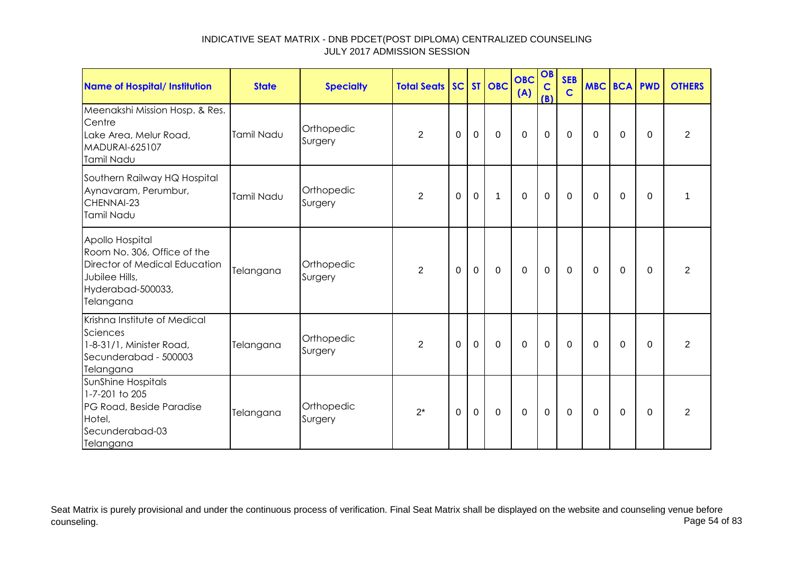| Name of Hospital/ Institution                                                                                                       | <b>State</b> | <b>Specialty</b>      | <b>Total Seats SC ST OBC</b> |          |             |             | <b>OBC</b><br>(A) | OB<br>$\mathbf C$<br>(B) | <b>SEB</b><br>$\mathbf C$ | <b>MBC BCA PWD</b> |          |          | <b>OTHERS</b>  |
|-------------------------------------------------------------------------------------------------------------------------------------|--------------|-----------------------|------------------------------|----------|-------------|-------------|-------------------|--------------------------|---------------------------|--------------------|----------|----------|----------------|
| Meenakshi Mission Hosp. & Res.<br>Centre<br>Lake Area, Melur Road,<br>MADURAI-625107<br>Tamil Nadu                                  | Tamil Nadu   | Orthopedic<br>Surgery | $\overline{2}$               | $\Omega$ | $\mathbf 0$ | $\Omega$    | $\mathbf 0$       | $\mathbf 0$              | $\mathbf 0$               | $\Omega$           | $\Omega$ | $\Omega$ | $\overline{2}$ |
| Southern Railway HQ Hospital<br>Aynavaram, Perumbur,<br>CHENNAI-23<br>Tamil Nadu                                                    | Tamil Nadu   | Orthopedic<br>Surgery | $\overline{2}$               | $\Omega$ | $\mathbf 0$ | $\mathbf 1$ | $\mathbf 0$       | $\mathbf 0$              | $\mathbf 0$               | $\Omega$           | $\Omega$ | $\Omega$ |                |
| Apollo Hospital<br>Room No. 306, Office of the<br>Director of Medical Education<br>Jubilee Hills,<br>Hyderabad-500033,<br>Telangana | Telangana    | Orthopedic<br>Surgery | 2                            | $\Omega$ | $\mathbf 0$ | $\mathbf 0$ | $\Omega$          | $\mathbf 0$              | 0                         | $\Omega$           | $\Omega$ | $\Omega$ | $\overline{2}$ |
| Krishna Institute of Medical<br>Sciences<br>1-8-31/1, Minister Road,<br>Secunderabad - 500003<br>Telangana                          | Telangana    | Orthopedic<br>Surgery | 2                            | $\Omega$ | $\mathbf 0$ | $\mathbf 0$ | $\mathbf 0$       | $\mathbf 0$              | $\mathbf{0}$              | $\Omega$           | $\Omega$ | $\Omega$ | $\overline{2}$ |
| SunShine Hospitals<br>1-7-201 to 205<br>PG Road, Beside Paradise<br>Hotel,<br>Secunderabad-03<br>Telangana                          | Telangana    | Orthopedic<br>Surgery | $2^*$                        | 0        | $\mathbf 0$ | $\mathbf 0$ | $\mathbf 0$       | $\mathbf 0$              | $\mathbf 0$               | 0                  | 0        | 0        | $\overline{2}$ |

Seat Matrix is purely provisional and under the continuous process of verification. Final Seat Matrix shall be displayed on the website and counseling venue before<br>Page 54 of 83 counseling. Page 54 of 83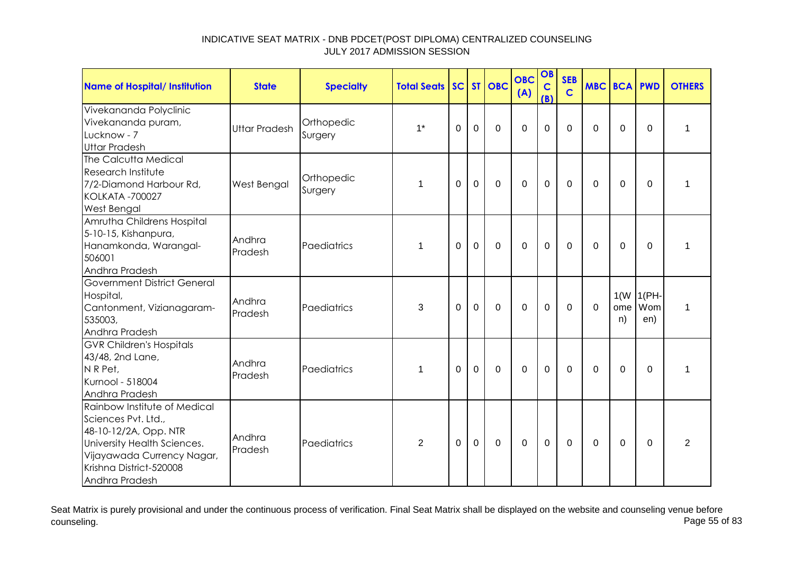| <b>Name of Hospital/ Institution</b>                                                                                                                                                   | <b>State</b>         | <b>Specialty</b>      | <b>Total Seats</b> |          |                | SC ST OBC   | <b>OBC</b><br>(A) | OB<br>$\mathbf C$<br>(B) | <b>SEB</b><br>$\mathbf C$ |             | <b>MBC BCA PWD</b> |                             | <b>OTHERS</b>  |
|----------------------------------------------------------------------------------------------------------------------------------------------------------------------------------------|----------------------|-----------------------|--------------------|----------|----------------|-------------|-------------------|--------------------------|---------------------------|-------------|--------------------|-----------------------------|----------------|
| Vivekananda Polyclinic<br>Vivekananda puram,<br>Lucknow - 7<br><b>Uttar Pradesh</b>                                                                                                    | <b>Uttar Pradesh</b> | Orthopedic<br>Surgery | $1^*$              | 0        | $\mathbf 0$    | $\mathbf 0$ | $\mathbf 0$       | $\mathbf 0$              | $\Omega$                  | $\Omega$    | 0                  | $\mathbf 0$                 | 1              |
| The Calcutta Medical<br>Research Institute<br>7/2-Diamond Harbour Rd,<br><b>KOLKATA -700027</b><br>West Bengal                                                                         | West Bengal          | Orthopedic<br>Surgery | 1                  | $\Omega$ | $\mathbf 0$    | $\mathbf 0$ | $\overline{0}$    | $\mathbf 0$              | $\mathbf 0$               | $\Omega$    | $\mathbf 0$        | $\mathbf 0$                 | $\mathbf{1}$   |
| Amrutha Childrens Hospital<br>5-10-15, Kishanpura,<br>Hanamkonda, Warangal-<br>506001<br>Andhra Pradesh                                                                                | Andhra<br>Pradesh    | Paediatrics           | $\mathbf 1$        | $\Omega$ | $\mathbf 0$    | $\mathbf 0$ | $\mathbf 0$       | $\mathbf 0$              | $\Omega$                  | $\Omega$    | $\Omega$           | $\Omega$                    | 1              |
| <b>Government District General</b><br>Hospital,<br>Cantonment, Vizianagaram-<br>535003,<br>Andhra Pradesh                                                                              | Andhra<br>Pradesh    | Paediatrics           | 3                  | $\Omega$ | $\overline{0}$ | $\mathbf 0$ | $\mathbf 0$       | $\mathbf 0$              | $\mathbf 0$               | $\mathbf 0$ | ome<br>n)          | $1(W   1(PH-$<br>Wom<br>en) | 1              |
| <b>GVR Children's Hospitals</b><br>43/48, 2nd Lane,<br>N R Pet,<br>Kurnool - 518004<br>Andhra Pradesh                                                                                  | Andhra<br>Pradesh    | Paediatrics           | 1                  | 0        | $\mathbf 0$    | $\mathbf 0$ | $\mathbf 0$       | $\mathbf 0$              | $\Omega$                  | 0           | 0                  | 0                           | 1              |
| Rainbow Institute of Medical<br>Sciences Pvt. Ltd.,<br>48-10-12/2A, Opp. NTR<br>University Health Sciences.<br>Vijayawada Currency Nagar,<br>Krishna District-520008<br>Andhra Pradesh | Andhra<br>Pradesh    | Paediatrics           | $\overline{2}$     | $\Omega$ | $\mathbf 0$    | $\mathbf 0$ | $\mathbf 0$       | $\mathbf 0$              | 0                         | $\Omega$    | 0                  | $\Omega$                    | $\overline{2}$ |

Seat Matrix is purely provisional and under the continuous process of verification. Final Seat Matrix shall be displayed on the website and counseling venue before<br>Page 55 of 83 counseling. Page 55 of 83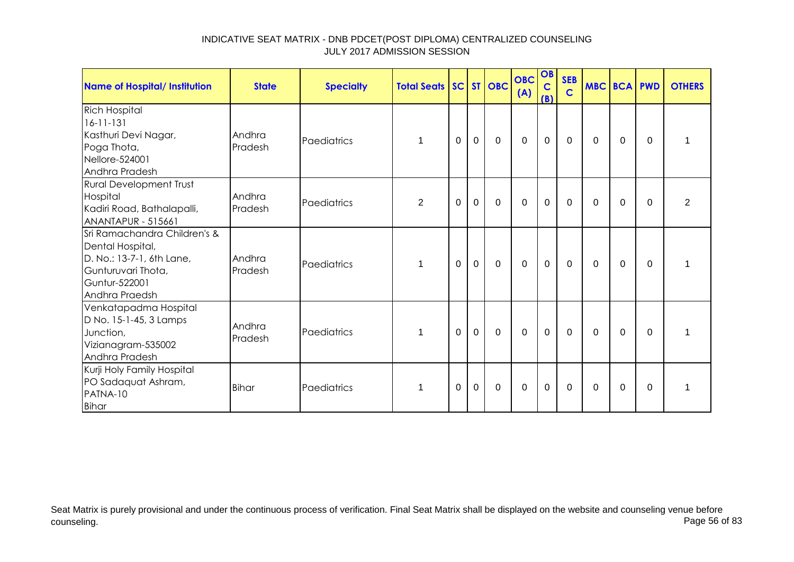| <b>Name of Hospital/ Institution</b>                                                                                                   | <b>State</b>      | <b>Specialty</b> | <b>Total Seats SC ST OBC</b> |          |             |             | <b>OBC</b><br>(A) | OB<br>$\mathbf C$<br>(B) | <b>SEB</b><br>$\overline{c}$ | <b>MBC BCA PWD</b> |          |          | <b>OTHERS</b>  |
|----------------------------------------------------------------------------------------------------------------------------------------|-------------------|------------------|------------------------------|----------|-------------|-------------|-------------------|--------------------------|------------------------------|--------------------|----------|----------|----------------|
| <b>Rich Hospital</b><br>$16 - 11 - 131$<br>Kasthuri Devi Nagar,<br>Poga Thota,<br>Nellore-524001<br>Andhra Pradesh                     | Andhra<br>Pradesh | Paediatrics      |                              | 0        | $\mathbf 0$ | $\mathbf 0$ | $\mathbf 0$       | $\mathbf 0$              | 0                            | 0                  | 0        | $\Omega$ |                |
| <b>Rural Development Trust</b><br>Hospital<br>Kadiri Road, Bathalapalli,<br>ANANTAPUR - 515661                                         | Andhra<br>Pradesh | Paediatrics      | $\overline{2}$               | $\Omega$ | $\mathbf 0$ | $\Omega$    | $\Omega$          | $\mathbf 0$              | $\Omega$                     | $\Omega$           | $\Omega$ | $\Omega$ | $\overline{2}$ |
| Sri Ramachandra Children's &<br>Dental Hospital,<br>D. No.: 13-7-1, 6th Lane,<br>Gunturuvari Thota,<br>Guntur-522001<br>Andhra Praedsh | Andhra<br>Pradesh | Paediatrics      |                              | $\Omega$ | $\mathbf 0$ | $\mathbf 0$ | $\mathbf 0$       | $\mathbf 0$              | $\mathbf 0$                  | $\Omega$           | $\Omega$ | $\Omega$ | 1              |
| Venkatapadma Hospital<br>D No. 15-1-45, 3 Lamps<br>Junction,<br>Vizianagram-535002<br>Andhra Pradesh                                   | Andhra<br>Pradesh | Paediatrics      |                              | 0        | $\mathbf 0$ | $\Omega$    | $\mathbf 0$       | $\mathbf 0$              | $\Omega$                     | $\Omega$           | $\Omega$ | $\Omega$ |                |
| Kurji Holy Family Hospital<br>PO Sadaquat Ashram,<br>PATNA-10<br><b>Bihar</b>                                                          | <b>Bihar</b>      | Paediatrics      |                              | 0        | $\mathbf 0$ | 0           | $\mathbf 0$       | $\mathbf 0$              | 0                            | $\Omega$           | 0        | $\Omega$ |                |

Seat Matrix is purely provisional and under the continuous process of verification. Final Seat Matrix shall be displayed on the website and counseling venue before<br>Page 56 of 83 counseling. Page 56 of 83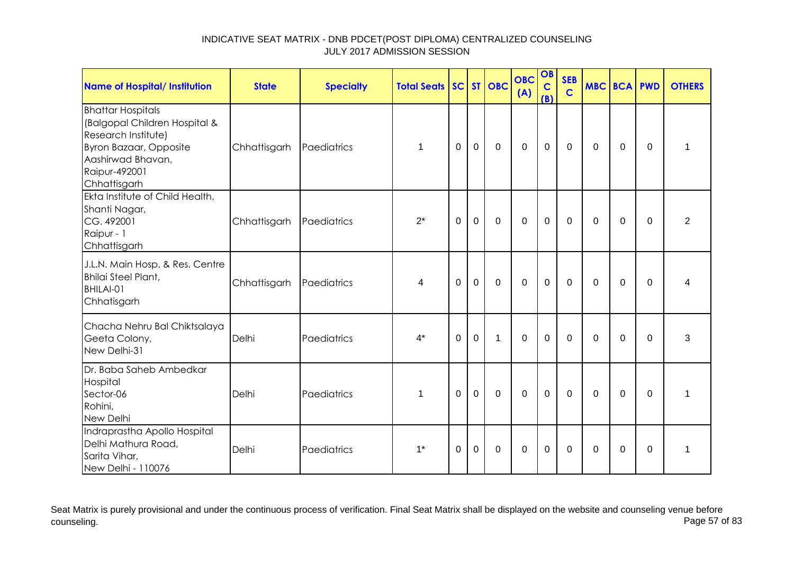| <b>Name of Hospital/ Institution</b>                                                                                                                                    | <b>State</b> | <b>Specialty</b> | <b>Total Seats</b> |          |             | SC ST OBC    | <b>OBC</b><br>(A) | OB<br>$\mathbf C$<br>(B) | <b>SEB</b><br>$\mathbf C$ | <b>MBC BCA PWD</b> |             |             | <b>OTHERS</b>  |
|-------------------------------------------------------------------------------------------------------------------------------------------------------------------------|--------------|------------------|--------------------|----------|-------------|--------------|-------------------|--------------------------|---------------------------|--------------------|-------------|-------------|----------------|
| <b>Bhattar Hospitals</b><br>(Balgopal Children Hospital &<br>Research Institute)<br><b>Byron Bazaar, Opposite</b><br>Aashirwad Bhavan,<br>Raipur-492001<br>Chhattisgarh | Chhattisgarh | Paediatrics      | $\mathbf 1$        | $\Omega$ | $\mathbf 0$ | $\mathbf 0$  | $\overline{0}$    | $\mathbf 0$              | $\mathbf 0$               | $\Omega$           | $\Omega$    | $\mathbf 0$ | $\mathbf{1}$   |
| Ekta Institute of Child Health,<br>Shanti Nagar,<br>CG. 492001<br>Raipur - 1<br>Chhattisgarh                                                                            | Chhattisgarh | Paediatrics      | $2^*$              | $\Omega$ | $\mathbf 0$ | $\mathbf 0$  | $\overline{0}$    | $\mathbf 0$              | $\Omega$                  | $\Omega$           | $\mathbf 0$ | $\mathbf 0$ | $\overline{2}$ |
| J.L.N. Main Hosp. & Res. Centre<br>Bhilai Steel Plant,<br>BHILAI-01<br>Chhatisgarh                                                                                      | Chhattisgarh | Paediatrics      | 4                  | $\Omega$ | $\mathbf 0$ | $\mathbf 0$  | $\mathbf 0$       | $\mathbf 0$              | $\mathbf 0$               | 0                  | $\mathbf 0$ | $\mathbf 0$ | 4              |
| Chacha Nehru Bal Chiktsalaya<br>Geeta Colony,<br>New Delhi-31                                                                                                           | Delhi        | Paediatrics      | $4^*$              | $\Omega$ | $\mathbf 0$ | $\mathbf{1}$ | $\mathbf 0$       | $\mathbf 0$              | $\Omega$                  | $\Omega$           | $\Omega$    | $\Omega$    | 3              |
| Dr. Baba Saheb Ambedkar<br>Hospital<br>Sector-06<br>Rohini,<br>New Delhi                                                                                                | Delhi        | Paediatrics      | 1                  | $\Omega$ | $\mathbf 0$ | $\mathbf 0$  | $\overline{0}$    | $\mathbf 0$              | $\Omega$                  | $\Omega$           | $\Omega$    | $\Omega$    | 1              |
| Indraprastha Apollo Hospital<br>Delhi Mathura Road,<br>Sarita Vihar,<br>New Delhi - 110076                                                                              | Delhi        | Paediatrics      | $1^*$              | $\Omega$ | $\mathbf 0$ | $\mathbf 0$  | $\Omega$          | $\mathbf 0$              | $\Omega$                  | $\Omega$           | $\mathbf 0$ | $\Omega$    | 1              |

Seat Matrix is purely provisional and under the continuous process of verification. Final Seat Matrix shall be displayed on the website and counseling venue before<br>Page 57 of 83 counseling. Page 57 of 83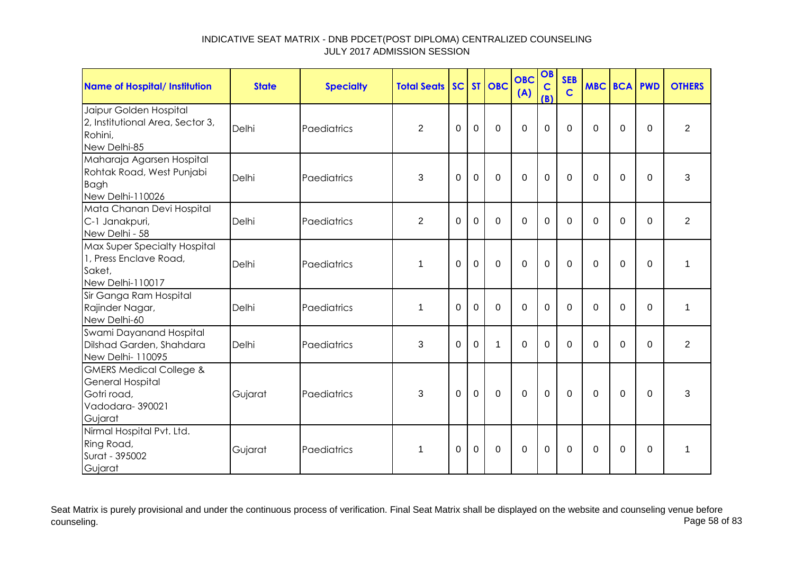| Name of Hospital/ Institution                                                                              | <b>State</b> | <b>Specialty</b> | <b>Total Seats</b> |             |                | SC ST OBC   | <b>OBC</b><br>(A) | OB<br>$\mathbf C$<br>(B) | <b>SEB</b><br>$\mathbf C$ |          | <b>MBC BCA PWD</b> |             | <b>OTHERS</b>  |
|------------------------------------------------------------------------------------------------------------|--------------|------------------|--------------------|-------------|----------------|-------------|-------------------|--------------------------|---------------------------|----------|--------------------|-------------|----------------|
| Jaipur Golden Hospital<br>2, Institutional Area, Sector 3,<br>Rohini,<br>New Delhi-85                      | Delhi        | Paediatrics      | $\overline{2}$     | $\mathbf 0$ | $\overline{0}$ | $\mathbf 0$ | $\mathbf 0$       | 0                        | $\overline{0}$            | $\Omega$ | $\mathbf 0$        | $\mathbf 0$ | $\overline{2}$ |
| Maharaja Agarsen Hospital<br>Rohtak Road, West Punjabi<br>Bagh<br>New Delhi-110026                         | Delhi        | Paediatrics      | 3                  | 0           | $\overline{0}$ | $\Omega$    | $\Omega$          | $\overline{0}$           | $\Omega$                  | $\Omega$ | $\mathbf 0$        | $\Omega$    | 3              |
| Mata Chanan Devi Hospital<br>C-1 Janakpuri,<br>New Delhi - 58                                              | Delhi        | Paediatrics      | $\overline{2}$     | 0           | $\overline{0}$ | $\mathbf 0$ | $\mathbf 0$       | 0                        | $\Omega$                  | $\Omega$ | $\mathbf 0$        | $\mathbf 0$ | $\overline{2}$ |
| Max Super Specialty Hospital<br>1, Press Enclave Road,<br>Saket,<br>New Delhi-110017                       | Delhi        | Paediatrics      | -1                 | $\Omega$    | $\overline{0}$ | $\mathbf 0$ | $\mathbf 0$       | 0                        | $\Omega$                  | $\Omega$ | $\mathbf 0$        | $\mathbf 0$ | 1              |
| Sir Ganga Ram Hospital<br>Rajinder Nagar,<br>New Delhi-60                                                  | Delhi        | Paediatrics      | $\mathbf 1$        | 0           | $\mathbf 0$    | $\mathbf 0$ | $\mathbf 0$       | 0                        | $\Omega$                  | $\Omega$ | $\mathbf 0$        | $\mathbf 0$ | $\mathbf 1$    |
| Swami Dayanand Hospital<br>Dilshad Garden, Shahdara<br>New Delhi- 110095                                   | Delhi        | Paediatrics      | 3                  | $\Omega$    | $\Omega$       | 1           | $\Omega$          | $\Omega$                 | $\Omega$                  | $\Omega$ | $\Omega$           | $\Omega$    | $\overline{2}$ |
| <b>GMERS Medical College &amp;</b><br><b>General Hospital</b><br>Gotri road,<br>Vadodara-390021<br>Gujarat | Gujarat      | Paediatrics      | 3                  | $\Omega$    | $\overline{0}$ | $\mathbf 0$ | $\mathbf 0$       | $\mathbf 0$              | $\Omega$                  | $\Omega$ | $\Omega$           | $\Omega$    | 3              |
| Nirmal Hospital Pvt. Ltd.<br>Ring Road,<br>Surat - 395002<br>Gujarat                                       | Gujarat      | Paediatrics      | 1                  | $\Omega$    | $\mathbf 0$    | $\mathbf 0$ | $\mathbf 0$       | $\overline{0}$           | $\Omega$                  | $\Omega$ | $\mathbf 0$        | $\Omega$    | 1              |

Seat Matrix is purely provisional and under the continuous process of verification. Final Seat Matrix shall be displayed on the website and counseling venue before<br>Page 58 of 83 counseling. Page 58 of 83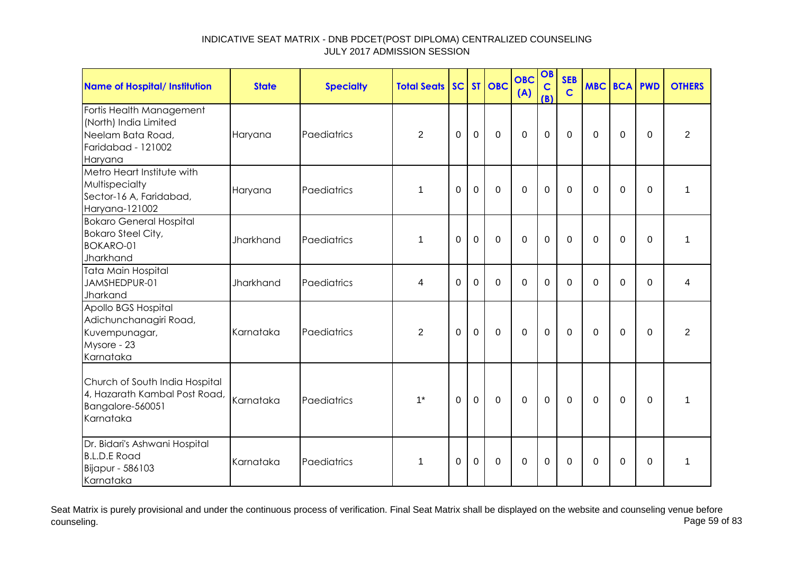| <b>Name of Hospital/ Institution</b>                                                                    | <b>State</b> | <b>Specialty</b> | <b>Total Seats</b> |             |             | SC ST OBC   | <b>OBC</b><br>(A) | OB<br>$\mathbf C$<br>(B) | <b>SEB</b><br>$\overline{c}$ | <b>MBC BCA PWD</b> |             |             | <b>OTHERS</b>  |
|---------------------------------------------------------------------------------------------------------|--------------|------------------|--------------------|-------------|-------------|-------------|-------------------|--------------------------|------------------------------|--------------------|-------------|-------------|----------------|
| Fortis Health Management<br>(North) India Limited<br>Neelam Bata Road,<br>Faridabad - 121002<br>Haryana | Haryana      | Paediatrics      | $\overline{2}$     | $\mathbf 0$ | $\mathbf 0$ | $\mathbf 0$ | $\overline{0}$    | $\mathbf 0$              | $\mathbf 0$                  | $\mathbf 0$        | $\mathbf 0$ | $\mathbf 0$ | $\overline{2}$ |
| Metro Heart Institute with<br>Multispecialty<br>Sector-16 A, Faridabad,<br>Haryana-121002               | Haryana      | Paediatrics      | $\mathbf 1$        | $\Omega$    | $\mathbf 0$ | $\mathbf 0$ | $\mathbf 0$       | $\overline{0}$           | $\Omega$                     | $\Omega$           | $\Omega$    | $\Omega$    | 1              |
| <b>Bokaro General Hospital</b><br><b>Bokaro Steel City,</b><br><b>BOKARO-01</b><br>Jharkhand            | Jharkhand    | Paediatrics      | $\mathbf 1$        | $\Omega$    | $\mathbf 0$ | $\mathbf 0$ | $\mathbf 0$       | $\mathbf 0$              | $\mathbf 0$                  | $\Omega$           | $\mathbf 0$ | $\mathbf 0$ | 1              |
| <b>Tata Main Hospital</b><br>JAMSHEDPUR-01<br>Jharkand                                                  | Jharkhand    | Paediatrics      | 4                  | 0           | $\Omega$    | $\Omega$    | $\overline{0}$    | $\Omega$                 | $\Omega$                     | $\Omega$           | $\mathbf 0$ | $\mathbf 0$ | 4              |
| Apollo BGS Hospital<br>Adichunchanagiri Road,<br>Kuvempunagar,<br>Mysore - 23<br>Karnataka              | Karnataka    | Paediatrics      | $\overline{2}$     | 0           | $\mathbf 0$ | $\mathbf 0$ | $\mathbf 0$       | $\mathbf 0$              | $\overline{0}$               | $\Omega$           | $\mathbf 0$ | 0           | $\overline{2}$ |
| Church of South India Hospital<br>4, Hazarath Kambal Post Road,<br>Bangalore-560051<br>Karnataka        | Karnataka    | Paediatrics      | $1^*$              | $\mathbf 0$ | $\mathbf 0$ | $\mathbf 0$ | $\mathbf 0$       | $\mathbf 0$              | $\mathbf 0$                  | $\mathbf 0$        | $\mathbf 0$ | $\mathbf 0$ | 1              |
| Dr. Bidari's Ashwani Hospital<br><b>B.L.D.E Road</b><br>Bijapur - 586103<br>Karnataka                   | Karnataka    | Paediatrics      | $\mathbf 1$        | $\Omega$    | $\mathbf 0$ | $\Omega$    | $\mathbf 0$       | $\mathbf 0$              | $\mathbf 0$                  | $\Omega$           | $\mathbf 0$ | $\mathbf 0$ | 1              |

Seat Matrix is purely provisional and under the continuous process of verification. Final Seat Matrix shall be displayed on the website and counseling venue before<br>Page 59 of 83 counseling. Page 59 of 83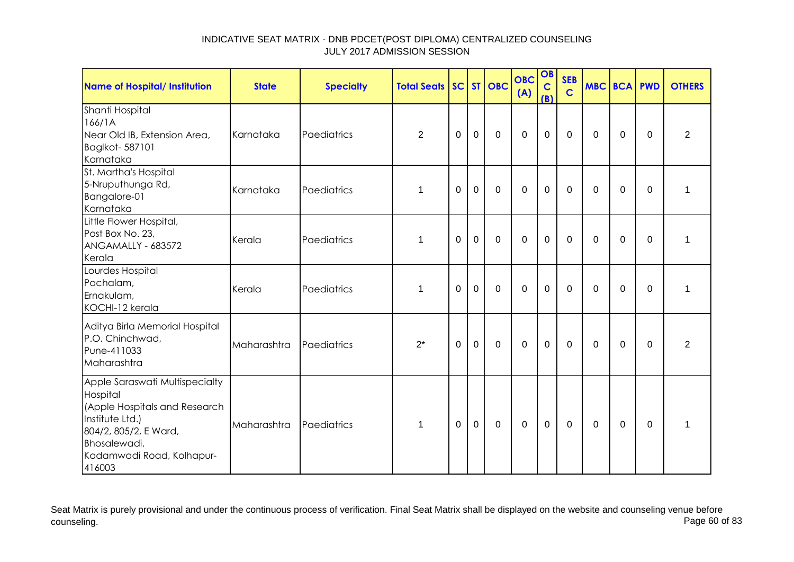| <b>Name of Hospital/ Institution</b>                                                                                                                                           | <b>State</b> | <b>Specialty</b> | <b>Total Seats</b> |          |             | SC ST OBC    | <b>OBC</b><br>(A) | OB<br>$\mathbf C$<br>(B) | <b>SEB</b><br>$\mathbf C$ | <b>MBC BCA PWD</b> |                |          | <b>OTHERS</b>  |
|--------------------------------------------------------------------------------------------------------------------------------------------------------------------------------|--------------|------------------|--------------------|----------|-------------|--------------|-------------------|--------------------------|---------------------------|--------------------|----------------|----------|----------------|
| Shanti Hospital<br>166/1A<br>Near Old IB, Extension Area,<br>Baglkot-587101<br>Karnataka                                                                                       | Karnataka    | Paediatrics      | $\overline{2}$     | 0        | 0           | $\mathbf 0$  | $\mathbf 0$       | $\mathbf 0$              | $\Omega$                  | $\Omega$           | 0              | 0        | $\overline{2}$ |
| St. Martha's Hospital<br>5-Nruputhunga Rd,<br>Bangalore-01<br>Karnataka                                                                                                        | Karnataka    | Paediatrics      | 1                  | 0        | 0           | $\mathbf{0}$ | $\Omega$          | 0                        | $\Omega$                  | $\Omega$           | 0              | $\Omega$ | 1              |
| Little Flower Hospital,<br>Post Box No. 23,<br>ANGAMALLY - 683572<br>Kerala                                                                                                    | Kerala       | Paediatrics      | $\mathbf 1$        | 0        | $\mathbf 0$ | $\mathbf 0$  | $\mathbf 0$       | $\mathbf 0$              | $\Omega$                  | $\mathbf{0}$       | 0              | $\Omega$ | 1              |
| Lourdes Hospital<br>Pachalam,<br>Ernakulam,<br>KOCHI-12 kerala                                                                                                                 | Kerala       | Paediatrics      | $\mathbf 1$        | $\Omega$ | $\mathbf 0$ | $\mathbf 0$  | $\mathbf 0$       | $\mathbf 0$              | $\Omega$                  | $\Omega$           | 0              | $\Omega$ | 1              |
| Aditya Birla Memorial Hospital<br>P.O. Chinchwad,<br>Pune-411033<br>Maharashtra                                                                                                | Maharashtra  | Paediatrics      | $2^*$              | $\Omega$ | $\mathbf 0$ | $\mathbf{0}$ | $\mathbf 0$       | $\mathbf 0$              | $\Omega$                  | $\Omega$           | 0              | $\Omega$ | $\overline{2}$ |
| Apple Saraswati Multispecialty<br>Hospital<br>(Apple Hospitals and Research<br>Institute Ltd.)<br>804/2, 805/2, E Ward,<br>Bhosalewadi,<br>Kadamwadi Road, Kolhapur-<br>416003 | Maharashtra  | Paediatrics      | 1                  | $\Omega$ | $\mathbf 0$ | $\mathbf 0$  | $\mathbf 0$       | $\mathbf 0$              | $\mathbf 0$               | $\mathbf 0$        | $\overline{0}$ | $\Omega$ | 1              |

Seat Matrix is purely provisional and under the continuous process of verification. Final Seat Matrix shall be displayed on the website and counseling venue before<br>Page 60 of 83 counseling. Page 60 of 83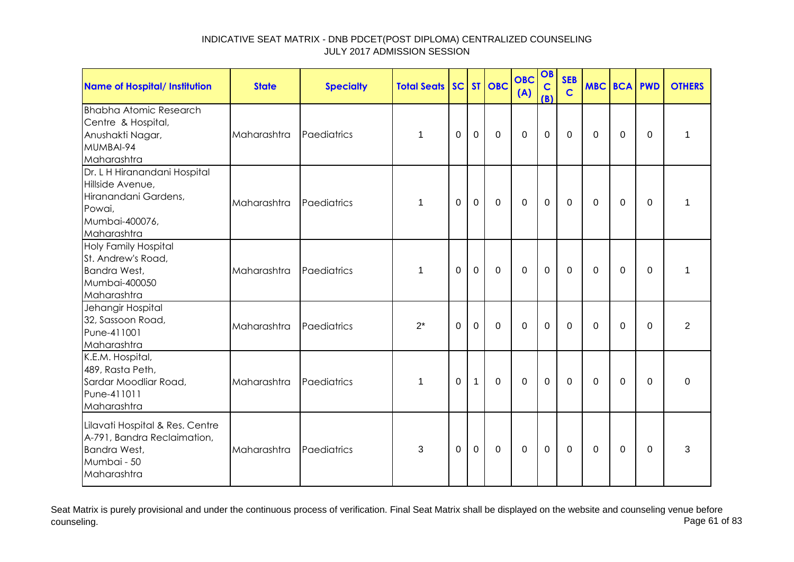| <b>Name of Hospital/ Institution</b>                                                                                | <b>State</b> | <b>Specialty</b> | <b>Total Seats</b> |             |                | SC ST OBC   | <b>OBC</b><br>(A) | OB<br>$\mathbf C$<br>(B) | <b>SEB</b><br>$\mathbf C$ | <b>MBC BCA PWD</b> |                |             | <b>OTHERS</b> |
|---------------------------------------------------------------------------------------------------------------------|--------------|------------------|--------------------|-------------|----------------|-------------|-------------------|--------------------------|---------------------------|--------------------|----------------|-------------|---------------|
| <b>Bhabha Atomic Research</b><br>Centre & Hospital,<br>Anushakti Nagar,<br>MUMBAI-94<br>Maharashtra                 | Maharashtra  | Paediatrics      | 1                  | 0           | $\mathbf 0$    | $\mathbf 0$ | $\mathbf 0$       | $\mathbf 0$              | $\mathbf 0$               | 0                  | $\mathbf 0$    | 0           | 1             |
| Dr. L H Hiranandani Hospital<br>Hillside Avenue,<br>Hiranandani Gardens,<br>Powai,<br>Mumbai-400076,<br>Maharashtra | Maharashtra  | Paediatrics      | 1                  | $\Omega$    | $\mathbf 0$    | $\mathbf 0$ | $\mathbf 0$       | $\mathbf 0$              | $\mathbf{0}$              | $\Omega$           | $\Omega$       | $\Omega$    | 1             |
| <b>Holy Family Hospital</b><br>St. Andrew's Road,<br>Bandra West,<br>Mumbai-400050<br>Maharashtra                   | Maharashtra  | Paediatrics      | 1                  | $\mathbf 0$ | $\overline{0}$ | $\mathbf 0$ | $\mathbf 0$       | $\mathbf 0$              | $\mathbf 0$               | $\Omega$           | $\mathbf 0$    | $\mathbf 0$ | 1             |
| Jehangir Hospital<br>32, Sassoon Road,<br>Pune-411001<br>Maharashtra                                                | Maharashtra  | Paediatrics      | $2^*$              | $\mathbf 0$ | $\overline{0}$ | $\mathbf 0$ | $\overline{0}$    | $\overline{0}$           | $\Omega$                  | $\Omega$           | $\mathbf 0$    | $\Omega$    | 2             |
| K.E.M. Hospital,<br>489, Rasta Peth,<br>Sardar Moodliar Road,<br>Pune-411011<br>Maharashtra                         | Maharashtra  | Paediatrics      | $\mathbf 1$        | $\Omega$    | $\mathbf{1}$   | $\mathbf 0$ | $\mathbf 0$       | $\mathbf 0$              | $\mathbf{0}$              | $\Omega$           | $\overline{0}$ | 0           | $\mathbf 0$   |
| Lilavati Hospital & Res. Centre<br>A-791, Bandra Reclaimation,<br>Bandra West,<br>Mumbai - 50<br>Maharashtra        | Maharashtra  | Paediatrics      | 3                  | 0           | 0              | $\mathbf 0$ | $\mathbf 0$       | $\mathbf 0$              | $\mathbf{0}$              | $\Omega$           | 0              | 0           | 3             |

Seat Matrix is purely provisional and under the continuous process of verification. Final Seat Matrix shall be displayed on the website and counseling venue before<br>Page 61 of 83 counseling. Page 61 of 83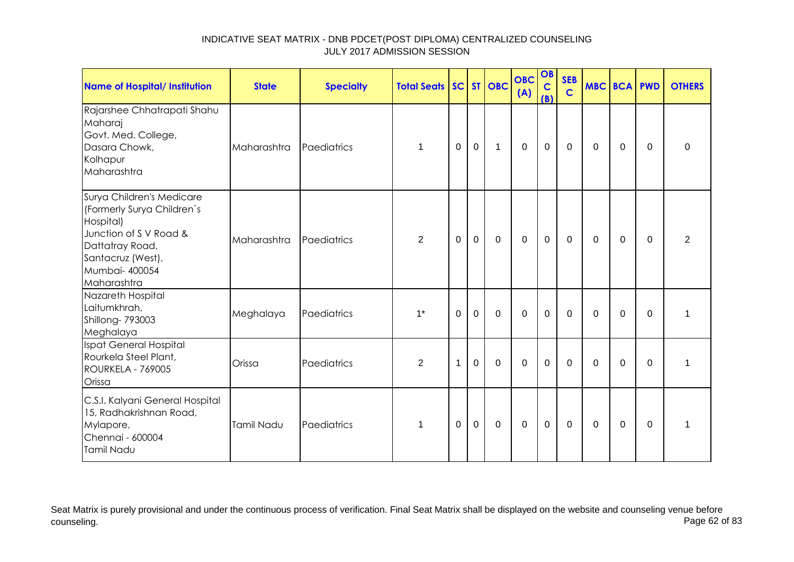| Name of Hospital/ Institution                                                                                                                                           | <b>State</b> | <b>Specialty</b> | <b>Total Seats SC ST OBC</b> |              |             |             | <b>OBC</b><br>(A) | OB<br>$\mathbf C$<br>(B) | <b>SEB</b><br>$\mathbf C$ | <b>MBC BCA PWD</b> |             |                | <b>OTHERS</b>  |
|-------------------------------------------------------------------------------------------------------------------------------------------------------------------------|--------------|------------------|------------------------------|--------------|-------------|-------------|-------------------|--------------------------|---------------------------|--------------------|-------------|----------------|----------------|
| Rajarshee Chhatrapati Shahu<br>Maharaj<br>Govt. Med. College,<br>Dasara Chowk,<br>Kolhapur<br>Maharashtra                                                               | Maharashtra  | Paediatrics      | 1                            | $\Omega$     | $\mathbf 0$ | $\mathbf 1$ | $\mathbf 0$       | $\mathbf 0$              | $\Omega$                  | $\Omega$           | $\Omega$    | $\Omega$       | $\Omega$       |
| Surya Children's Medicare<br>(Formerly Surya Children's<br>Hospital)<br>Junction of S V Road &<br>Dattatray Road,<br>Santacruz (West),<br>Mumbai- 400054<br>Maharashtra | Maharashtra  | Paediatrics      | $\overline{2}$               | 0            | $\mathbf 0$ | $\mathbf 0$ | $\mathbf 0$       | $\mathbf 0$              | $\mathbf 0$               | 0                  | 0           | 0              | $\overline{2}$ |
| Nazareth Hospital<br>Laitumkhrah,<br>Shillong- 793003<br>Meghalaya                                                                                                      | Meghalaya    | Paediatrics      | $1*$                         | $\mathbf 0$  | $\mathbf 0$ | $\mathbf 0$ | $\mathbf 0$       | $\mathbf 0$              | $\mathbf 0$               | 0                  | 0           | $\overline{0}$ | 1              |
| Ispat General Hospital<br>Rourkela Steel Plant,<br><b>ROURKELA - 769005</b><br>Orissa                                                                                   | Orissa       | Paediatrics      | $\overline{2}$               | $\mathbf{1}$ | $\mathbf 0$ | $\mathbf 0$ | $\mathbf 0$       | $\mathbf 0$              | $\mathbf 0$               | $\Omega$           | $\mathbf 0$ | $\Omega$       | 1              |
| C.S.I. Kalyani General Hospital<br>15, Radhakrishnan Road,<br>Mylapore,<br>Chennai - 600004<br>Tamil Nadu                                                               | Tamil Nadu   | Paediatrics      | 1                            | 0            | $\mathbf 0$ | $\mathbf 0$ | $\mathbf 0$       | $\mathbf 0$              | $\mathbf 0$               | $\mathbf 0$        | 0           | 0              | 1              |

Seat Matrix is purely provisional and under the continuous process of verification. Final Seat Matrix shall be displayed on the website and counseling venue before<br>Page 62 of 83 counseling. Page 62 of 83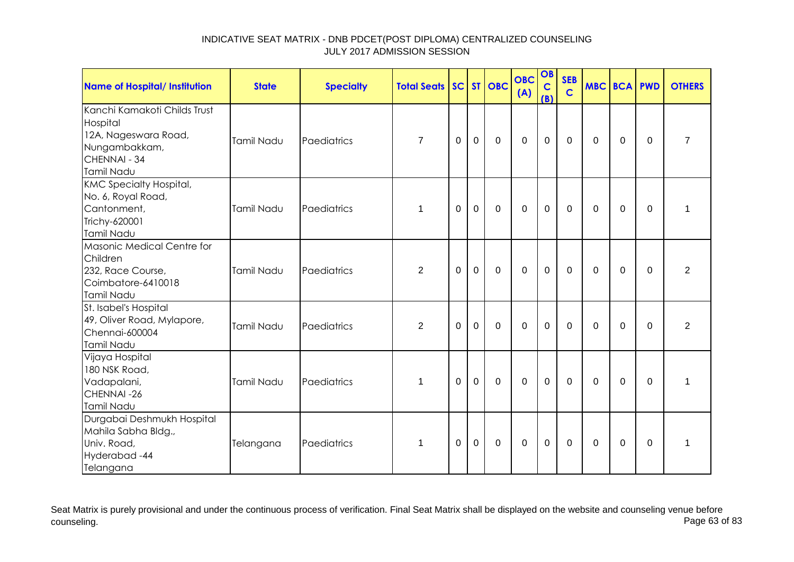| <b>Name of Hospital/ Institution</b>                                                                            | <b>State</b> | <b>Specialty</b> | <b>Total Seats</b> |          |             | SC ST OBC   | <b>OBC</b><br>(A) | OB<br>$\mathbf C$<br>(B) | <b>SEB</b><br>$\mathbf C$ | <b>MBC BCA PWD</b> |             |          | <b>OTHERS</b>  |
|-----------------------------------------------------------------------------------------------------------------|--------------|------------------|--------------------|----------|-------------|-------------|-------------------|--------------------------|---------------------------|--------------------|-------------|----------|----------------|
| Kanchi Kamakoti Childs Trust<br>Hospital<br>12A, Nageswara Road,<br>Nungambakkam,<br>CHENNAI - 34<br>Tamil Nadu | Tamil Nadu   | Paediatrics      | $\overline{7}$     | 0        | 0           | $\mathbf 0$ | $\mathbf 0$       | $\mathbf 0$              | 0                         | 0                  | 0           | 0        | $\overline{7}$ |
| <b>KMC Specialty Hospital,</b><br>No. 6, Royal Road,<br>Cantonment,<br>Trichy-620001<br>Tamil Nadu              | Tamil Nadu   | Paediatrics      | 1                  | 0        | $\mathbf 0$ | $\mathbf 0$ | $\mathbf 0$       | $\mathbf 0$              | $\mathbf 0$               | $\Omega$           | 0           | 0        | $\mathbf{1}$   |
| Masonic Medical Centre for<br>Children<br>232, Race Course,<br>Coimbatore-6410018<br>Tamil Nadu                 | Tamil Nadu   | Paediatrics      | $\overline{2}$     | 0        | $\mathbf 0$ | $\mathbf 0$ | $\overline{0}$    | $\mathbf 0$              | $\Omega$                  | $\Omega$           | $\mathbf 0$ | 0        | $\overline{2}$ |
| St. Isabel's Hospital<br>49, Oliver Road, Mylapore,<br>Chennai-600004<br>Tamil Nadu                             | Tamil Nadu   | Paediatrics      | 2                  | $\Omega$ | $\mathbf 0$ | $\mathbf 0$ | $\overline{0}$    | $\mathbf 0$              | $\Omega$                  | $\Omega$           | 0           | $\Omega$ | $\overline{2}$ |
| Vijaya Hospital<br>180 NSK Road,<br>Vadapalani,<br>CHENNAI-26<br>Tamil Nadu                                     | Tamil Nadu   | Paediatrics      | 1                  | $\Omega$ | $\mathbf 0$ | $\mathbf 0$ | $\mathbf 0$       | $\mathbf 0$              | $\Omega$                  | $\Omega$           | 0           | 0        | $\mathbf{1}$   |
| Durgabai Deshmukh Hospital<br>Mahila Sabha Bldg.,<br>Univ. Road,<br>Hyderabad-44<br>Telangana                   | Telangana    | Paediatrics      | 1                  | 0        | $\mathbf 0$ | $\mathbf 0$ | $\mathbf 0$       | $\mathbf 0$              | 0                         | 0                  | 0           | 0        | 1              |

Seat Matrix is purely provisional and under the continuous process of verification. Final Seat Matrix shall be displayed on the website and counseling venue before<br>Page 63 of 83 counseling. Page 63 of 83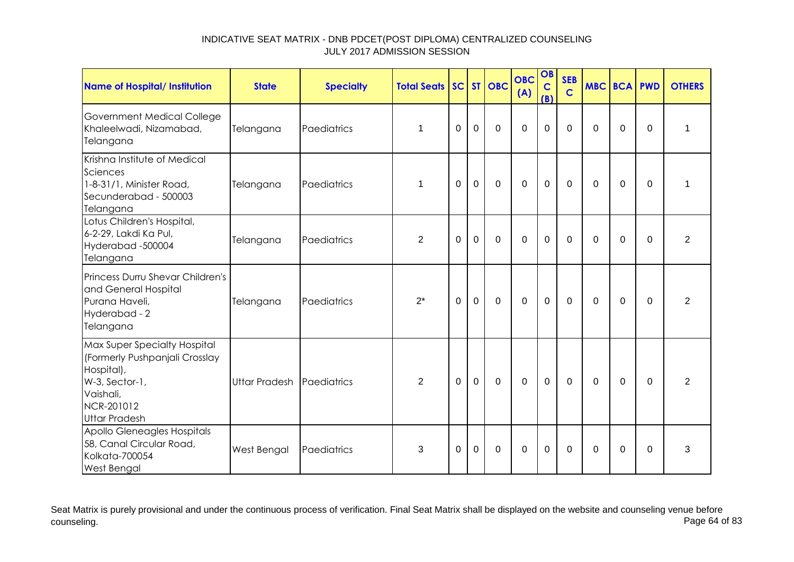| <b>Name of Hospital/ Institution</b>                                                                                                              | <b>State</b>         | <b>Specialty</b> | <b>Total Seats</b> |             |                | SC ST OBC   | <b>OBC</b><br>(A) | OB<br>$\mathbf C$<br>(B) | <b>SEB</b><br>$\mathbf C$ |             | <b>MBC BCA PWD</b> |             | <b>OTHERS</b>  |
|---------------------------------------------------------------------------------------------------------------------------------------------------|----------------------|------------------|--------------------|-------------|----------------|-------------|-------------------|--------------------------|---------------------------|-------------|--------------------|-------------|----------------|
| <b>Government Medical College</b><br>Khaleelwadi, Nizamabad,<br>Telangana                                                                         | Telangana            | Paediatrics      | 1                  | $\mathbf 0$ | $\overline{0}$ | $\mathbf 0$ | $\overline{0}$    | $\overline{0}$           | $\mathbf 0$               | $\mathbf 0$ | $\mathbf 0$        | $\mathbf 0$ | 1              |
| Krishna Institute of Medical<br>Sciences<br>1-8-31/1, Minister Road,<br>Secunderabad - 500003<br>Telangana                                        | Telangana            | Paediatrics      | 1                  | 0           | 0              | $\mathbf 0$ | $\mathbf 0$       | $\mathbf 0$              | 0                         | $\Omega$    | $\mathbf 0$        | $\Omega$    | 1              |
| Lotus Children's Hospital,<br>6-2-29, Lakdi Ka Pul,<br>Hyderabad-500004<br>Telangana                                                              | Telangana            | Paediatrics      | $\overline{2}$     | $\Omega$    | $\mathbf 0$    | $\mathbf 0$ | $\overline{0}$    | $\mathbf 0$              | $\mathbf 0$               | $\Omega$    | $\Omega$           | $\Omega$    | $\overline{2}$ |
| Princess Durru Shevar Children's<br>and General Hospital<br>Purana Haveli,<br>Hyderabad - 2<br>Telangana                                          | Telangana            | Paediatrics      | $2^*$              | $\Omega$    | $\Omega$       | $\Omega$    | $\Omega$          | $\overline{0}$           | $\Omega$                  | $\Omega$    | $\mathbf 0$        | $\Omega$    | $\overline{2}$ |
| Max Super Specialty Hospital<br>(Formerly Pushpanjali Crosslay<br>Hospital),<br>W-3, Sector-1,<br>Vaishali,<br>NCR-201012<br><b>Uttar Pradesh</b> | <b>Uttar Pradesh</b> | Paediatrics      | $\overline{2}$     | $\Omega$    | $\mathbf 0$    | $\Omega$    | $\mathbf 0$       | $\mathbf 0$              | $\Omega$                  | $\Omega$    | $\overline{0}$     | $\Omega$    | $\overline{2}$ |
| Apollo Gleneagles Hospitals<br>58, Canal Circular Road,<br>Kolkata-700054<br><b>West Bengal</b>                                                   | West Bengal          | Paediatrics      | 3                  | $\Omega$    | $\Omega$       | $\mathbf 0$ | $\overline{0}$    | $\mathbf 0$              | $\Omega$                  | $\Omega$    | $\mathbf 0$        | $\Omega$    | 3              |

Seat Matrix is purely provisional and under the continuous process of verification. Final Seat Matrix shall be displayed on the website and counseling venue before<br>Page 64 of 83 counseling. Page 64 of 83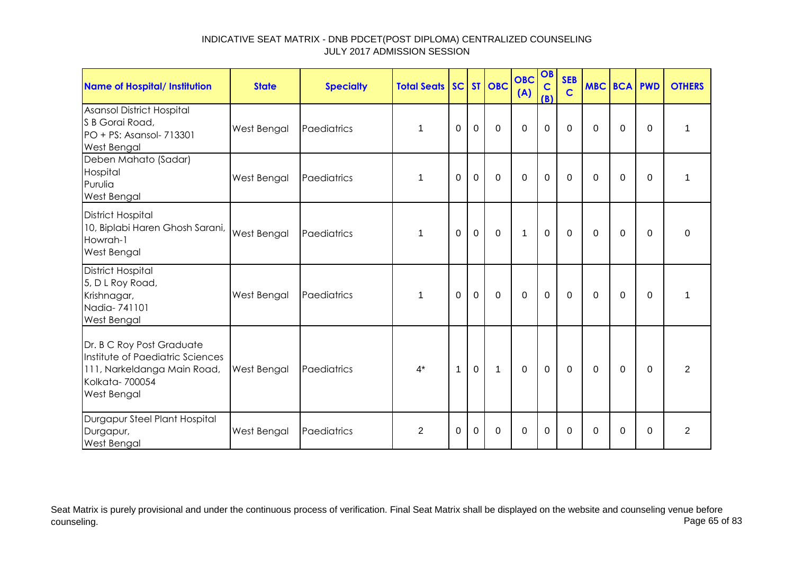| <b>Name of Hospital/ Institution</b>                                                                                          | <b>State</b>       | <b>Specialty</b> | <b>Total Seats SC ST OBC</b> |          |              |             | <b>OBC</b><br>(A) | OB<br>$\mathbf C$<br>(B) | <b>SEB</b><br>$\mathbf C$ | <b>MBC BCA PWD</b> |             |          | <b>OTHERS</b>  |
|-------------------------------------------------------------------------------------------------------------------------------|--------------------|------------------|------------------------------|----------|--------------|-------------|-------------------|--------------------------|---------------------------|--------------------|-------------|----------|----------------|
| Asansol District Hospital<br>S B Gorai Road,<br>PO + PS: Asansol- 713301<br><b>West Bengal</b>                                | West Bengal        | Paediatrics      | 1                            | 0        | $\mathbf 0$  | $\mathbf 0$ | $\mathbf 0$       | $\mathbf 0$              | $\mathbf 0$               | 0                  | 0           | 0        | 1              |
| Deben Mahato (Sadar)<br>Hospital<br>Purulia<br><b>West Bengal</b>                                                             | West Bengal        | Paediatrics      | 1                            | $\Omega$ | $\mathbf 0$  | $\mathbf 0$ | $\mathbf 0$       | 0                        | $\mathbf{0}$              | $\Omega$           | $\Omega$    | $\Omega$ | 1              |
| <b>District Hospital</b><br>10, Biplabi Haren Ghosh Sarani,<br>Howrah-1<br>West Bengal                                        | <b>West Bengal</b> | Paediatrics      |                              | 0        | $\mathbf 0$  | $\mathbf 0$ | $\mathbf{1}$      | $\mathbf 0$              | 0                         | 0                  | 0           | $\Omega$ | 0              |
| <b>District Hospital</b><br>5, D L Roy Road,<br>Krishnagar,<br>Nadia-741101<br><b>West Bengal</b>                             | West Bengal        | Paediatrics      | 1                            | 0        | $\mathbf 0$  | $\mathbf 0$ | $\mathbf 0$       | $\mathbf 0$              | $\mathbf 0$               | $\Omega$           | 0           | $\Omega$ | 1              |
| Dr. B C Roy Post Graduate<br>Institute of Paediatric Sciences<br>111, Narkeldanga Main Road,<br>Kolkata-700054<br>West Bengal | West Bengal        | Paediatrics      | $4^*$                        | 1        | $\mathbf{0}$ | $\mathbf 1$ | $\overline{0}$    | $\mathbf{0}$             | $\mathbf 0$               | $\Omega$           | $\mathbf 0$ | $\Omega$ | $\overline{2}$ |
| Durgapur Steel Plant Hospital<br>Durgapur,<br><b>West Bengal</b>                                                              | West Bengal        | Paediatrics      | $\overline{2}$               | $\Omega$ | $\Omega$     | $\Omega$    | $\Omega$          | $\Omega$                 | $\Omega$                  | $\Omega$           | $\Omega$    | $\Omega$ | $\overline{2}$ |

Seat Matrix is purely provisional and under the continuous process of verification. Final Seat Matrix shall be displayed on the website and counseling venue before<br>Page 65 of 83 counseling. Page 65 of 83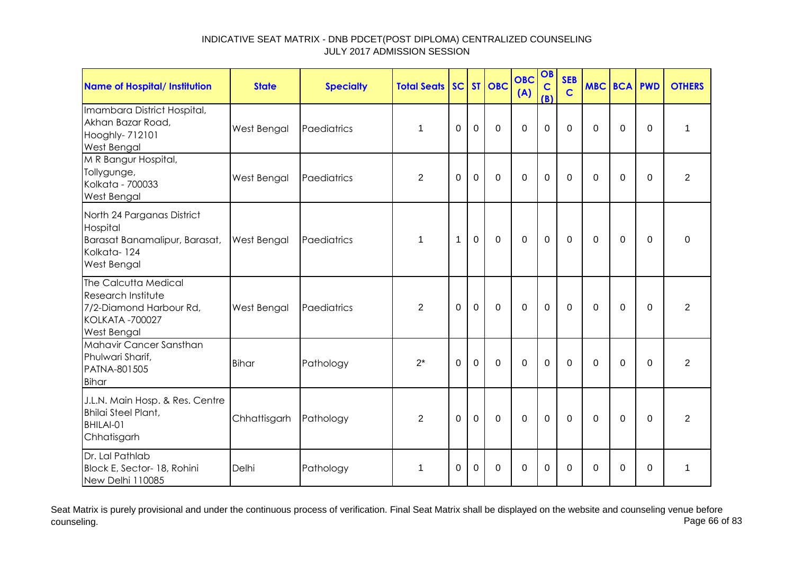| <b>Name of Hospital/ Institution</b>                                                                           | <b>State</b> | <b>Specialty</b> | <b>Total Seats</b> |                |                | SC ST OBC   | <b>OBC</b><br>(A) | OB<br>$\mathbf C$<br>(B) | <b>SEB</b><br>$\mathsf{C}$ | <b>MBC BCA PWD</b> |             |             | <b>OTHERS</b>  |
|----------------------------------------------------------------------------------------------------------------|--------------|------------------|--------------------|----------------|----------------|-------------|-------------------|--------------------------|----------------------------|--------------------|-------------|-------------|----------------|
| Imambara District Hospital,<br>Akhan Bazar Road,<br>Hooghly- 712101<br>West Bengal                             | West Bengal  | Paediatrics      | 1                  | $\overline{0}$ | $\overline{0}$ | $\Omega$    | $\overline{0}$    | $\overline{0}$           | $\Omega$                   | $\Omega$           | $\mathbf 0$ | $\mathbf 0$ | $\mathbf{1}$   |
| M R Bangur Hospital,<br>Tollygunge,<br>Kolkata - 700033<br>West Bengal                                         | West Bengal  | Paediatrics      | $\overline{2}$     | $\Omega$       | $\mathbf 0$    | $\Omega$    | $\mathbf 0$       | $\mathbf 0$              | $\Omega$                   | $\Omega$           | $\Omega$    | $\Omega$    | $\overline{2}$ |
| North 24 Parganas District<br>Hospital<br>Barasat Banamalipur, Barasat,<br>Kolkata-124<br>West Bengal          | West Bengal  | Paediatrics      | 1                  | $\mathbf 1$    | $\Omega$       | $\mathbf 0$ | $\mathbf 0$       | $\mathbf 0$              | $\mathbf 0$                | $\Omega$           | $\mathbf 0$ | $\mathbf 0$ | $\mathbf 0$    |
| The Calcutta Medical<br>Research Institute<br>7/2-Diamond Harbour Rd,<br><b>KOLKATA -700027</b><br>West Bengal | West Bengal  | Paediatrics      | $\overline{2}$     | $\Omega$       | $\overline{0}$ | $\mathbf 0$ | $\mathbf 0$       | $\mathbf 0$              | $\mathbf 0$                | $\Omega$           | $\mathbf 0$ | $\mathbf 0$ | $\overline{2}$ |
| Mahavir Cancer Sansthan<br>Phulwari Sharif,<br>PATNA-801505<br><b>Bihar</b>                                    | <b>Bihar</b> | Pathology        | $2^*$              | $\Omega$       | $\overline{0}$ | $\mathbf 0$ | $\overline{0}$    | $\mathbf 0$              | $\mathbf 0$                | $\Omega$           | $\mathbf 0$ | $\mathbf 0$ | $\overline{2}$ |
| J.L.N. Main Hosp. & Res. Centre<br><b>Bhilai Steel Plant,</b><br>BHILAI-01<br>Chhatisgarh                      | Chhattisgarh | Pathology        | 2                  | $\Omega$       | $\mathbf 0$    | $\mathbf 0$ | $\mathbf 0$       | $\mathbf 0$              | $\mathbf 0$                | $\Omega$           | $\mathbf 0$ | $\mathbf 0$ | $\overline{2}$ |
| Dr. Lal Pathlab<br>Block E, Sector- 18, Rohini<br>New Delhi 110085                                             | Delhi        | Pathology        | $\mathbf 1$        | 0              | $\Omega$       | $\Omega$    | $\Omega$          | $\Omega$                 | $\Omega$                   | $\Omega$           | 0           | $\Omega$    | 1              |

Seat Matrix is purely provisional and under the continuous process of verification. Final Seat Matrix shall be displayed on the website and counseling venue before<br>Page 66 of 83 counseling. Page 66 of 83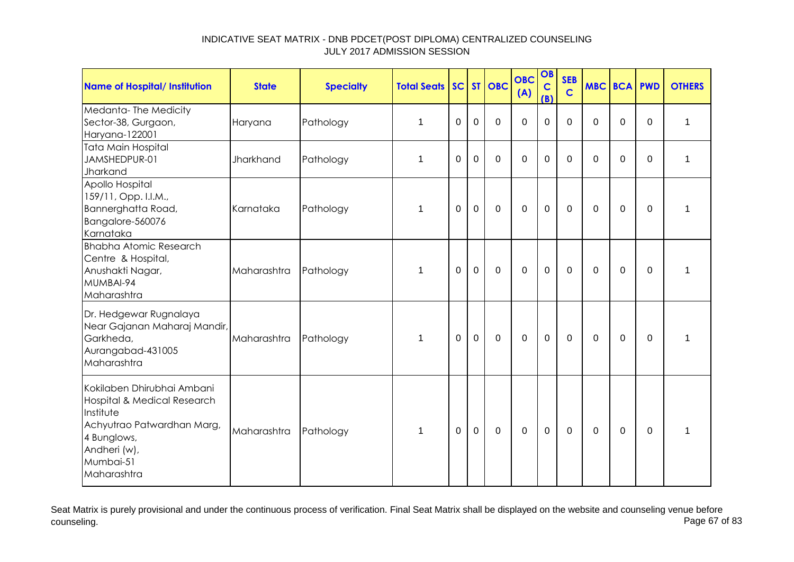| <b>Name of Hospital/ Institution</b>                                                                                                                            | <b>State</b> | <b>Specialty</b> | <b>Total Seats</b> |             |             | SC ST OBC   | <b>OBC</b><br>(A) | OB<br>$\mathbf C$<br>(B) | <b>SEB</b><br>$\mathbf C$ | MBC BCA PWD |             |             | <b>OTHERS</b> |
|-----------------------------------------------------------------------------------------------------------------------------------------------------------------|--------------|------------------|--------------------|-------------|-------------|-------------|-------------------|--------------------------|---------------------------|-------------|-------------|-------------|---------------|
| Medanta-The Medicity<br>Sector-38, Gurgaon,<br>Haryana-122001                                                                                                   | Haryana      | Pathology        | $\mathbf{1}$       | $\mathbf 0$ | $\mathbf 0$ | $\mathbf 0$ | $\mathbf 0$       | $\mathbf 0$              | $\overline{0}$            | $\mathbf 0$ | 0           | $\mathbf 0$ | 1             |
| <b>Tata Main Hospital</b><br>JAMSHEDPUR-01<br>Jharkand                                                                                                          | Jharkhand    | Pathology        | 1                  | $\mathbf 0$ | $\mathbf 0$ | $\mathbf 0$ | $\mathbf 0$       | $\mathbf 0$              | $\Omega$                  | $\Omega$    | $\mathbf 0$ | 0           | 1             |
| Apollo Hospital<br>159/11, Opp. I.I.M.,<br>Bannerghatta Road,<br>Bangalore-560076<br>Karnataka                                                                  | Karnataka    | Pathology        | 1                  | 0           | $\mathbf 0$ | $\mathbf 0$ | $\mathbf 0$       | $\mathbf 0$              | $\mathbf 0$               | $\Omega$    | $\mathbf 0$ | $\mathbf 0$ | 1             |
| <b>Bhabha Atomic Research</b><br>Centre & Hospital,<br>Anushakti Nagar,<br>MUMBAI-94<br>Maharashtra                                                             | Maharashtra  | Pathology        | 1                  | $\mathbf 0$ | $\mathbf 0$ | $\mathbf 0$ | $\mathbf 0$       | $\mathbf 0$              | $\mathbf 0$               | $\Omega$    | $\mathbf 0$ | $\mathbf 0$ | 1             |
| Dr. Hedgewar Rugnalaya<br>Near Gajanan Maharaj Mandir,<br>Garkheda,<br>Aurangabad-431005<br>Maharashtra                                                         | Maharashtra  | Pathology        | 1                  | $\Omega$    | 0           | $\mathbf 0$ | $\Omega$          | $\mathbf 0$              | $\Omega$                  | $\Omega$    | $\Omega$    | $\Omega$    | 1             |
| Kokilaben Dhirubhai Ambani<br>Hospital & Medical Research<br>Institute<br>Achyutrao Patwardhan Marg,<br>4 Bunglows,<br>Andheri (w),<br>Mumbai-51<br>Maharashtra | Maharashtra  | Pathology        | 1                  | 0           | $\mathbf 0$ | $\mathbf 0$ | $\mathbf 0$       | $\mathbf 0$              | 0                         | $\mathbf 0$ | 0           | 0           | 1             |

Seat Matrix is purely provisional and under the continuous process of verification. Final Seat Matrix shall be displayed on the website and counseling venue before<br>Page 67 of 83 counseling. Page 67 of 83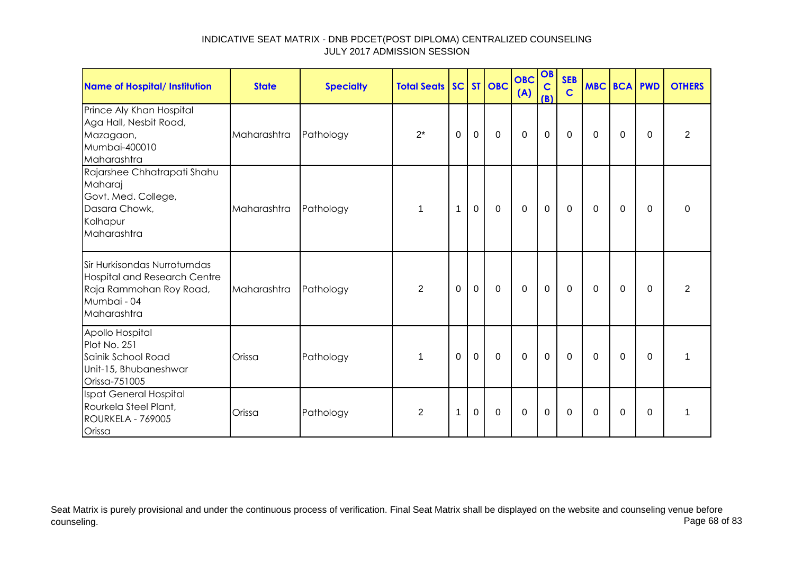| <b>Name of Hospital/ Institution</b>                                                                                        | <b>State</b> | <b>Specialty</b> | <b>Total Seats SC ST OBC</b> |             |                |             | <b>OBC</b><br>(A) | OB<br>$\mathbf C$<br>(B) | <b>SEB</b><br>$\mathbf C$ | <b>MBC BCA PWD</b> |          |          | <b>OTHERS</b> |
|-----------------------------------------------------------------------------------------------------------------------------|--------------|------------------|------------------------------|-------------|----------------|-------------|-------------------|--------------------------|---------------------------|--------------------|----------|----------|---------------|
| Prince Aly Khan Hospital<br>Aga Hall, Nesbit Road,<br>Mazagaon,<br>Mumbai-400010<br>Maharashtra                             | Maharashtra  | Pathology        | $2^*$                        | 0           | $\mathbf 0$    | $\mathbf 0$ | $\mathbf 0$       | $\pmb{0}$                | 0                         | 0                  | 0        | 0        | 2             |
| Rajarshee Chhatrapati Shahu<br>Maharaj<br>Govt. Med. College,<br>Dasara Chowk,<br>Kolhapur<br>Maharashtra                   | Maharashtra  | Pathology        | $\mathbf 1$                  | $\mathbf 1$ | $\mathbf 0$    | $\mathbf 0$ | $\overline{0}$    | $\mathbf 0$              | 0                         | 0                  | $\Omega$ | $\Omega$ | $\Omega$      |
| Sir Hurkisondas Nurrotumdas<br><b>Hospital and Research Centre</b><br>Raja Rammohan Roy Road,<br>Mumbai - 04<br>Maharashtra | Maharashtra  | Pathology        | 2                            | $\Omega$    | $\overline{0}$ | $\mathbf 0$ | $\mathbf 0$       | $\mathbf 0$              | $\Omega$                  | $\Omega$           | $\Omega$ | $\Omega$ | 2             |
| Apollo Hospital<br>Plot No. 251<br>Sainik School Road<br>Unit-15, Bhubaneshwar<br>Orissa-751005                             | Orissa       | Pathology        | 1                            | $\mathbf 0$ | $\mathbf 0$    | $\Omega$    | $\overline{0}$    | $\mathbf 0$              | $\mathbf 0$               | $\Omega$           | $\Omega$ | $\Omega$ |               |
| Ispat General Hospital<br>Rourkela Steel Plant,<br><b>ROURKELA - 769005</b><br>Orissa                                       | Orissa       | Pathology        | $\overline{2}$               | $\mathbf 1$ | $\mathbf 0$    | 0           | 0                 | $\mathbf 0$              | 0                         | 0                  | 0        | 0        | 1             |

Seat Matrix is purely provisional and under the continuous process of verification. Final Seat Matrix shall be displayed on the website and counseling venue before<br>Page 68 of 83 counseling. Page 68 of 83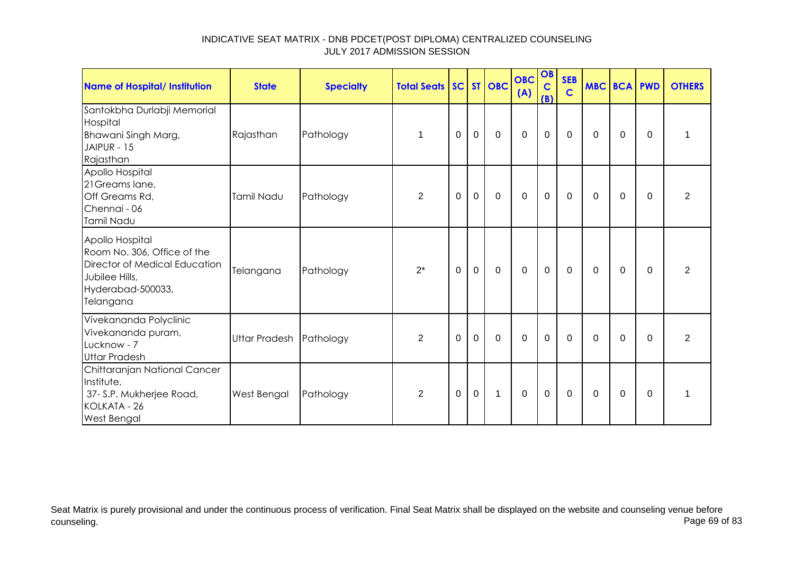| <b>Name of Hospital/ Institution</b>                                                                                                | <b>State</b>            | <b>Specialty</b> | <b>Total Seats SC ST OBC</b> |             |             |             | <b>OBC</b><br>(A) | OB<br>$\mathbf C$<br>(B) | <b>SEB</b><br>$\mathbf C$ | <b>MBC BCA PWD</b> |             |          | <b>OTHERS</b>  |
|-------------------------------------------------------------------------------------------------------------------------------------|-------------------------|------------------|------------------------------|-------------|-------------|-------------|-------------------|--------------------------|---------------------------|--------------------|-------------|----------|----------------|
| Santokbha Durlabji Memorial<br>Hospital<br>Bhawani Singh Marg,<br>JAIPUR - 15<br>Rajasthan                                          | Rajasthan               | Pathology        | 1                            | $\Omega$    | $\mathbf 0$ | $\mathbf 0$ | $\overline{0}$    | $\mathbf 0$              | $\mathbf 0$               | $\Omega$           | $\Omega$    | $\Omega$ | 1              |
| Apollo Hospital<br>21 Greams lane,<br>Off Greams Rd,<br>Chennai - 06<br>Tamil Nadu                                                  | Tamil Nadu              | Pathology        | $\overline{2}$               | $\mathbf 0$ | $\mathbf 0$ | $\mathbf 0$ | $\mathbf 0$       | $\mathbf 0$              | $\mathbf 0$               | 0                  | 0           | $\Omega$ | $\overline{2}$ |
| Apollo Hospital<br>Room No. 306, Office of the<br>Director of Medical Education<br>Jubilee Hills,<br>Hyderabad-500033,<br>Telangana | Telangana               | Pathology        | $2^*$                        | $\mathbf 0$ | $\mathbf 0$ | $\mathbf 0$ | $\mathbf 0$       | $\mathbf 0$              | $\mathbf 0$               | $\mathbf 0$        | $\mathbf 0$ | $\Omega$ | $\overline{2}$ |
| Vivekananda Polyclinic<br>Vivekananda puram,<br>Lucknow - 7<br><b>Uttar Pradesh</b>                                                 | Uttar Pradesh Pathology |                  | $\overline{2}$               | 0           | $\mathbf 0$ | $\mathbf 0$ | $\mathbf 0$       | $\mathbf 0$              | $\Omega$                  | $\Omega$           | $\Omega$    | $\Omega$ | $\overline{2}$ |
| Chittaranjan National Cancer<br>Institute,<br>37- S.P. Mukherjee Road,<br>KOLKATA - 26<br><b>West Bengal</b>                        | West Bengal             | Pathology        | $\overline{2}$               | 0           | $\mathbf 0$ | 1           | $\mathbf 0$       | $\mathbf 0$              | $\mathbf 0$               | 0                  | 0           | $\Omega$ | 1              |

Seat Matrix is purely provisional and under the continuous process of verification. Final Seat Matrix shall be displayed on the website and counseling venue before<br>Page 69 of 83 counseling. Page 69 of 83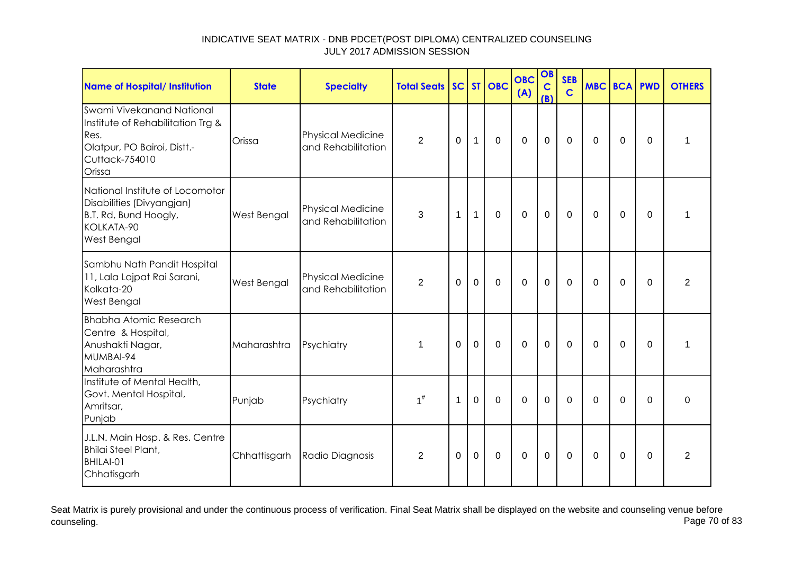| <b>Name of Hospital/ Institution</b>                                                                                              | <b>State</b> | <b>Specialty</b>                               | <b>Total Seats SC ST OBC</b> |          |              |             | <b>OBC</b><br>(A) | OB<br>$\mathbf C$<br>(B) | <b>SEB</b><br>$\overline{c}$ | MBC BCA PWD  |             |             | <b>OTHERS</b>  |
|-----------------------------------------------------------------------------------------------------------------------------------|--------------|------------------------------------------------|------------------------------|----------|--------------|-------------|-------------------|--------------------------|------------------------------|--------------|-------------|-------------|----------------|
| Swami Vivekanand National<br>Institute of Rehabilitation Trg &<br>Res.<br>Olatpur, PO Bairoi, Distt.-<br>Cuttack-754010<br>Orissa | Orissa       | <b>Physical Medicine</b><br>and Rehabilitation | $\overline{2}$               | $\Omega$ | $\mathbf{1}$ | $\mathbf 0$ | $\mathbf 0$       | $\mathbf 0$              | $\mathbf 0$                  | $\mathbf{0}$ | 0           | $\Omega$    | 1              |
| National Institute of Locomotor<br>Disabilities (Divyangjan)<br>B.T. Rd, Bund Hoogly,<br>KOLKATA-90<br>West Bengal                | West Bengal  | <b>Physical Medicine</b><br>and Rehabilitation | 3                            | 1        | $\mathbf{1}$ | $\mathbf 0$ | $\mathbf 0$       | $\mathbf{0}$             | $\mathbf 0$                  | $\Omega$     | $\mathbf 0$ | $\mathbf 0$ | 1              |
| Sambhu Nath Pandit Hospital<br>11, Lala Lajpat Rai Sarani,<br>Kolkata-20<br>West Bengal                                           | West Bengal  | <b>Physical Medicine</b><br>and Rehabilitation | $\overline{2}$               | $\Omega$ | $\mathbf 0$  | $\mathbf 0$ | $\mathbf 0$       | $\mathbf 0$              | $\mathbf 0$                  | $\mathbf{0}$ | 0           | 0           | $\overline{2}$ |
| <b>Bhabha Atomic Research</b><br>Centre & Hospital,<br>Anushakti Nagar,<br>MUMBAI-94<br>Maharashtra                               | Maharashtra  | Psychiatry                                     | 1                            | $\Omega$ | $\Omega$     | $\mathbf 0$ | $\mathbf 0$       | $\mathbf 0$              | $\mathbf 0$                  | $\mathbf{0}$ | $\Omega$    | $\Omega$    | 1              |
| Institute of Mental Health,<br>Govt. Mental Hospital,<br>Amritsar,<br>Punjab                                                      | Punjab       | Psychiatry                                     | $1^{\#}$                     | 1        | $\mathbf 0$  | $\mathbf 0$ | $\mathbf 0$       | $\mathbf 0$              | $\mathbf 0$                  | $\mathbf{0}$ | $\mathbf 0$ | $\Omega$    | $\mathbf 0$    |
| J.L.N. Main Hosp. & Res. Centre<br><b>Bhilai Steel Plant,</b><br>BHILAI-01<br>Chhatisgarh                                         | Chhattisgarh | Radio Diagnosis                                | 2                            | $\Omega$ | $\Omega$     | $\mathbf 0$ | $\mathbf 0$       | $\mathbf 0$              | $\Omega$                     | $\mathbf{0}$ | 0           | $\Omega$    | 2              |

Seat Matrix is purely provisional and under the continuous process of verification. Final Seat Matrix shall be displayed on the website and counseling venue before<br>Page 70 of 83 counseling. Page 70 of 83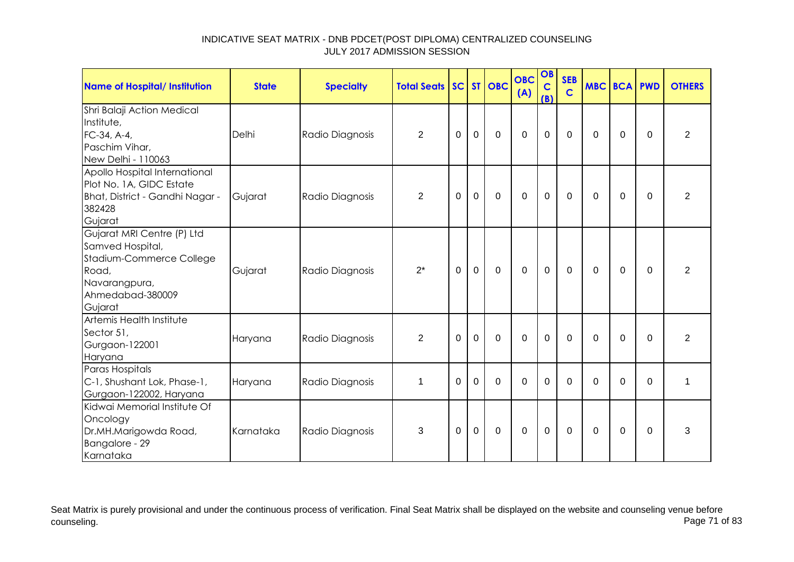| <b>Name of Hospital/ Institution</b>                                                                                                | <b>State</b> | <b>Specialty</b> | <b>Total Seats</b> |             |              | <b>SC ST OBC</b> | <b>OBC</b><br>(A) | OB<br>$\mathbf C$<br>(B) | <b>SEB</b><br>$\mathbf C$ | <b>MBC BCA PWD</b> |          |          | <b>OTHERS</b>  |
|-------------------------------------------------------------------------------------------------------------------------------------|--------------|------------------|--------------------|-------------|--------------|------------------|-------------------|--------------------------|---------------------------|--------------------|----------|----------|----------------|
| Shri Balaji Action Medical<br>Institute,<br>FC-34, A-4,<br>Paschim Vihar,<br>New Delhi - 110063                                     | Delhi        | Radio Diagnosis  | 2                  | $\Omega$    | $\Omega$     | $\Omega$         | $\Omega$          | $\Omega$                 | $\Omega$                  | $\Omega$           | $\Omega$ | $\Omega$ | $\overline{2}$ |
| Apollo Hospital International<br>Plot No. 1A, GIDC Estate<br>Bhat, District - Gandhi Nagar -<br>382428<br>Gujarat                   | Gujarat      | Radio Diagnosis  | $\overline{2}$     | $\mathbf 0$ | $\mathbf 0$  | $\mathbf 0$      | $\mathbf 0$       | 0                        | $\Omega$                  | 0                  | 0        | $\Omega$ | $\overline{2}$ |
| Gujarat MRI Centre (P) Ltd<br>Samved Hospital,<br>Stadium-Commerce College<br>Road,<br>Navarangpura,<br>Ahmedabad-380009<br>Gujarat | Gujarat      | Radio Diagnosis  | $2^*$              | $\Omega$    | $\mathbf{0}$ | $\mathbf 0$      | $\mathbf 0$       | $\mathbf 0$              | $\Omega$                  | $\Omega$           | $\Omega$ | $\Omega$ | 2              |
| Artemis Health Institute<br>Sector 51,<br>Gurgaon-122001<br>Haryana                                                                 | Haryana      | Radio Diagnosis  | 2                  | $\Omega$    | $\mathbf 0$  | $\Omega$         | $\mathbf 0$       | $\mathbf 0$              | $\mathbf 0$               | $\Omega$           | $\Omega$ | $\Omega$ | $\overline{2}$ |
| Paras Hospitals<br>C-1, Shushant Lok, Phase-1,<br>Gurgaon-122002, Haryana                                                           | Haryana      | Radio Diagnosis  | $\mathbf 1$        | $\Omega$    | $\Omega$     | $\Omega$         | $\Omega$          | $\Omega$                 | $\Omega$                  | $\Omega$           | $\Omega$ | $\Omega$ | 1              |
| Kidwai Memorial Institute Of<br>Oncology<br>Dr.MH.Marigowda Road,<br>Bangalore - 29<br>Karnataka                                    | Karnataka    | Radio Diagnosis  | 3                  | $\Omega$    | $\Omega$     | $\Omega$         | $\Omega$          | $\mathbf 0$              | $\mathbf{0}$              | $\Omega$           | $\Omega$ | $\Omega$ | 3              |

Seat Matrix is purely provisional and under the continuous process of verification. Final Seat Matrix shall be displayed on the website and counseling venue before<br>Page 71 of 83 counseling. Page 71 of 83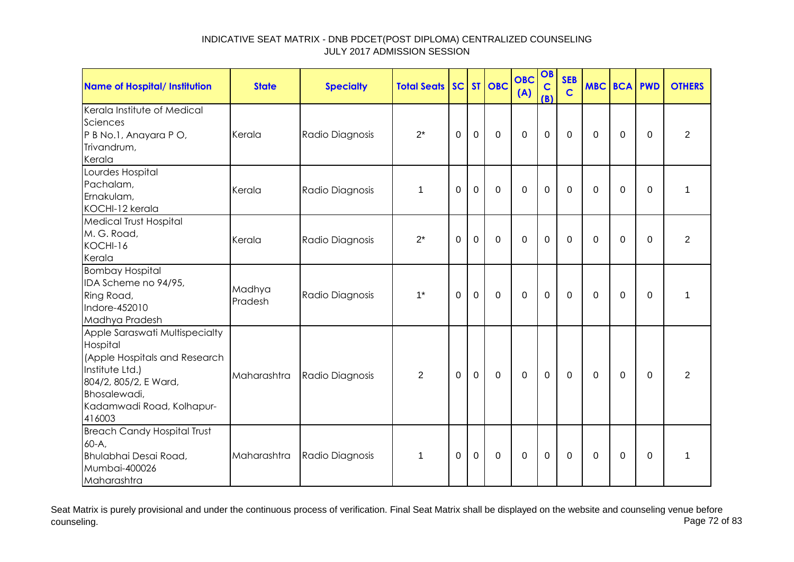| <b>Name of Hospital/ Institution</b>                                                                                                                                           | <b>State</b>      | <b>Specialty</b> | <b>Total Seats</b> |          |             | SC ST OBC      | <b>OBC</b><br>(A) | OB<br>$\mathbf C$<br>(B) | <b>SEB</b><br>$\mathbf C$ | <b>MBC BCA PWD</b> |          |             | <b>OTHERS</b>  |
|--------------------------------------------------------------------------------------------------------------------------------------------------------------------------------|-------------------|------------------|--------------------|----------|-------------|----------------|-------------------|--------------------------|---------------------------|--------------------|----------|-------------|----------------|
| Kerala Institute of Medical<br>Sciences<br>P B No.1, Anayara P O,<br>Trivandrum,<br>Kerala                                                                                     | Kerala            | Radio Diagnosis  | $2^*$              | 0        | $\mathbf 0$ | $\mathbf 0$    | $\mathbf 0$       | $\mathbf 0$              | $\mathbf{0}$              | $\Omega$           | 0        | 0           | $\overline{2}$ |
| Lourdes Hospital<br>Pachalam,<br>Ernakulam,<br>KOCHI-12 kerala                                                                                                                 | Kerala            | Radio Diagnosis  | $\mathbf 1$        | $\Omega$ | $\mathbf 0$ | $\mathbf 0$    | $\overline{0}$    | $\mathbf 0$              | $\Omega$                  | $\Omega$           | $\Omega$ | $\Omega$    | 1              |
| <b>Medical Trust Hospital</b><br>M. G. Road,<br>KOCHI-16<br>Kerala                                                                                                             | Kerala            | Radio Diagnosis  | $2^*$              | $\Omega$ | $\mathbf 0$ | $\overline{0}$ | $\overline{0}$    | $\mathbf 0$              | $\Omega$                  | $\Omega$           | $\Omega$ | $\Omega$    | $\overline{2}$ |
| <b>Bombay Hospital</b><br>IDA Scheme no 94/95,<br>Ring Road,<br>Indore-452010<br>Madhya Pradesh                                                                                | Madhya<br>Pradesh | Radio Diagnosis  | $1^*$              | 0        | $\mathbf 0$ | $\mathbf 0$    | $\mathbf 0$       | $\mathbf 0$              | $\mathbf{0}$              | $\Omega$           | 0        | $\Omega$    | 1              |
| Apple Saraswati Multispecialty<br>Hospital<br>(Apple Hospitals and Research<br>Institute Ltd.)<br>804/2, 805/2, E Ward,<br>Bhosalewadi,<br>Kadamwadi Road, Kolhapur-<br>416003 | Maharashtra       | Radio Diagnosis  | $\overline{2}$     | $\Omega$ | $\mathbf 0$ | $\mathbf 0$    | $\mathbf 0$       | $\mathbf 0$              | $\mathbf{0}$              | $\Omega$           | 0        | $\mathbf 0$ | $\overline{2}$ |
| <b>Breach Candy Hospital Trust</b><br>60-A,<br>Bhulabhai Desai Road,<br>Mumbai-400026<br>Maharashtra                                                                           | Maharashtra       | Radio Diagnosis  | $\mathbf 1$        | $\Omega$ | $\mathbf 0$ | $\mathbf 0$    | $\overline{0}$    | $\mathbf 0$              | $\Omega$                  | $\Omega$           | 0        | $\Omega$    | 1              |

Seat Matrix is purely provisional and under the continuous process of verification. Final Seat Matrix shall be displayed on the website and counseling venue before<br>Page 72 of 83 counseling. Page 72 of 83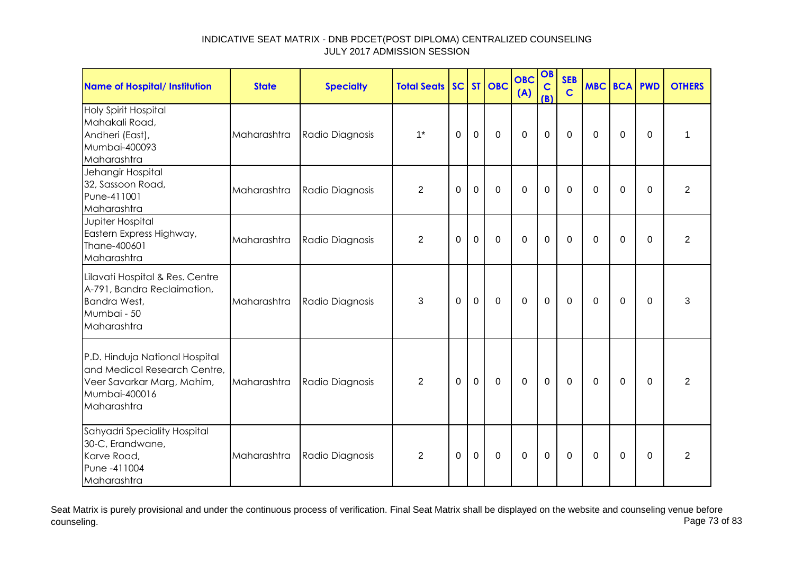| <b>Name of Hospital/ Institution</b>                                                                                         | <b>State</b> | <b>Specialty</b> | <b>Total Seats</b> |             |                | SC ST OBC    | <b>OBC</b><br>(A) | OB<br>$\mathbf C$<br>(B) | <b>SEB</b><br>$\mathbf C$ | <b>MBC BCA PWD</b> |                |             | <b>OTHERS</b>  |
|------------------------------------------------------------------------------------------------------------------------------|--------------|------------------|--------------------|-------------|----------------|--------------|-------------------|--------------------------|---------------------------|--------------------|----------------|-------------|----------------|
| <b>Holy Spirit Hospital</b><br>Mahakali Road,<br>Andheri (East),<br>Mumbai-400093<br>Maharashtra                             | Maharashtra  | Radio Diagnosis  | $1^*$              | $\Omega$    | $\mathbf 0$    | $\mathbf 0$  | $\mathbf 0$       | $\mathbf 0$              | $\mathbf 0$               | $\Omega$           | $\mathbf 0$    | $\Omega$    | 1              |
| Jehangir Hospital<br>32, Sassoon Road,<br>Pune-411001<br>Maharashtra                                                         | Maharashtra  | Radio Diagnosis  | $\overline{2}$     | $\mathbf 0$ | $\mathbf 0$    | $\mathbf 0$  | $\mathbf 0$       | $\mathbf 0$              | $\mathbf 0$               | $\mathbf 0$        | 0              | $\mathbf 0$ | $\overline{2}$ |
| Jupiter Hospital<br>Eastern Express Highway,<br>Thane-400601<br>Maharashtra                                                  | Maharashtra  | Radio Diagnosis  | 2                  | $\Omega$    | $\Omega$       | $\Omega$     | $\Omega$          | $\mathbf 0$              | $\Omega$                  | $\Omega$           | $\Omega$       | $\Omega$    | $\overline{2}$ |
| Lilavati Hospital & Res. Centre<br>A-791, Bandra Reclaimation,<br>Bandra West,<br>Mumbai - 50<br>Maharashtra                 | Maharashtra  | Radio Diagnosis  | 3                  | $\Omega$    | $\mathbf 0$    | $\mathbf 0$  | $\mathbf 0$       | $\mathbf 0$              | $\mathbf 0$               | 0                  | 0              | $\Omega$    | 3              |
| P.D. Hinduja National Hospital<br>and Medical Research Centre,<br>Veer Savarkar Marg, Mahim,<br>Mumbai-400016<br>Maharashtra | Maharashtra  | Radio Diagnosis  | $\overline{2}$     | $\Omega$    | $\mathbf 0$    | $\mathbf 0$  | $\mathbf 0$       | $\mathbf 0$              | $\mathbf 0$               | $\Omega$           | $\overline{0}$ | $\Omega$    | $\overline{2}$ |
| Sahyadri Speciality Hospital<br>30-C, Erandwane,<br>Karve Road,<br>Pune -411004<br>Maharashtra                               | Maharashtra  | Radio Diagnosis  | $\overline{2}$     | $\Omega$    | $\overline{0}$ | $\mathbf{0}$ | $\Omega$          | $\mathbf 0$              | $\Omega$                  | $\Omega$           | $\Omega$       | $\Omega$    | $\overline{2}$ |

Seat Matrix is purely provisional and under the continuous process of verification. Final Seat Matrix shall be displayed on the website and counseling venue before<br>Page 73 of 83 counseling. Page 73 of 83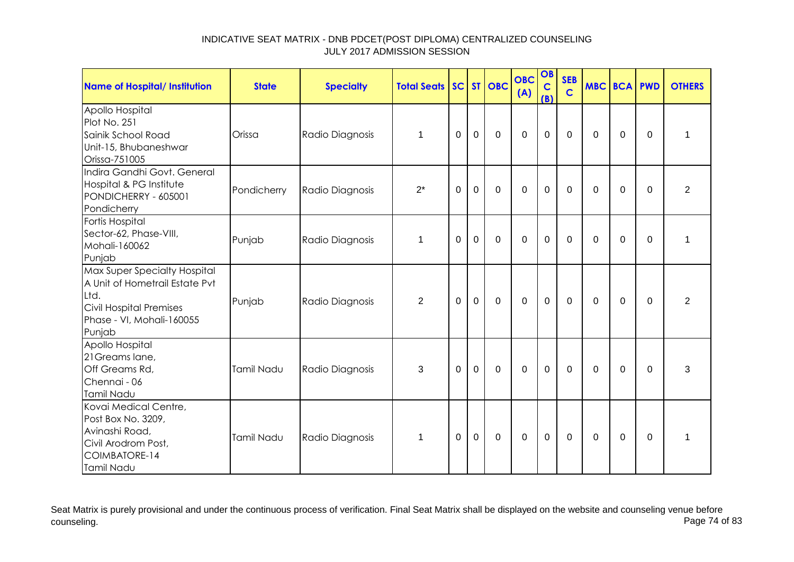| Name of Hospital/ Institution                                                                                                                   | <b>State</b> | <b>Specialty</b> | <b>Total Seats SC ST OBC</b> |          |             |             | <b>OBC</b><br>(A) | OB<br>$\mathbf C$<br>(B) | <b>SEB</b><br>$\mathbf C$ | <b>MBC BCA PWD</b> |             |          | <b>OTHERS</b> |
|-------------------------------------------------------------------------------------------------------------------------------------------------|--------------|------------------|------------------------------|----------|-------------|-------------|-------------------|--------------------------|---------------------------|--------------------|-------------|----------|---------------|
| Apollo Hospital<br>Plot No. 251<br>Sainik School Road<br>Unit-15, Bhubaneshwar<br>Orissa-751005                                                 | Orissa       | Radio Diagnosis  | $\mathbf{1}$                 | 0        | $\mathbf 0$ | $\mathbf 0$ | $\mathbf 0$       | $\mathbf 0$              | $\mathbf 0$               | $\mathbf 0$        | $\mathbf 0$ | $\Omega$ | 1             |
| Indira Gandhi Govt. General<br>Hospital & PG Institute<br>PONDICHERRY - 605001<br>Pondicherry                                                   | Pondicherry  | Radio Diagnosis  | $2^*$                        | 0        | $\mathbf 0$ | $\mathbf 0$ | $\mathbf 0$       | $\mathbf 0$              | 0                         | 0                  | 0           | $\Omega$ | 2             |
| Fortis Hospital<br>Sector-62, Phase-VIII,<br>Mohali-160062<br>Punjab                                                                            | Punjab       | Radio Diagnosis  | $\mathbf{1}$                 | $\Omega$ | $\mathbf 0$ | $\mathbf 0$ | $\overline{0}$    | $\mathbf 0$              | $\mathbf 0$               | $\Omega$           | $\mathbf 0$ | $\Omega$ | 1             |
| Max Super Specialty Hospital<br>A Unit of Hometrail Estate Pvt<br>Ltd.<br><b>Civil Hospital Premises</b><br>Phase - VI, Mohali-160055<br>Punjab | Punjab       | Radio Diagnosis  | 2                            | $\Omega$ | $\mathbf 0$ | $\mathbf 0$ | $\overline{0}$    | $\mathbf 0$              | $\mathbf 0$               | $\Omega$           | 0           | $\Omega$ | 2             |
| Apollo Hospital<br>21 Greams lane,<br>Off Greams Rd,<br>Chennai - 06<br>Tamil Nadu                                                              | Tamil Nadu   | Radio Diagnosis  | 3                            | $\Omega$ | $\mathbf 0$ | $\mathbf 0$ | $\mathbf 0$       | $\mathbf 0$              | $\Omega$                  | $\Omega$           | $\Omega$    | $\Omega$ | 3             |
| Kovai Medical Centre,<br>Post Box No. 3209,<br>Avinashi Road,<br>Civil Arodrom Post,<br>COIMBATORE-14<br>Tamil Nadu                             | Tamil Nadu   | Radio Diagnosis  | $\mathbf 1$                  | $\Omega$ | $\mathbf 0$ | $\Omega$    | $\Omega$          | $\mathbf 0$              | $\Omega$                  | $\Omega$           | $\Omega$    | $\Omega$ | 1             |

Seat Matrix is purely provisional and under the continuous process of verification. Final Seat Matrix shall be displayed on the website and counseling venue before<br>Page 74 of 83 counseling. Page 74 of 83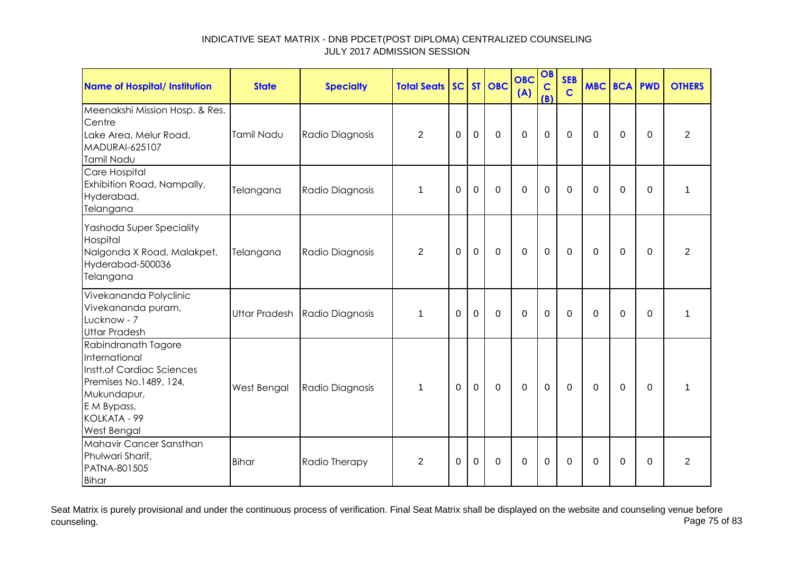| <b>Name of Hospital/ Institution</b>                                                                                                                     | <b>State</b>         | <b>Specialty</b> | <b>Total Seats</b> |                |                | SC ST OBC   | <b>OBC</b><br>(A) | OB<br>$\mathbf C$<br>(B) | <b>SEB</b><br>$\mathbf C$ | <b>MBC BCA PWD</b> |             |             | <b>OTHERS</b>  |
|----------------------------------------------------------------------------------------------------------------------------------------------------------|----------------------|------------------|--------------------|----------------|----------------|-------------|-------------------|--------------------------|---------------------------|--------------------|-------------|-------------|----------------|
| Meenakshi Mission Hosp. & Res.<br>Centre<br>Lake Area, Melur Road,<br><b>MADURAI-625107</b><br>Tamil Nadu                                                | <b>Tamil Nadu</b>    | Radio Diagnosis  | $\overline{2}$     | $\Omega$       | $\overline{0}$ | $\mathbf 0$ | $\mathbf 0$       | $\mathbf 0$              | $\Omega$                  | $\Omega$           | $\mathbf 0$ | $\Omega$    | $\overline{2}$ |
| Care Hospital<br>Exhibition Road, Nampally,<br>Hyderabad,<br>Telangana                                                                                   | Telangana            | Radio Diagnosis  | $\mathbf{1}$       | $\mathbf 0$    | $\mathbf 0$    | $\mathbf 0$ | $\mathbf 0$       | $\mathbf 0$              | $\mathbf 0$               | $\Omega$           | $\mathbf 0$ | $\mathbf 0$ | 1              |
| Yashoda Super Speciality<br>Hospital<br>Nalgonda X Road, Malakpet,<br>Hyderabad-500036<br>Telangana                                                      | Telangana            | Radio Diagnosis  | $\overline{2}$     | $\overline{0}$ | $\overline{0}$ | $\mathbf 0$ | $\mathbf 0$       | $\overline{0}$           | $\mathbf 0$               | $\mathbf 0$        | 0           | $\mathbf 0$ | $\overline{2}$ |
| Vivekananda Polyclinic<br>Vivekananda puram,<br>Lucknow - 7<br><b>Uttar Pradesh</b>                                                                      | <b>Uttar Pradesh</b> | Radio Diagnosis  | $\mathbf 1$        | $\Omega$       | $\mathbf 0$    | $\mathbf 0$ | $\overline{0}$    | $\overline{0}$           | $\Omega$                  | $\Omega$           | $\Omega$    | $\mathbf 0$ | 1              |
| Rabindranath Tagore<br>International<br>Instt.of Cardiac Sciences<br>Premises No.1489, 124,<br>Mukundapur,<br>E M Bypass,<br>KOLKATA - 99<br>West Bengal | West Bengal          | Radio Diagnosis  | 1                  | $\Omega$       | $\overline{0}$ | $\mathbf 0$ | $\mathbf 0$       | $\overline{0}$           | $\mathbf 0$               | $\Omega$           | $\mathbf 0$ | $\Omega$    | $\mathbf{1}$   |
| Mahavir Cancer Sansthan<br>Phulwari Sharif,<br>PATNA-801505<br>Bihar                                                                                     | Bihar                | Radio Therapy    | $\overline{2}$     | $\Omega$       | $\mathbf 0$    | $\mathbf 0$ | $\overline{0}$    | $\overline{0}$           | $\overline{0}$            | $\Omega$           | $\mathbf 0$ | $\mathbf 0$ | $\overline{2}$ |

Seat Matrix is purely provisional and under the continuous process of verification. Final Seat Matrix shall be displayed on the website and counseling venue before<br>Page 75 of 83 counseling. Page 75 of 83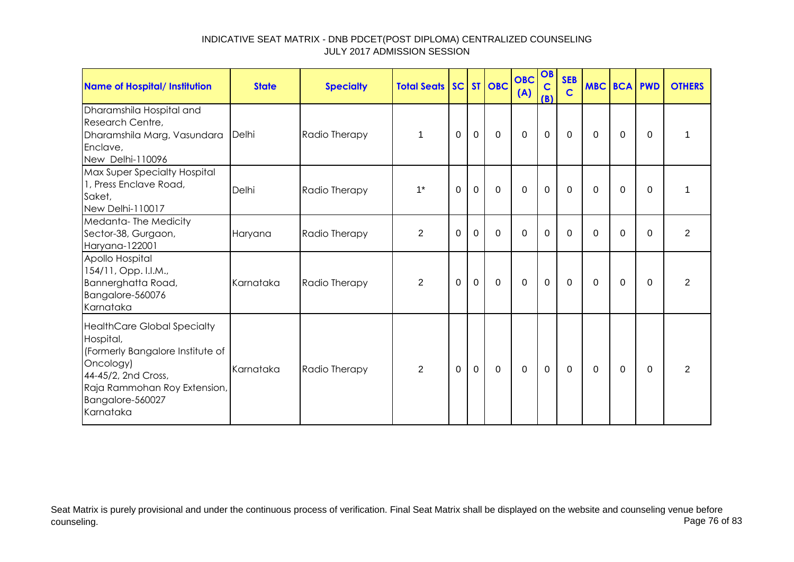| <b>Name of Hospital/ Institution</b>                                                                                                                                                     | <b>State</b> | <b>Specialty</b> | <b>Total Seats SC ST OBC</b> |          |             |             | <b>OBC</b><br>(A) | OB<br>$\mathbf C$<br>(B) | <b>SEB</b><br>$\mathbf C$ | <b>MBC BCA PWD</b> |          |          | <b>OTHERS</b>  |
|------------------------------------------------------------------------------------------------------------------------------------------------------------------------------------------|--------------|------------------|------------------------------|----------|-------------|-------------|-------------------|--------------------------|---------------------------|--------------------|----------|----------|----------------|
| Dharamshila Hospital and<br>Research Centre,<br>Dharamshila Marg, Vasundara<br>Enclave,<br>New Delhi-110096                                                                              | Delhi        | Radio Therapy    | 1                            | $\Omega$ | $\mathbf 0$ | $\Omega$    | $\mathbf 0$       | $\mathbf 0$              | $\overline{0}$            | $\Omega$           | 0        | $\Omega$ | 1              |
| Max Super Specialty Hospital<br>1, Press Enclave Road,<br>Saket,<br>New Delhi-110017                                                                                                     | Delhi        | Radio Therapy    | $1^*$                        | 0        | $\mathbf 0$ | $\mathbf 0$ | $\mathbf 0$       | $\mathbf 0$              | $\mathbf 0$               | 0                  | 0        | $\Omega$ |                |
| Medanta-The Medicity<br>Sector-38, Gurgaon,<br>Haryana-122001                                                                                                                            | Haryana      | Radio Therapy    | $\overline{2}$               | 0        | $\Omega$    | $\Omega$    | $\Omega$          | $\Omega$                 | $\Omega$                  | 0                  | $\Omega$ | $\Omega$ | $\overline{2}$ |
| Apollo Hospital<br>154/11, Opp. I.I.M.,<br>Bannerghatta Road,<br>Bangalore-560076<br>Karnataka                                                                                           | Karnataka    | Radio Therapy    | $\overline{2}$               | 0        | $\mathbf 0$ | $\Omega$    | $\mathbf 0$       | $\mathbf 0$              | $\Omega$                  | $\Omega$           | $\Omega$ | $\Omega$ | $\overline{2}$ |
| <b>HealthCare Global Specialty</b><br>Hospital,<br>(Formerly Bangalore Institute of<br>Oncology)<br>44-45/2, 2nd Cross,<br>Raja Rammohan Roy Extension,<br>Bangalore-560027<br>Karnataka | Karnataka    | Radio Therapy    | 2                            | 0        | $\mathbf 0$ | $\Omega$    | $\mathbf 0$       | $\mathbf 0$              | $\overline{0}$            | $\Omega$           | $\Omega$ | $\Omega$ | $\overline{2}$ |

Seat Matrix is purely provisional and under the continuous process of verification. Final Seat Matrix shall be displayed on the website and counseling venue before<br>Page 76 of 83 counseling. Page 76 of 83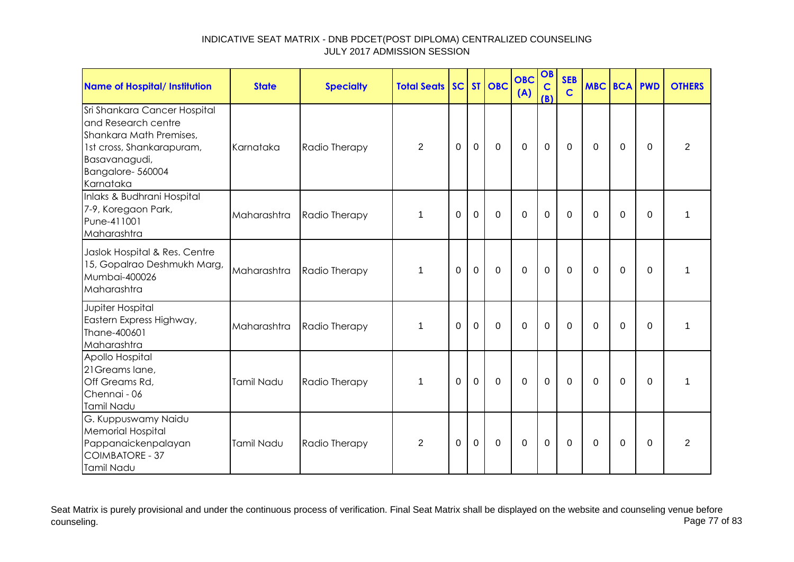| <b>Name of Hospital/ Institution</b>                                                                                                                          | <b>State</b> | <b>Specialty</b> | <b>Total Seats</b> |          |                | SC ST OBC      | <b>OBC</b><br>(A) | OB<br>$\mathbf C$<br>(B) | <b>SEB</b><br>$\mathbf C$ | <b>MBC BCA PWD</b> |             |             | <b>OTHERS</b>  |
|---------------------------------------------------------------------------------------------------------------------------------------------------------------|--------------|------------------|--------------------|----------|----------------|----------------|-------------------|--------------------------|---------------------------|--------------------|-------------|-------------|----------------|
| Sri Shankara Cancer Hospital<br>and Research centre<br>Shankara Math Premises,<br>1st cross, Shankarapuram,<br>Basavanagudi,<br>Bangalore-560004<br>Karnataka | Karnataka    | Radio Therapy    | $\overline{2}$     | $\Omega$ | $\mathbf 0$    | $\mathbf 0$    | $\overline{0}$    | $\mathbf 0$              | $\mathbf 0$               | $\Omega$           | $\Omega$    | $\Omega$    | $\overline{2}$ |
| Inlaks & Budhrani Hospital<br>7-9, Koregaon Park,<br>Pune-411001<br>Maharashtra                                                                               | Maharashtra  | Radio Therapy    | 1                  | 0        | $\overline{0}$ | $\Omega$       | $\Omega$          | $\mathbf 0$              | $\Omega$                  | $\Omega$           | $\Omega$    | $\Omega$    | 1              |
| Jaslok Hospital & Res. Centre<br>15, Gopalrao Deshmukh Marg,<br>Mumbai-400026<br>Maharashtra                                                                  | Maharashtra  | Radio Therapy    | 1                  | $\Omega$ | $\mathbf 0$    | $\mathbf 0$    | $\overline{0}$    | $\mathbf 0$              | $\mathbf{0}$              | $\Omega$           | $\mathbf 0$ | $\Omega$    | 1              |
| Jupiter Hospital<br>Eastern Express Highway,<br>Thane-400601<br>Maharashtra                                                                                   | Maharashtra  | Radio Therapy    | $\mathbf 1$        | $\Omega$ | $\mathbf 0$    | $\mathbf 0$    | $\overline{0}$    | $\mathbf 0$              | $\Omega$                  | $\Omega$           | $\Omega$    | $\Omega$    | 1              |
| Apollo Hospital<br>21 Greams lane,<br>Off Greams Rd,<br>Chennai - 06<br>Tamil Nadu                                                                            | Tamil Nadu   | Radio Therapy    | 1                  | $\Omega$ | $\overline{0}$ | $\mathbf 0$    | $\mathbf 0$       | $\mathbf 0$              | $\mathbf 0$               | $\Omega$           | $\mathbf 0$ | $\mathbf 0$ | $\mathbf{1}$   |
| G. Kuppuswamy Naidu<br><b>Memorial Hospital</b><br>Pappanaickenpalayan<br><b>COIMBATORE - 37</b><br>Tamil Nadu                                                | Tamil Nadu   | Radio Therapy    | $\overline{2}$     | 0        | $\overline{0}$ | $\overline{0}$ | $\mathbf 0$       | $\mathbf 0$              | 0                         | $\Omega$           | 0           | 0           | $\overline{2}$ |

Seat Matrix is purely provisional and under the continuous process of verification. Final Seat Matrix shall be displayed on the website and counseling venue before<br>Page 77 of 83 counseling. Page 77 of 83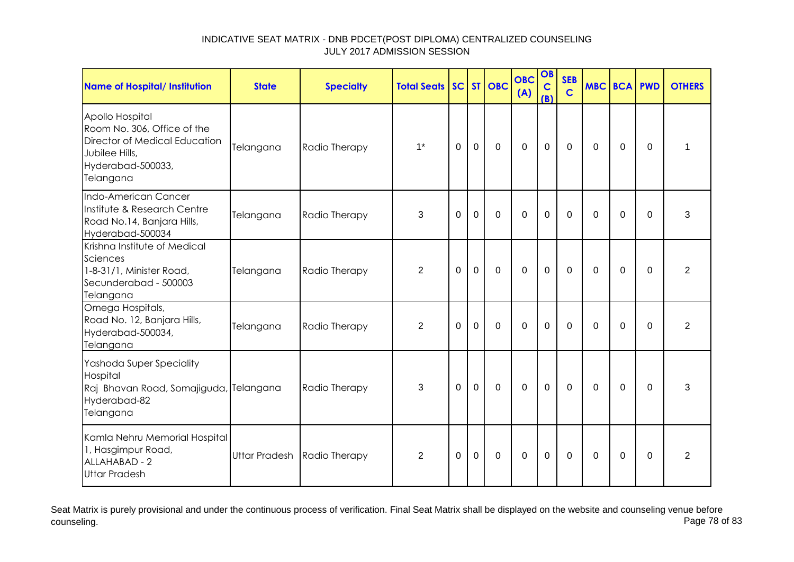| <b>Name of Hospital/ Institution</b>                                                                                                | <b>State</b>         | <b>Specialty</b> | <b>Total Seats   SC   </b> |                |             | ST OBC         | <b>OBC</b><br>(A) | OB<br>$\mathbf C$<br>(B) | <b>SEB</b><br>$\overline{c}$ | <b>MBC BCA PWD</b> |             |             | <b>OTHERS</b>  |
|-------------------------------------------------------------------------------------------------------------------------------------|----------------------|------------------|----------------------------|----------------|-------------|----------------|-------------------|--------------------------|------------------------------|--------------------|-------------|-------------|----------------|
| Apollo Hospital<br>Room No. 306, Office of the<br>Director of Medical Education<br>Jubilee Hills,<br>Hyderabad-500033,<br>Telangana | Telangana            | Radio Therapy    | $1^*$                      | $\Omega$       | $\mathbf 0$ | $\mathbf 0$    | $\mathbf 0$       | $\mathbf 0$              | $\Omega$                     | $\Omega$           | 0           | $\Omega$    | 1              |
| Indo-American Cancer<br>Institute & Research Centre<br>Road No.14, Banjara Hills,<br>Hyderabad-500034                               | Telangana            | Radio Therapy    | 3                          | $\mathbf 0$    | $\mathbf 0$ | $\mathbf 0$    | $\mathbf 0$       | $\mathbf 0$              | $\mathbf 0$                  | $\Omega$           | $\mathbf 0$ | $\Omega$    | 3              |
| Krishna Institute of Medical<br>Sciences<br>1-8-31/1, Minister Road,<br>Secunderabad - 500003<br>Telangana                          | Telangana            | Radio Therapy    | 2                          | $\mathbf 0$    | $\mathbf 0$ | $\mathbf 0$    | $\mathbf 0$       | $\mathbf 0$              | $\mathbf 0$                  | 0                  | 0           | $\Omega$    | $\overline{2}$ |
| Omega Hospitals,<br>Road No. 12, Banjara Hills,<br>Hyderabad-500034,<br><b>Telangana</b>                                            | Telangana            | Radio Therapy    | $\overline{2}$             | $\overline{0}$ | $\mathbf 0$ | $\overline{0}$ | $\overline{0}$    | $\mathbf 0$              | $\mathbf 0$                  | 0                  | 0           | $\mathbf 0$ | $\overline{2}$ |
| Yashoda Super Speciality<br>Hospital<br>Raj Bhavan Road, Somajiguda, Telangana<br>Hyderabad-82<br>Telangana                         |                      | Radio Therapy    | 3                          | $\Omega$       | $\mathbf 0$ | $\mathbf 0$    | $\mathbf 0$       | $\mathbf 0$              | $\mathbf 0$                  | $\Omega$           | $\Omega$    | $\Omega$    | 3              |
| Kamla Nehru Memorial Hospital<br>1, Hasgimpur Road,<br>ALLAHABAD - 2<br><b>Uttar Pradesh</b>                                        | <b>Uttar Pradesh</b> | Radio Therapy    | $\overline{2}$             | $\mathbf 0$    | $\mathbf 0$ | $\mathbf 0$    | $\mathbf 0$       | $\mathbf 0$              | $\mathbf 0$                  | 0                  | 0           | $\Omega$    | $\overline{2}$ |

Seat Matrix is purely provisional and under the continuous process of verification. Final Seat Matrix shall be displayed on the website and counseling venue before<br>Page 78 of 83 counseling. Page 78 of 83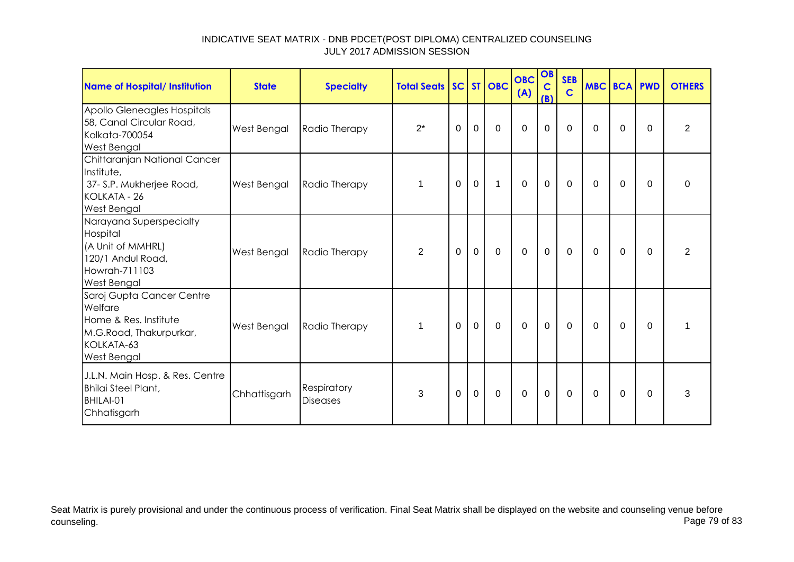| <b>Name of Hospital/ Institution</b>                                                                                         | <b>State</b> | <b>Specialty</b>               | <b>Total Seats SC ST OBC</b> |             |             |             | <b>OBC</b><br>(A) | OB<br>$\mathbf C$<br>(B) | <b>SEB</b><br>$\mathbf C$ | MBC BCA PWD |          |          | <b>OTHERS</b>  |
|------------------------------------------------------------------------------------------------------------------------------|--------------|--------------------------------|------------------------------|-------------|-------------|-------------|-------------------|--------------------------|---------------------------|-------------|----------|----------|----------------|
| Apollo Gleneagles Hospitals<br>58, Canal Circular Road,<br>Kolkata-700054<br><b>West Bengal</b>                              | West Bengal  | Radio Therapy                  | $2^*$                        | 0           | 0           | $\Omega$    | $\Omega$          | 0                        | $\Omega$                  | 0           | 0        | $\Omega$ | $\overline{2}$ |
| Chittaranjan National Cancer<br>Institute,<br>37- S.P. Mukherjee Road,<br>KOLKATA - 26<br><b>West Bengal</b>                 | West Bengal  | Radio Therapy                  | 1                            | 0           | $\mathbf 0$ | 1           | $\mathbf 0$       | $\mathbf 0$              | $\Omega$                  | $\Omega$    | $\Omega$ | $\Omega$ | 0              |
| Narayana Superspecialty<br>Hospital<br>(A Unit of MMHRL)<br>120/1 Andul Road,<br>Howrah-711103<br><b>West Bengal</b>         | West Bengal  | Radio Therapy                  | 2                            | $\Omega$    | $\mathbf 0$ | $\mathbf 0$ | $\mathbf 0$       | $\mathbf 0$              | $\Omega$                  | $\Omega$    | $\Omega$ | $\Omega$ | 2              |
| Saroj Gupta Cancer Centre<br>Welfare<br>Home & Res. Institute<br>M.G.Road, Thakurpurkar,<br>KOLKATA-63<br><b>West Bengal</b> | West Bengal  | Radio Therapy                  | 1                            | $\mathbf 0$ | $\mathbf 0$ | $\mathbf 0$ | $\mathbf 0$       | $\mathbf 0$              | $\mathbf 0$               | 0           | $\Omega$ | $\Omega$ |                |
| J.L.N. Main Hosp. & Res. Centre<br>Bhilai Steel Plant,<br>BHILAI-01<br>Chhatisgarh                                           | Chhattisgarh | Respiratory<br><b>Diseases</b> | 3                            | $\Omega$    | $\mathbf 0$ | $\Omega$    | $\mathbf 0$       | $\mathbf 0$              | $\mathbf{0}$              | $\Omega$    | $\Omega$ | $\Omega$ | 3              |

Seat Matrix is purely provisional and under the continuous process of verification. Final Seat Matrix shall be displayed on the website and counseling venue before<br>Page 79 of 83 counseling. Page 79 of 83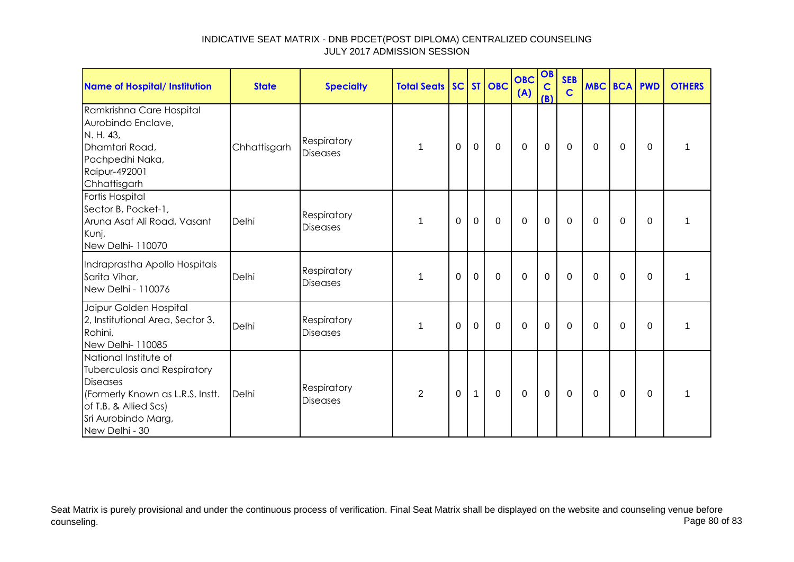| <b>Name of Hospital/ Institution</b>                                                                                                                                           | <b>State</b> | <b>Specialty</b>               | <b>Total Seats SC ST OBC</b> |          |                |             | <b>OBC</b><br>(A) | OB<br>$\mathbf C$<br>(B) | <b>SEB</b><br>$\mathbf C$ | <b>MBC BCA PWD</b> |          |          | <b>OTHERS</b> |
|--------------------------------------------------------------------------------------------------------------------------------------------------------------------------------|--------------|--------------------------------|------------------------------|----------|----------------|-------------|-------------------|--------------------------|---------------------------|--------------------|----------|----------|---------------|
| Ramkrishna Care Hospital<br>Aurobindo Enclave,<br>N. H. 43,<br>Dhamtari Road,<br>Pachpedhi Naka,<br>Raipur-492001<br>Chhattisgarh                                              | Chhattisgarh | Respiratory<br><b>Diseases</b> | 1                            | $\Omega$ | $\mathbf{0}$   | $\mathbf 0$ | $\overline{0}$    | $\mathbf{0}$             | $\mathbf 0$               | $\Omega$           | $\Omega$ | $\Omega$ | 1             |
| Fortis Hospital<br>Sector B, Pocket-1,<br>Aruna Asaf Ali Road, Vasant<br>Kunj,<br>New Delhi- 110070                                                                            | Delhi        | Respiratory<br><b>Diseases</b> | 1                            | $\Omega$ | $\mathbf{0}$   | $\mathbf 0$ | $\overline{0}$    | $\mathbf 0$              | $\mathbf 0$               | 0                  | $\Omega$ | $\Omega$ |               |
| Indraprastha Apollo Hospitals<br>Sarita Vihar,<br>New Delhi - 110076                                                                                                           | Delhi        | Respiratory<br><b>Diseases</b> | 1                            | $\Omega$ | $\overline{0}$ | $\Omega$    | $\mathbf 0$       | $\mathbf 0$              | $\Omega$                  | $\Omega$           | $\Omega$ | $\Omega$ | 1             |
| Jaipur Golden Hospital<br>2, Institutional Area, Sector 3,<br>Rohini,<br>New Delhi- 110085                                                                                     | Delhi        | Respiratory<br><b>Diseases</b> | 1                            | $\Omega$ | $\mathbf 0$    | $\mathbf 0$ | $\mathbf 0$       | $\mathbf 0$              | $\mathbf 0$               | $\Omega$           | 0        | $\Omega$ | 1             |
| National Institute of<br>Tuberculosis and Respiratory<br><b>Diseases</b><br>(Formerly Known as L.R.S. Instt.<br>of T.B. & Allied Scs)<br>Sri Aurobindo Marg,<br>New Delhi - 30 | Delhi        | Respiratory<br><b>Diseases</b> | $\overline{2}$               | 0        | $\mathbf{1}$   | $\mathbf 0$ | $\mathbf 0$       | $\mathbf 0$              | $\mathbf 0$               | 0                  | 0        | $\Omega$ | 1             |

Seat Matrix is purely provisional and under the continuous process of verification. Final Seat Matrix shall be displayed on the website and counseling venue before<br>Page 80 of 83 counseling. Page 80 of 83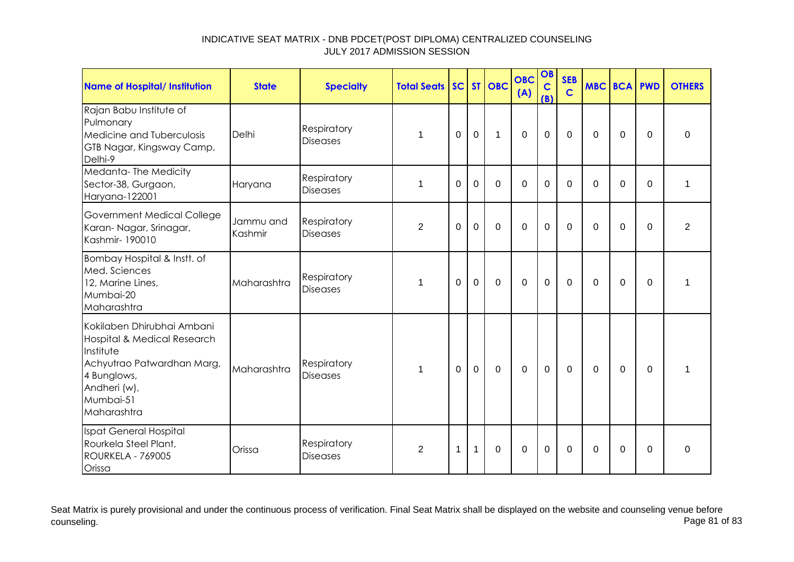| <b>Name of Hospital/ Institution</b>                                                                                                                            | <b>State</b>         | <b>Specialty</b>                      | <b>Total Seats</b> |          |              | SC ST OBC    | <b>OBC</b><br>(A) | OB<br>$\mathbf C$<br>(B) | <b>SEB</b><br>$\mathbf C$ | <b>MBC BCA PWD</b> |             |             | <b>OTHERS</b>  |
|-----------------------------------------------------------------------------------------------------------------------------------------------------------------|----------------------|---------------------------------------|--------------------|----------|--------------|--------------|-------------------|--------------------------|---------------------------|--------------------|-------------|-------------|----------------|
| Rajan Babu Institute of<br>Pulmonary<br>Medicine and Tuberculosis<br>GTB Nagar, Kingsway Camp,<br>Delhi-9                                                       | Delhi                | <b>Respiratory</b><br><b>Diseases</b> | 1                  | 0        | $\mathbf 0$  | $\mathbf{1}$ | $\overline{0}$    | $\mathbf 0$              | $\mathbf 0$               | $\mathbf 0$        | $\mathbf 0$ | $\mathbf 0$ | $\mathbf 0$    |
| Medanta-The Medicity<br>Sector-38, Gurgaon,<br>Haryana-122001                                                                                                   | Haryana              | Respiratory<br><b>Diseases</b>        | 1                  | $\Omega$ | $\mathbf 0$  | $\mathbf 0$  | $\Omega$          | $\mathbf 0$              | $\Omega$                  | $\Omega$           | $\mathbf 0$ | $\mathbf 0$ | 1              |
| Government Medical College<br>Karan-Nagar, Srinagar,<br>Kashmir-190010                                                                                          | Jammu and<br>Kashmir | <b>Respiratory</b><br><b>Diseases</b> | $\overline{2}$     | $\Omega$ | $\mathbf 0$  | $\mathbf 0$  | $\overline{0}$    | $\mathbf 0$              | $\Omega$                  | $\Omega$           | $\mathbf 0$ | $\Omega$    | $\overline{2}$ |
| Bombay Hospital & Instt. of<br>Med. Sciences<br>12, Marine Lines,<br>Mumbai-20<br>Maharashtra                                                                   | Maharashtra          | <b>Respiratory</b><br><b>Diseases</b> | 1                  | $\Omega$ | $\mathbf 0$  | $\mathbf 0$  | $\Omega$          | $\mathbf 0$              | $\mathbf{0}$              | 0                  | 0           | $\Omega$    | 1              |
| Kokilaben Dhirubhai Ambani<br>Hospital & Medical Research<br>Institute<br>Achyutrao Patwardhan Marg,<br>4 Bunglows,<br>Andheri (w),<br>Mumbai-51<br>Maharashtra | Maharashtra          | <b>Respiratory</b><br><b>Diseases</b> | $\mathbf 1$        | $\Omega$ | $\mathbf 0$  | $\mathbf 0$  | $\mathbf 0$       | $\mathbf 0$              | $\Omega$                  | $\mathbf 0$        | $\Omega$    | $\Omega$    | 1              |
| Ispat General Hospital<br>Rourkela Steel Plant,<br>ROURKELA - 769005<br>Orissa                                                                                  | Orissa               | Respiratory<br><b>Diseases</b>        | 2                  | 1        | $\mathbf{1}$ | $\mathbf 0$  | $\Omega$          | $\mathbf 0$              | $\Omega$                  | $\Omega$           | $\mathbf 0$ | $\Omega$    | $\Omega$       |

Seat Matrix is purely provisional and under the continuous process of verification. Final Seat Matrix shall be displayed on the website and counseling venue before<br>Page 81 of 83 counseling. Page 81 of 83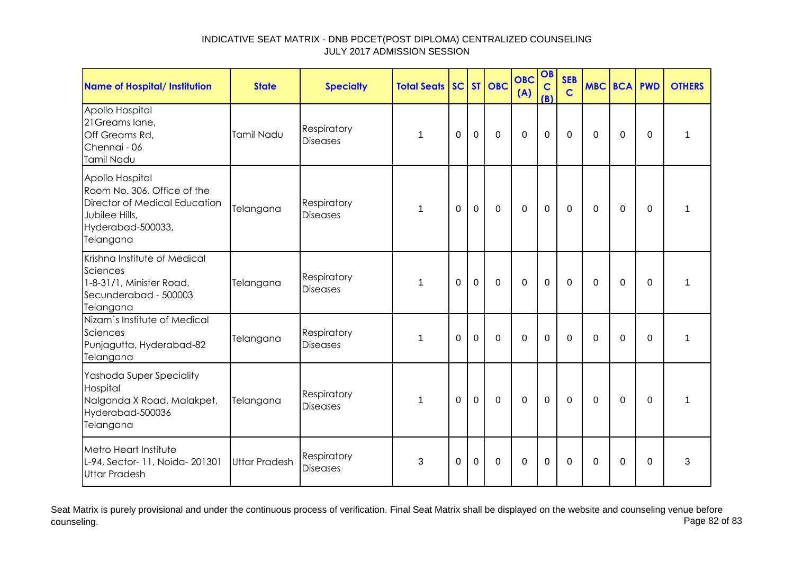| <b>Name of Hospital/ Institution</b>                                                                                                | <b>State</b>  | <b>Specialty</b>               | <b>Total Seats</b> |             |                | SC ST OBC      | <b>OBC</b><br>(A) | OB<br>$\mathbf C$<br>(B) | <b>SEB</b><br>$\mathbf C$ | <b>MBC BCA PWD</b> |             |             | <b>OTHERS</b> |
|-------------------------------------------------------------------------------------------------------------------------------------|---------------|--------------------------------|--------------------|-------------|----------------|----------------|-------------------|--------------------------|---------------------------|--------------------|-------------|-------------|---------------|
| Apollo Hospital<br>21 Greams lane,<br>Off Greams Rd,<br>Chennai - 06<br>Tamil Nadu                                                  | Tamil Nadu    | Respiratory<br><b>Diseases</b> | 1                  | $\Omega$    | $\mathbf 0$    | $\mathbf 0$    | $\mathbf 0$       | $\mathbf 0$              | $\mathbf 0$               | $\Omega$           | 0           | $\Omega$    | 1             |
| Apollo Hospital<br>Room No. 306, Office of the<br>Director of Medical Education<br>Jubilee Hills,<br>Hyderabad-500033,<br>Telangana | Telangana     | Respiratory<br><b>Diseases</b> | 1                  | $\mathbf 0$ | $\overline{0}$ | $\mathbf 0$    | $\overline{0}$    | $\mathbf 0$              | $\mathbf 0$               | $\Omega$           | $\mathbf 0$ | $\mathbf 0$ | 1             |
| Krishna Institute of Medical<br>Sciences<br>1-8-31/1, Minister Road,<br>Secunderabad - 500003<br>Telangana                          | Telangana     | Respiratory<br><b>Diseases</b> | 1                  | $\Omega$    | $\mathbf 0$    | $\overline{0}$ | $\overline{0}$    | $\mathbf 0$              | $\overline{0}$            | $\Omega$           | $\mathbf 0$ | $\mathbf 0$ | 1             |
| Nizam's Institute of Medical<br>Sciences<br>Punjagutta, Hyderabad-82<br>Telangana                                                   | Telangana     | Respiratory<br><b>Diseases</b> | 1                  | $\Omega$    | $\overline{0}$ | $\Omega$       | $\overline{0}$    | $\overline{0}$           | $\overline{0}$            | $\Omega$           | 0           | $\mathbf 0$ | $\mathbf{1}$  |
| Yashoda Super Speciality<br>Hospital<br>Nalgonda X Road, Malakpet,<br>Hyderabad-500036<br>Telangana                                 | Telangana     | Respiratory<br><b>Diseases</b> | 1                  | 0           | $\mathbf 0$    | $\mathbf 0$    | $\mathbf 0$       | $\mathbf 0$              | 0                         | 0                  | 0           | 0           | 1             |
| Metro Heart Institute<br>L-94, Sector- 11, Noida- 201301<br><b>Uttar Pradesh</b>                                                    | Uttar Pradesh | Respiratory<br>Diseases        | 3                  | $\Omega$    | $\Omega$       | $\Omega$       | $\Omega$          | $\Omega$                 | $\Omega$                  | $\Omega$           | 0           | $\Omega$    | 3             |

Seat Matrix is purely provisional and under the continuous process of verification. Final Seat Matrix shall be displayed on the website and counseling venue before<br>Page 82 of 83 counseling. Page 82 of 83